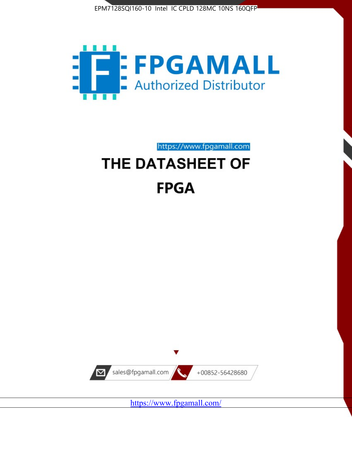



https://www.fpgamall.com

# THE DATASHEET OF **FPGA**



<https://www.fpgamall.com/>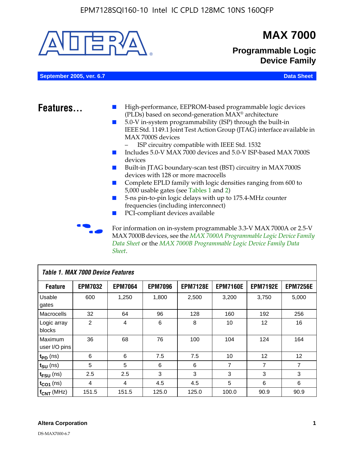

MAX 7000B devices, see the *MAX 7000A Programmable Logic Device Family Data Sheet* or the *MAX 7000B Programmable Logic Device Family Data Sheet*.

| Table 1. MAX 7000 Device Features |                |                |                |                 |                 |                   |                 |
|-----------------------------------|----------------|----------------|----------------|-----------------|-----------------|-------------------|-----------------|
| <b>Feature</b>                    | <b>EPM7032</b> | <b>EPM7064</b> | <b>EPM7096</b> | <b>EPM7128E</b> | <b>EPM7160E</b> | <b>EPM7192E</b>   | <b>EPM7256E</b> |
| Usable<br>gates                   | 600            | 1,250          | 1,800          | 2,500           | 3,200           | 3.750             | 5,000           |
| Macrocells                        | 32             | 64             | 96             | 128             | 160             | 192               | 256             |
| Logic array<br>blocks             | $\overline{2}$ | 4              | 6              | 8               | 10              | 12                | 16              |
| Maximum<br>user I/O pins          | 36             | 68             | 76             | 100             | 104             | 124               | 164             |
| $t_{PD}$ (ns)                     | 6              | 6              | 7.5            | 7.5             | 10              | $12 \overline{ }$ | 12              |
| $t_{SU}$ (ns)                     | 5              | 5              | 6              | 6               | 7               | $\overline{7}$    | $\overline{7}$  |
| $t_{FSU}$ (ns)                    | 2.5            | 2.5            | 3              | 3               | 3               | 3                 | 3               |
| $t_{CO1}$ (ns)                    | 4              | 4              | 4.5            | 4.5             | 5               | 6                 | 6               |
| $f_{CNT}$ (MHz)                   | 151.5          | 151.5          | 125.0          | 125.0           | 100.0           | 90.9              | 90.9            |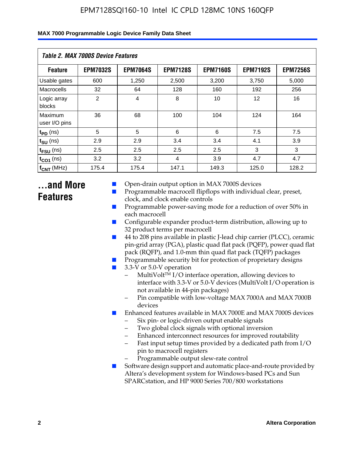| Table 2. MAX 7000S Device Features |                 |                 |                 |                 |                   |                 |  |
|------------------------------------|-----------------|-----------------|-----------------|-----------------|-------------------|-----------------|--|
| <b>Feature</b>                     | <b>EPM7032S</b> | <b>EPM7064S</b> | <b>EPM7128S</b> | <b>EPM7160S</b> | <b>EPM7192S</b>   | <b>EPM7256S</b> |  |
| Usable gates                       | 600             | 1,250           | 2,500           | 3,200           | 3,750             | 5,000           |  |
| Macrocells                         | 32              | 64              | 128             | 160             | 192               | 256             |  |
| Logic array<br>blocks              | $\overline{2}$  | 4               | 8               | 10              | $12 \overline{ }$ | 16              |  |
| Maximum<br>user I/O pins           | 36              | 68              | 100             | 104             | 124               | 164             |  |
| $t_{PD}$ (ns)                      | 5               | 5               | 6               | 6               | 7.5               | 7.5             |  |
| $t_{SU}$ (ns)                      | 2.9             | 2.9             | 3.4             | 3.4             | 4.1               | 3.9             |  |
| $t_{\text{FSU}}$ (ns)              | 2.5             | 2.5             | 2.5             | 2.5             | 3                 | 3               |  |
| $t_{CO1}$ (ns)                     | 3.2             | 3.2             | 4               | 3.9             | 4.7               | 4.7             |  |
| $f_{\text{CNT}}$ (MHz)             | 175.4           | 175.4           | 147.1           | 149.3           | 125.0             | 128.2           |  |

### **...and More Features**

- Open-drain output option in MAX 7000S devices
- Programmable macrocell flipflops with individual clear, preset, clock, and clock enable controls
- Programmable power-saving mode for a reduction of over 50% in each macrocell
- Configurable expander product-term distribution, allowing up to 32 product terms per macrocell
- 44 to 208 pins available in plastic J-lead chip carrier (PLCC), ceramic pin-grid array (PGA), plastic quad flat pack (PQFP), power quad flat pack (RQFP), and 1.0-mm thin quad flat pack (TQFP) packages
- Programmable security bit for protection of proprietary designs
- 3.3-V or 5.0-V operation
	- MultiVolt<sup>TM</sup> I/O interface operation, allowing devices to interface with 3.3-V or 5.0-V devices (MultiVolt I/O operation is not available in 44-pin packages)
	- Pin compatible with low-voltage MAX 7000A and MAX 7000B devices
- Enhanced features available in MAX 7000E and MAX 7000S devices
	- Six pin- or logic-driven output enable signals
	- Two global clock signals with optional inversion
	- Enhanced interconnect resources for improved routability
	- Fast input setup times provided by a dedicated path from I/O pin to macrocell registers
	- Programmable output slew-rate control
- Software design support and automatic place-and-route provided by Altera's development system for Windows-based PCs and Sun SPARCstation, and HP 9000 Series 700/800 workstations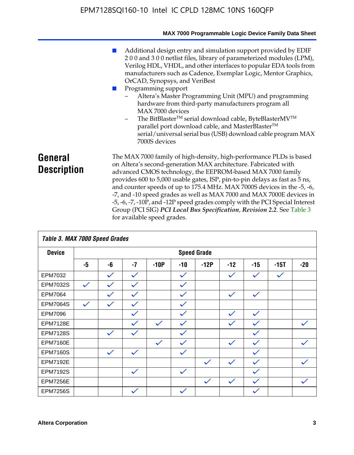|                               | MAX 7000 Programmable Logic Device Family Data Sheet                                                                                                                                                                                                                                                                                                                                                                                                                                                                                                                                                                                                                            |
|-------------------------------|---------------------------------------------------------------------------------------------------------------------------------------------------------------------------------------------------------------------------------------------------------------------------------------------------------------------------------------------------------------------------------------------------------------------------------------------------------------------------------------------------------------------------------------------------------------------------------------------------------------------------------------------------------------------------------|
|                               | Additional design entry and simulation support provided by EDIF<br>200 and 300 netlist files, library of parameterized modules (LPM),<br>Verilog HDL, VHDL, and other interfaces to popular EDA tools from<br>manufacturers such as Cadence, Exemplar Logic, Mentor Graphics,<br>OrCAD, Synopsys, and VeriBest<br>Programming support<br>Altera's Master Programming Unit (MPU) and programming<br>hardware from third-party manufacturers program all<br>MAX 7000 devices<br>The BitBlaster™ serial download cable, ByteBlasterMV™<br>$-$<br>parallel port download cable, and MasterBlaster™<br>serial/universal serial bus (USB) download cable program MAX<br>7000S devices |
| General<br><b>Description</b> | The MAX 7000 family of high-density, high-performance PLDs is based<br>on Altera's second-generation MAX architecture. Fabricated with<br>advanced CMOS technology, the EEPROM-based MAX 7000 family<br>provides 600 to 5,000 usable gates, ISP, pin-to-pin delays as fast as 5 ns,<br>and counter speeds of up to 175.4 MHz. MAX 7000S devices in the -5, -6,<br>-7, and -10 speed grades as well as MAX 7000 and MAX 7000E devices in<br>-5, -6, -7, -10P, and -12P speed grades comply with the PCI Special Interest<br>Group (PCI SIG) PCI Local Bus Specification, Revision 2.2. See Table 3                                                                               |

|                 | Table 3. MAX 7000 Speed Grades |              |              |              |              |                    |              |              |              |              |
|-----------------|--------------------------------|--------------|--------------|--------------|--------------|--------------------|--------------|--------------|--------------|--------------|
| <b>Device</b>   |                                |              |              |              |              | <b>Speed Grade</b> |              |              |              |              |
|                 | -5                             | -6           | $-7$         | $-10P$       | $-10$        | $-12P$             | $-12$        | $-15$        | $-15T$       | $-20$        |
| EPM7032         |                                | $\checkmark$ | $\checkmark$ |              | $\checkmark$ |                    | $\checkmark$ | $\checkmark$ | $\checkmark$ |              |
| EPM7032S        | $\checkmark$                   | $\checkmark$ | $\checkmark$ |              | $\checkmark$ |                    |              |              |              |              |
| <b>EPM7064</b>  |                                | $\checkmark$ | $\checkmark$ |              | $\checkmark$ |                    | $\checkmark$ | $\checkmark$ |              |              |
| <b>EPM7064S</b> | $\checkmark$                   | $\checkmark$ | $\checkmark$ |              | $\checkmark$ |                    |              |              |              |              |
| <b>EPM7096</b>  |                                |              | $\checkmark$ |              | $\checkmark$ |                    | $\checkmark$ | $\checkmark$ |              |              |
| <b>EPM7128E</b> |                                |              | $\checkmark$ | $\checkmark$ | $\checkmark$ |                    | $\checkmark$ | $\checkmark$ |              | $\checkmark$ |
| <b>EPM7128S</b> |                                | $\checkmark$ | $\checkmark$ |              | $\checkmark$ |                    |              | $\checkmark$ |              |              |
| <b>EPM7160E</b> |                                |              |              | $\checkmark$ | $\checkmark$ |                    | $\checkmark$ | $\checkmark$ |              | $\checkmark$ |
| <b>EPM7160S</b> |                                | $\checkmark$ | $\checkmark$ |              | $\checkmark$ |                    |              | $\checkmark$ |              |              |
| <b>EPM7192E</b> |                                |              |              |              |              | $\checkmark$       | $\checkmark$ | $\checkmark$ |              |              |
| <b>EPM7192S</b> |                                |              | $\checkmark$ |              | $\checkmark$ |                    |              | $\checkmark$ |              |              |
| <b>EPM7256E</b> |                                |              |              |              |              | $\checkmark$       | $\checkmark$ | $\checkmark$ |              | $\checkmark$ |
| <b>EPM7256S</b> |                                |              | $\checkmark$ |              | $\checkmark$ |                    |              | $\checkmark$ |              |              |

for available speed grades.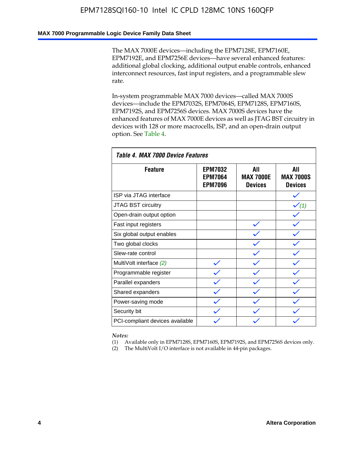### **MAX 7000 Programmable Logic Device Family Data Sheet**

The MAX 7000E devices—including the EPM7128E, EPM7160E, EPM7192E, and EPM7256E devices—have several enhanced features: additional global clocking, additional output enable controls, enhanced interconnect resources, fast input registers, and a programmable slew rate.

In-system programmable MAX 7000 devices—called MAX 7000S devices—include the EPM7032S, EPM7064S, EPM7128S, EPM7160S, EPM7192S, and EPM7256S devices. MAX 7000S devices have the enhanced features of MAX 7000E devices as well as JTAG BST circuitry in devices with 128 or more macrocells, ISP, and an open-drain output option. See Table 4.

| Table 4. MAX 7000 Device Features |                                                    |                                           |                                           |  |  |  |
|-----------------------------------|----------------------------------------------------|-------------------------------------------|-------------------------------------------|--|--|--|
| <b>Feature</b>                    | <b>EPM7032</b><br><b>EPM7064</b><br><b>EPM7096</b> | All<br><b>MAX 7000E</b><br><b>Devices</b> | All<br><b>MAX 7000S</b><br><b>Devices</b> |  |  |  |
| ISP via JTAG interface            |                                                    |                                           |                                           |  |  |  |
| JTAG BST circuitry                |                                                    |                                           | $\checkmark$ (1)                          |  |  |  |
| Open-drain output option          |                                                    |                                           |                                           |  |  |  |
| Fast input registers              |                                                    |                                           |                                           |  |  |  |
| Six global output enables         |                                                    |                                           |                                           |  |  |  |
| Two global clocks                 |                                                    |                                           |                                           |  |  |  |
| Slew-rate control                 |                                                    |                                           |                                           |  |  |  |
| MultiVolt interface (2)           |                                                    |                                           |                                           |  |  |  |
| Programmable register             |                                                    |                                           |                                           |  |  |  |
| Parallel expanders                |                                                    |                                           |                                           |  |  |  |
| Shared expanders                  |                                                    |                                           |                                           |  |  |  |
| Power-saving mode                 |                                                    |                                           |                                           |  |  |  |
| Security bit                      |                                                    |                                           |                                           |  |  |  |
| PCI-compliant devices available   |                                                    |                                           |                                           |  |  |  |

*Notes:*

(1) Available only in EPM7128S, EPM7160S, EPM7192S, and EPM7256S devices only.

(2) The MultiVolt I/O interface is not available in 44-pin packages.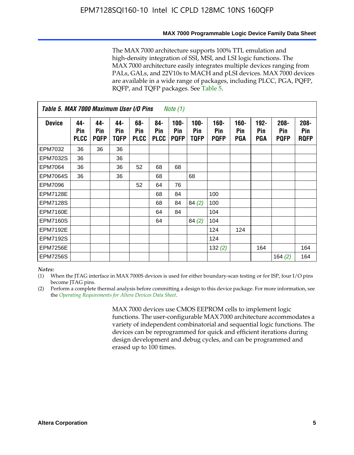#### **MAX 7000 Programmable Logic Device Family Data Sheet**

The MAX 7000 architecture supports 100% TTL emulation and high-density integration of SSI, MSI, and LSI logic functions. The MAX 7000 architecture easily integrates multiple devices ranging from PALs, GALs, and 22V10s to MACH and pLSI devices. MAX 7000 devices are available in a wide range of packages, including PLCC, PGA, PQFP, RQFP, and TQFP packages. See Table 5.

| Table 5. MAX 7000 Maximum User I/O Pins<br><i>Note</i> $(1)$ |                           |                           |                           |                           |                           |                               |                        |                            |                       |                                     |                               |                               |
|--------------------------------------------------------------|---------------------------|---------------------------|---------------------------|---------------------------|---------------------------|-------------------------------|------------------------|----------------------------|-----------------------|-------------------------------------|-------------------------------|-------------------------------|
| <b>Device</b>                                                | 44-<br>Pin<br><b>PLCC</b> | 44-<br>Pin<br><b>PQFP</b> | 44-<br><b>Pin</b><br>TQFP | 68-<br>Pin<br><b>PLCC</b> | 84-<br>Pin<br><b>PLCC</b> | $100 -$<br>Pin<br><b>PQFP</b> | $100 -$<br>Pin<br>TQFP | 160-<br>Pin<br><b>PQFP</b> | $160 -$<br>Pin<br>PGA | $192 -$<br><b>Pin</b><br><b>PGA</b> | $208 -$<br>Pin<br><b>PQFP</b> | $208 -$<br>Pin<br><b>ROFP</b> |
| EPM7032                                                      | 36                        | 36                        | 36                        |                           |                           |                               |                        |                            |                       |                                     |                               |                               |
| <b>EPM7032S</b>                                              | 36                        |                           | 36                        |                           |                           |                               |                        |                            |                       |                                     |                               |                               |
| <b>EPM7064</b>                                               | 36                        |                           | 36                        | 52                        | 68                        | 68                            |                        |                            |                       |                                     |                               |                               |
| <b>EPM7064S</b>                                              | 36                        |                           | 36                        |                           | 68                        |                               | 68                     |                            |                       |                                     |                               |                               |
| EPM7096                                                      |                           |                           |                           | 52                        | 64                        | 76                            |                        |                            |                       |                                     |                               |                               |
| <b>EPM7128E</b>                                              |                           |                           |                           |                           | 68                        | 84                            |                        | 100                        |                       |                                     |                               |                               |
| <b>EPM7128S</b>                                              |                           |                           |                           |                           | 68                        | 84                            | 84(2)                  | 100                        |                       |                                     |                               |                               |
| <b>EPM7160E</b>                                              |                           |                           |                           |                           | 64                        | 84                            |                        | 104                        |                       |                                     |                               |                               |
| <b>EPM7160S</b>                                              |                           |                           |                           |                           | 64                        |                               | 84(2)                  | 104                        |                       |                                     |                               |                               |
| <b>EPM7192E</b>                                              |                           |                           |                           |                           |                           |                               |                        | 124                        | 124                   |                                     |                               |                               |
| <b>EPM7192S</b>                                              |                           |                           |                           |                           |                           |                               |                        | 124                        |                       |                                     |                               |                               |
| <b>EPM7256E</b>                                              |                           |                           |                           |                           |                           |                               |                        | 132(2)                     |                       | 164                                 |                               | 164                           |
| <b>EPM7256S</b>                                              |                           |                           |                           |                           |                           |                               |                        |                            |                       |                                     | 164 $(2)$                     | 164                           |

#### *Notes:*

(1) When the JTAG interface in MAX 7000S devices is used for either boundary-scan testing or for ISP, four I/O pins become JTAG pins.

(2) Perform a complete thermal analysis before committing a design to this device package. For more information, see the *Operating Requirements for Altera Devices Data Sheet*.

> MAX 7000 devices use CMOS EEPROM cells to implement logic functions. The user-configurable MAX 7000 architecture accommodates a variety of independent combinatorial and sequential logic functions. The devices can be reprogrammed for quick and efficient iterations during design development and debug cycles, and can be programmed and erased up to 100 times.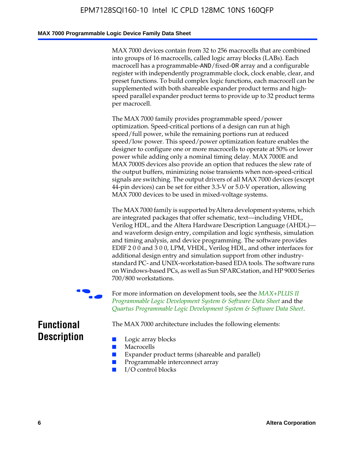### **MAX 7000 Programmable Logic Device Family Data Sheet**

MAX 7000 devices contain from 32 to 256 macrocells that are combined into groups of 16 macrocells, called logic array blocks (LABs). Each macrocell has a programmable-AND/fixed-OR array and a configurable register with independently programmable clock, clock enable, clear, and preset functions. To build complex logic functions, each macrocell can be supplemented with both shareable expander product terms and highspeed parallel expander product terms to provide up to 32 product terms per macrocell.

The MAX 7000 family provides programmable speed/power optimization. Speed-critical portions of a design can run at high speed/full power, while the remaining portions run at reduced speed/low power. This speed/power optimization feature enables the designer to configure one or more macrocells to operate at 50% or lower power while adding only a nominal timing delay. MAX 7000E and MAX 7000S devices also provide an option that reduces the slew rate of the output buffers, minimizing noise transients when non-speed-critical signals are switching. The output drivers of all MAX 7000 devices (except 44-pin devices) can be set for either 3.3-V or 5.0-V operation, allowing MAX 7000 devices to be used in mixed-voltage systems.

The MAX 7000 family is supported byAltera development systems, which are integrated packages that offer schematic, text—including VHDL, Verilog HDL, and the Altera Hardware Description Language (AHDL) and waveform design entry, compilation and logic synthesis, simulation and timing analysis, and device programming. The [software provides](http://www.altera.com/literature/ds/dsmii.pdf)  [EDIF 2 0 0 and 3 0 0, LPM, VHDL, Verilog HDL, and other in](http://www.altera.com/literature/ds/dsmii.pdf)terfaces for [additional design entry and simulation support from other industry](http://www.altera.com/literature/ds/quartus.pdf)standard PC- and UNIX-workstation-based EDA tools. The software runs on Windows-based PCs, as well as Sun SPARCstation, and HP 9000 Series 700/800 workstations.

For more information on development tools, see the **MAX+PLUS II** *Programmable Logic Development System & Software Data Sheet* and the *Quartus Programmable Logic Development System & Software Data Sheet*.

The MAX 7000 architecture includes the following elements:

### **Functional Description**

- Logic array blocks
- **Macrocells**
- Expander product terms (shareable and parallel)
- Programmable interconnect array
- I/O control blocks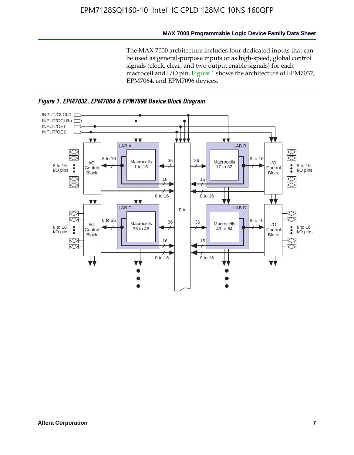### **MAX 7000 Programmable Logic Device Family Data Sheet**

The MAX 7000 architecture includes four dedicated inputs that can be used as general-purpose inputs or as high-speed, global control signals (clock, clear, and two output enable signals) for each macrocell and I/O pin. Figure 1 shows the architecture of EPM7032, EPM7064, and EPM7096 devices.



*Figure 1. EPM7032, EPM7064 & EPM7096 Device Block Diagram*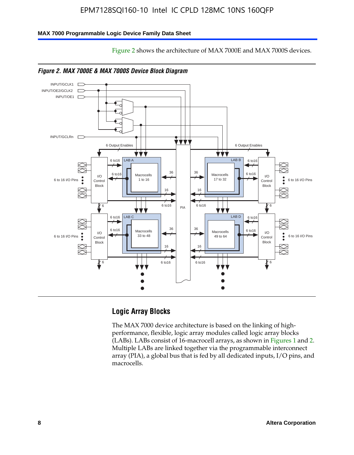Figure 2 shows the architecture of MAX 7000E and MAX 7000S devices.

### **MAX 7000 Programmable Logic Device Family Data Sheet**





### **Logic Array Blocks**

The MAX 7000 device architecture is based on the linking of highperformance, flexible, logic array modules called logic array blocks (LABs). LABs consist of 16-macrocell arrays, as shown in Figures 1 and 2. Multiple LABs are linked together via the programmable interconnect array (PIA), a global bus that is fed by all dedicated inputs, I/O pins, and macrocells.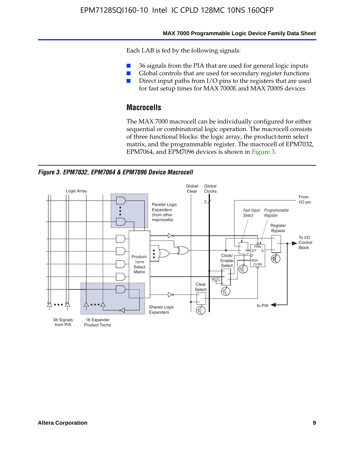#### **MAX 7000 Programmable Logic Device Family Data Sheet**

Each LAB is fed by the following signals:

- 36 signals from the PIA that are used for general logic inputs
- Global controls that are used for secondary register functions
- Direct input paths from I/O pins to the registers that are used for fast setup times for MAX 7000E and MAX 7000S devices

### **Macrocells**

The MAX 7000 macrocell can be individually configured for either sequential or combinatorial logic operation. The macrocell consists of three functional blocks: the logic array, the product-term select matrix, and the programmable register. The macrocell of EPM7032, EPM7064, and EPM7096 devices is shown in Figure 3.

*Figure 3. EPM7032, EPM7064 & EPM7096 Device Macrocell*

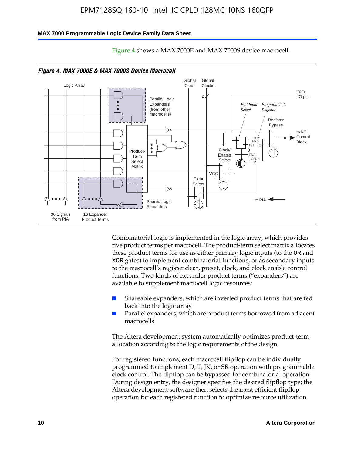#### **MAX 7000 Programmable Logic Device Family Data Sheet**



Figure 4 shows a MAX 7000E and MAX 7000S device macrocell.

*Figure 4. MAX 7000E & MAX 7000S Device Macrocell*

Combinatorial logic is implemented in the logic array, which provides five product terms per macrocell. The product-term select matrix allocates these product terms for use as either primary logic inputs (to the OR and XOR gates) to implement combinatorial functions, or as secondary inputs to the macrocell's register clear, preset, clock, and clock enable control functions. Two kinds of expander product terms ("expanders") are available to supplement macrocell logic resources:

- Shareable expanders, which are inverted product terms that are fed back into the logic array
- Parallel expanders, which are product terms borrowed from adjacent macrocells

The Altera development system automatically optimizes product-term allocation according to the logic requirements of the design.

For registered functions, each macrocell flipflop can be individually programmed to implement D, T, JK, or SR operation with programmable clock control. The flipflop can be bypassed for combinatorial operation. During design entry, the designer specifies the desired flipflop type; the Altera development software then selects the most efficient flipflop operation for each registered function to optimize resource utilization.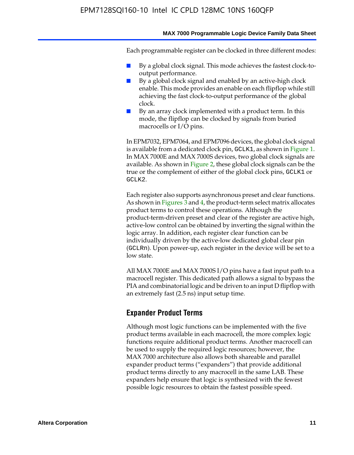Each programmable register can be clocked in three different modes:

- By a global clock signal. This mode achieves the fastest clock-tooutput performance.
- By a global clock signal and enabled by an active-high clock enable. This mode provides an enable on each flipflop while still achieving the fast clock-to-output performance of the global clock.
- By an array clock implemented with a product term. In this mode, the flipflop can be clocked by signals from buried macrocells or I/O pins.

In EPM7032, EPM7064, and EPM7096 devices, the global clock signal is available from a dedicated clock pin, GCLK1, as shown in Figure 1. In MAX 7000E and MAX 7000S devices, two global clock signals are available. As shown in Figure 2, these global clock signals can be the true or the complement of either of the global clock pins, GCLK1 or GCLK2.

Each register also supports asynchronous preset and clear functions. As shown in Figures 3 and 4, the product-term select matrix allocates product terms to control these operations. Although the product-term-driven preset and clear of the register are active high, active-low control can be obtained by inverting the signal within the logic array. In addition, each register clear function can be individually driven by the active-low dedicated global clear pin (GCLRn). Upon power-up, each register in the device will be set to a low state.

All MAX 7000E and MAX 7000S I/O pins have a fast input path to a macrocell register. This dedicated path allows a signal to bypass the PIA and combinatorial logic and be driven to an input D flipflop with an extremely fast (2.5 ns) input setup time.

### **Expander Product Terms**

Although most logic functions can be implemented with the five product terms available in each macrocell, the more complex logic functions require additional product terms. Another macrocell can be used to supply the required logic resources; however, the MAX 7000 architecture also allows both shareable and parallel expander product terms ("expanders") that provide additional product terms directly to any macrocell in the same LAB. These expanders help ensure that logic is synthesized with the fewest possible logic resources to obtain the fastest possible speed.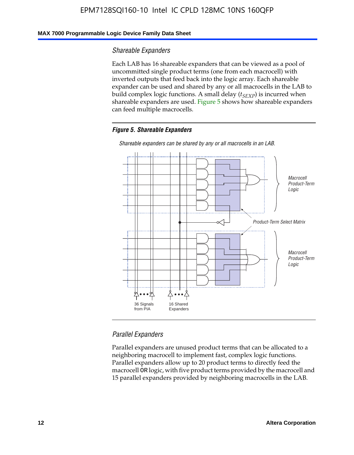### **MAX 7000 Programmable Logic Device Family Data Sheet**

### *Shareable Expanders*

Each LAB has 16 shareable expanders that can be viewed as a pool of uncommitted single product terms (one from each macrocell) with inverted outputs that feed back into the logic array. Each shareable expander can be used and shared by any or all macrocells in the LAB to build complex logic functions. A small delay ( $t_{SEXP}$ ) is incurred when shareable expanders are used. Figure 5 shows how shareable expanders can feed multiple macrocells.

### *Figure 5. Shareable Expanders*



*Shareable expanders can be shared by any or all macrocells in an LAB.*

### *Parallel Expanders*

Parallel expanders are unused product terms that can be allocated to a neighboring macrocell to implement fast, complex logic functions. Parallel expanders allow up to 20 product terms to directly feed the macrocell OR logic, with five product terms provided by the macrocell and 15 parallel expanders provided by neighboring macrocells in the LAB.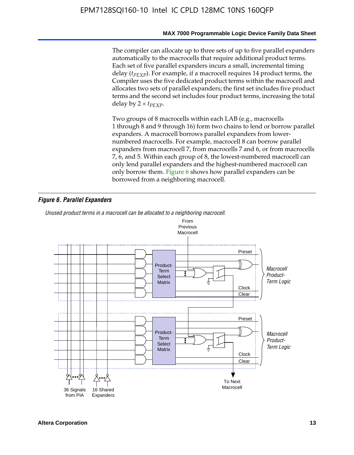The compiler can allocate up to three sets of up to five parallel expanders automatically to the macrocells that require additional product terms. Each set of five parallel expanders incurs a small, incremental timing delay (*t<sub>PEXP</sub>*). For example, if a macrocell requires 14 product terms, the Compiler uses the five dedicated product terms within the macrocell and allocates two sets of parallel expanders; the first set includes five product terms and the second set includes four product terms, increasing the total delay by  $2 \times t_{PFXP}$ .

Two groups of 8 macrocells within each LAB (e.g., macrocells 1 through 8 and 9 through 16) form two chains to lend or borrow parallel expanders. A macrocell borrows parallel expanders from lowernumbered macrocells. For example, macrocell 8 can borrow parallel expanders from macrocell 7, from macrocells 7 and 6, or from macrocells 7, 6, and 5. Within each group of 8, the lowest-numbered macrocell can only lend parallel expanders and the highest-numbered macrocell can only borrow them. Figure 6 shows how parallel expanders can be borrowed from a neighboring macrocell.

### *Figure 6. Parallel Expanders*

*Unused product terms in a macrocell can be allocated to a neighboring macrocell.*

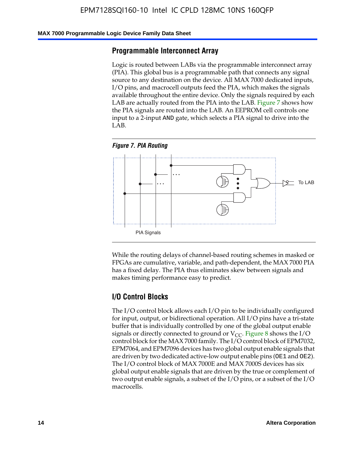#### **MAX 7000 Programmable Logic Device Family Data Sheet**

### **Programmable Interconnect Array**

Logic is routed between LABs via the programmable interconnect array (PIA). This global bus is a programmable path that connects any signal source to any destination on the device. All MAX 7000 dedicated inputs, I/O pins, and macrocell outputs feed the PIA, which makes the signals available throughout the entire device. Only the signals required by each LAB are actually routed from the PIA into the LAB. Figure 7 shows how the PIA signals are routed into the LAB. An EEPROM cell controls one input to a 2-input AND gate, which selects a PIA signal to drive into the LAB.





While the routing delays of channel-based routing schemes in masked or FPGAs are cumulative, variable, and path-dependent, the MAX 7000 PIA has a fixed delay. The PIA thus eliminates skew between signals and makes timing performance easy to predict.

### **I/O Control Blocks**

The I/O control block allows each I/O pin to be individually configured for input, output, or bidirectional operation. All I/O pins have a tri-state buffer that is individually controlled by one of the global output enable signals or directly connected to ground or  $V_{CC}$ . Figure 8 shows the I/O control block for the MAX 7000 family. The I/O control block of EPM7032, EPM7064, and EPM7096 devices has two global output enable signals that are driven by two dedicated active-low output enable pins (OE1 and OE2). The I/O control block of MAX 7000E and MAX 7000S devices has six global output enable signals that are driven by the true or complement of two output enable signals, a subset of the I/O pins, or a subset of the I/O macrocells.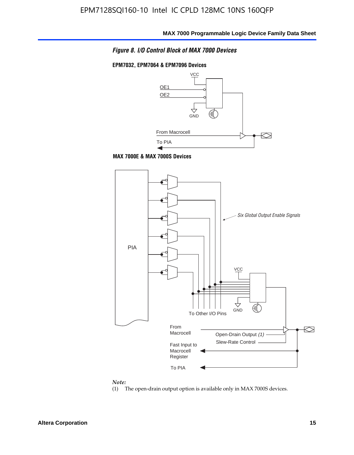

#### **EPM7032, EPM7064 & EPM7096 Devices**







#### *Note:*

(1) The open-drain output option is available only in MAX 7000S devices.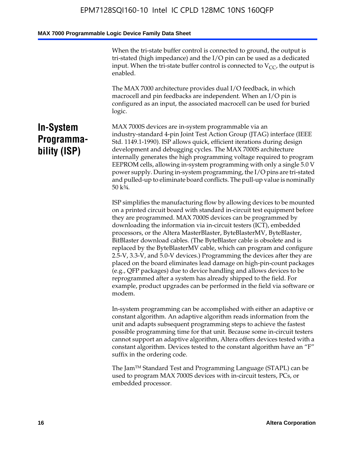When the tri-state buffer control is connected to ground, the output is tri-stated (high impedance) and the I/O pin can be used as a dedicated input. When the tri-state buffer control is connected to  $V_{CC}$ , the output is enabled.

The MAX 7000 architecture provides dual I/O feedback, in which macrocell and pin feedbacks are independent. When an I/O pin is configured as an input, the associated macrocell can be used for buried logic.

### **In-System Programmability (ISP)**

MAX 7000S devices are in-system programmable via an industry-standard 4-pin Joint Test Action Group (JTAG) interface (IEEE Std. 1149.1-1990). ISP allows quick, efficient iterations during design development and debugging cycles. The MAX 7000S architecture internally generates the high programming voltage required to program EEPROM cells, allowing in-system programming with only a single 5.0 V power supply. During in-system programming, the I/O pins are tri-stated and pulled-up to eliminate board conflicts. The pull-up value is nominally 50 k¾.

ISP simplifies the manufacturing flow by allowing devices to be mounted on a printed circuit board with standard in-circuit test equipment before they are programmed. MAX 7000S devices can be programmed by downloading the information via in-circuit testers (ICT), embedded processors, or the Altera MasterBlaster, ByteBlasterMV, ByteBlaster, BitBlaster download cables. (The ByteBlaster cable is obsolete and is replaced by the ByteBlasterMV cable, which can program and configure 2.5-V, 3.3-V, and 5.0-V devices.) Programming the devices after they are placed on the board eliminates lead damage on high-pin-count packages (e.g., QFP packages) due to device handling and allows devices to be reprogrammed after a system has already shipped to the field. For example, product upgrades can be performed in the field via software or modem.

In-system programming can be accomplished with either an adaptive or constant algorithm. An adaptive algorithm reads information from the unit and adapts subsequent programming steps to achieve the fastest possible programming time for that unit. Because some in-circuit testers cannot support an adaptive algorithm, Altera offers devices tested with a constant algorithm. Devices tested to the constant algorithm have an "F" suffix in the ordering code.

The Jam™ Standard Test and Programming Language (STAPL) can be used to program MAX 7000S devices with in-circuit testers, PCs, or embedded processor.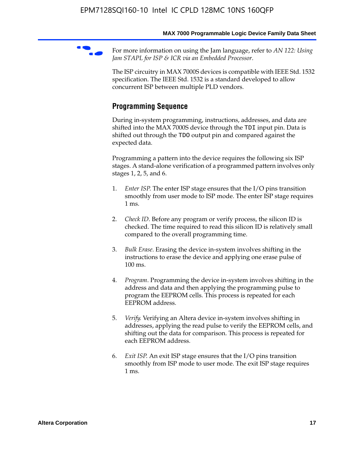For more information on using the Jam language, refer to *AN* 122: Using *Jam STAPL for ISP & ICR via an Embedded Processor*.

The ISP circuitry in MAX 7000S devices is compatible with IEEE Std. 1532 specification. The IEEE Std. 1532 is a standard developed to allow concurrent ISP between multiple PLD vendors.

### **Programming Sequence**

During in-system programming, instructions, addresses, and data are shifted into the MAX 7000S device through the TDI input pin. Data is shifted out through the TDO output pin and compared against the expected data.

Programming a pattern into the device requires the following six ISP stages. A stand-alone verification of a programmed pattern involves only stages 1, 2, 5, and 6.

- 1. *Enter ISP*. The enter ISP stage ensures that the I/O pins transition smoothly from user mode to ISP mode. The enter ISP stage requires 1 ms.
- 2. *Check ID*. Before any program or verify process, the silicon ID is checked. The time required to read this silicon ID is relatively small compared to the overall programming time.
- 3. *Bulk Erase*. Erasing the device in-system involves shifting in the instructions to erase the device and applying one erase pulse of 100 ms.
- 4. *Program*. Programming the device in-system involves shifting in the address and data and then applying the programming pulse to program the EEPROM cells. This process is repeated for each EEPROM address.
- 5. *Verify*. Verifying an Altera device in-system involves shifting in addresses, applying the read pulse to verify the EEPROM cells, and shifting out the data for comparison. This process is repeated for each EEPROM address.
- 6. *Exit ISP*. An exit ISP stage ensures that the I/O pins transition smoothly from ISP mode to user mode. The exit ISP stage requires 1 ms.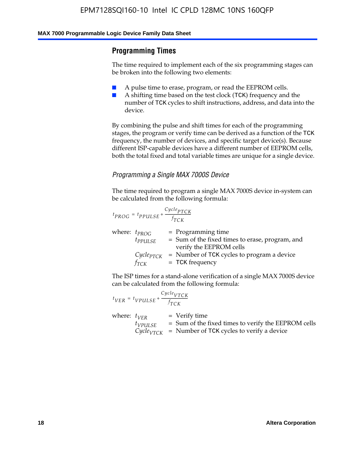### **Programming Times**

The time required to implement each of the six programming stages can be broken into the following two elements:

- A pulse time to erase, program, or read the EEPROM cells.
- A shifting time based on the test clock (TCK) frequency and the number of TCK cycles to shift instructions, address, and data into the device.

By combining the pulse and shift times for each of the programming stages, the program or verify time can be derived as a function of the TCK frequency, the number of devices, and specific target device(s). Because different ISP-capable devices have a different number of EEPROM cells, both the total fixed and total variable times are unique for a single device.

### *Programming a Single MAX 7000S Device*

The time required to program a single MAX 7000S device in-system can be calculated from the following formula:

$$
t_{PROG} = t_{PPULSE} + \frac{C_{ycle_{PTCK}}}{f_{TCK}}
$$
  
where:  $t_{PROG}$  = Programming time  
 $t_{PPULSE}$  = Sum of the fixed times to erase, program, and  
verify the EEPROM cells  
 $C_{ycle_{PTCK}}$  = Number of TCK cycles to program a device  
 $f_{TCK}$  = TCK frequency

The ISP times for a stand-alone verification of a single MAX 7000S device can be calculated from the following formula:

|                  | $t_{VER} = t_{VPULSE} + \frac{Cycle_{VTCK}}{f_{TCK}}$ |                                                                                                                                 |
|------------------|-------------------------------------------------------|---------------------------------------------------------------------------------------------------------------------------------|
| where: $t_{VFR}$ | $t_{VPULSE}$                                          | = Verify time<br>$=$ Sum of the fixed times to verify the EEPROM cells<br>$CycleVTCK$ = Number of TCK cycles to verify a device |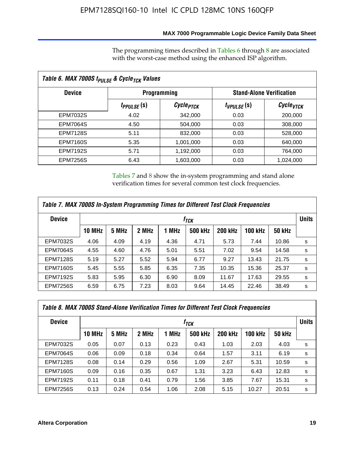### **MAX 7000 Programmable Logic Device Family Data Sheet**

The programming times described in Tables 6 through 8 are associated with the worst-case method using the enhanced ISP algorithm.

| Table 6. MAX 7000S t <sub>PULSE</sub> & Cycle <sub>TCK</sub> Values |                         |                       |                 |                                 |  |  |  |
|---------------------------------------------------------------------|-------------------------|-----------------------|-----------------|---------------------------------|--|--|--|
| <b>Device</b>                                                       |                         | <b>Programming</b>    |                 | <b>Stand-Alone Verification</b> |  |  |  |
|                                                                     | t <sub>PPULSE</sub> (S) | Cycle <sub>PTCK</sub> | $t_{VPULSE}(s)$ | $\mathcal C$ ycle $_{VTCK}$     |  |  |  |
| EPM7032S                                                            | 4.02                    | 342,000               | 0.03            | 200,000                         |  |  |  |
| <b>EPM7064S</b>                                                     | 4.50                    | 504,000               | 0.03            | 308,000                         |  |  |  |
| <b>EPM7128S</b>                                                     | 5.11                    | 832,000               | 0.03            | 528,000                         |  |  |  |
| <b>EPM7160S</b>                                                     | 5.35                    | 1,001,000             | 0.03            | 640,000                         |  |  |  |
| <b>EPM7192S</b>                                                     | 5.71                    | 1,192,000             | 0.03            | 764,000                         |  |  |  |
| <b>EPM7256S</b>                                                     | 6.43                    | 1,603,000             | 0.03            | 1,024,000                       |  |  |  |

Tables 7 and 8 show the in-system programming and stand alone verification times for several common test clock frequencies.

| Table 7. MAX 7000S In-System Programming Times for Different Test Clock Frequencies |                  |       |       |       |                |                |                |               |              |
|-------------------------------------------------------------------------------------|------------------|-------|-------|-------|----------------|----------------|----------------|---------------|--------------|
| <b>Device</b>                                                                       | † <sub>TCK</sub> |       |       |       |                |                |                |               | <b>Units</b> |
|                                                                                     | <b>10 MHz</b>    | 5 MHz | 2 MHz | 1 MHz | <b>500 kHz</b> | <b>200 kHz</b> | <b>100 kHz</b> | <b>50 kHz</b> |              |
| <b>EPM7032S</b>                                                                     | 4.06             | 4.09  | 4.19  | 4.36  | 4.71           | 5.73           | 7.44           | 10.86         | s            |
| <b>EPM7064S</b>                                                                     | 4.55             | 4.60  | 4.76  | 5.01  | 5.51           | 7.02           | 9.54           | 14.58         | s            |
| <b>EPM7128S</b>                                                                     | 5.19             | 5.27  | 5.52  | 5.94  | 6.77           | 9.27           | 13.43          | 21.75         | s            |
| <b>EPM7160S</b>                                                                     | 5.45             | 5.55  | 5.85  | 6.35  | 7.35           | 10.35          | 15.36          | 25.37         | s            |
| <b>EPM7192S</b>                                                                     | 5.83             | 5.95  | 6.30  | 6.90  | 8.09           | 11.67          | 17.63          | 29.55         | s            |
| <b>EPM7256S</b>                                                                     | 6.59             | 6.75  | 7.23  | 8.03  | 9.64           | 14.45          | 22.46          | 38.49         | s            |

| Table 8. MAX 7000S Stand-Alone Verification Times for Different Test Clock Frequencies |               |       |       |       |                  |                |                |               |              |
|----------------------------------------------------------------------------------------|---------------|-------|-------|-------|------------------|----------------|----------------|---------------|--------------|
| <b>Device</b>                                                                          |               |       |       |       | † <sub>TCK</sub> |                |                |               | <b>Units</b> |
|                                                                                        | <b>10 MHz</b> | 5 MHz | 2 MHz | 1 MHz | <b>500 kHz</b>   | <b>200 kHz</b> | <b>100 kHz</b> | <b>50 kHz</b> |              |
| <b>EPM7032S</b>                                                                        | 0.05          | 0.07  | 0.13  | 0.23  | 0.43             | 1.03           | 2.03           | 4.03          | s            |
| <b>EPM7064S</b>                                                                        | 0.06          | 0.09  | 0.18  | 0.34  | 0.64             | 1.57           | 3.11           | 6.19          | s            |
| <b>EPM7128S</b>                                                                        | 0.08          | 0.14  | 0.29  | 0.56  | 1.09             | 2.67           | 5.31           | 10.59         | s            |
| <b>EPM7160S</b>                                                                        | 0.09          | 0.16  | 0.35  | 0.67  | 1.31             | 3.23           | 6.43           | 12.83         | s            |
| <b>EPM7192S</b>                                                                        | 0.11          | 0.18  | 0.41  | 0.79  | 1.56             | 3.85           | 7.67           | 15.31         | s            |
| <b>EPM7256S</b>                                                                        | 0.13          | 0.24  | 0.54  | 1.06  | 2.08             | 5.15           | 10.27          | 20.51         | s            |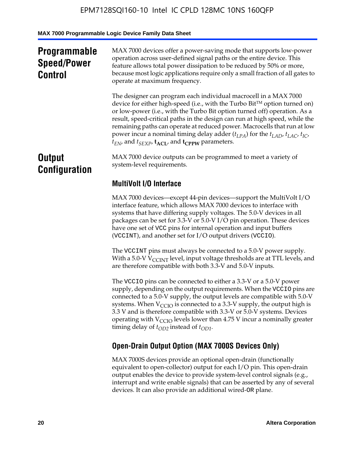### **Programmable Speed/Power Control**

MAX 7000 devices offer a power-saving mode that supports low-power operation across user-defined signal paths or the entire device. This feature allows total power dissipation to be reduced by 50% or more, because most logic applications require only a small fraction of all gates to operate at maximum frequency.

The designer can program each individual macrocell in a MAX 7000 device for either high-speed (i.e., with the Turbo  $Bit^{TM}$  option turned on) or low-power (i.e., with the Turbo Bit option turned off) operation. As a result, speed-critical paths in the design can run at high speed, while the remaining paths can operate at reduced power. Macrocells that run at low power incur a nominal timing delay adder  $(t_{LPA})$  for the  $t_{LAD}$ ,  $t_{LAC}$ ,  $t_{IC}$ ,  $t_{EN}$ , and  $t_{SEXP}$ ,  $t_{ACL}$ , and  $t_{CPPW}$  parameters.

### **Output Configuration**

MAX 7000 device outputs can be programmed to meet a variety of system-level requirements.

### **MultiVolt I/O Interface**

MAX 7000 devices—except 44-pin devices—support the MultiVolt I/O interface feature, which allows MAX 7000 devices to interface with systems that have differing supply voltages. The 5.0-V devices in all packages can be set for 3.3-V or 5.0-V I/O pin operation. These devices have one set of VCC pins for internal operation and input buffers (VCCINT), and another set for I/O output drivers (VCCIO).

The VCCINT pins must always be connected to a 5.0-V power supply. With a 5.0-V  $V_{\text{CCINT}}$  level, input voltage thresholds are at TTL levels, and are therefore compatible with both 3.3-V and 5.0-V inputs.

The VCCIO pins can be connected to either a 3.3-V or a 5.0-V power supply, depending on the output requirements. When the VCCIO pins are connected to a 5.0-V supply, the output levels are compatible with 5.0-V systems. When  $V_{\text{CGO}}$  is connected to a 3.3-V supply, the output high is 3.3 V and is therefore compatible with 3.3-V or 5.0-V systems. Devices operating with  $V_{\text{CCIO}}$  levels lower than 4.75 V incur a nominally greater timing delay of  $t_{OD2}$  instead of  $t_{OD1}$ .

### **Open-Drain Output Option (MAX 7000S Devices Only)**

MAX 7000S devices provide an optional open-drain (functionally equivalent to open-collector) output for each I/O pin. This open-drain output enables the device to provide system-level control signals (e.g., interrupt and write enable signals) that can be asserted by any of several devices. It can also provide an additional wired-OR plane.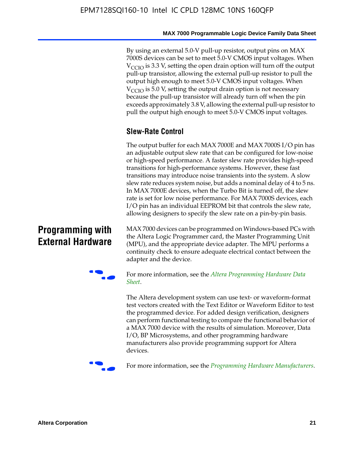By using an external 5.0-V pull-up resistor, output pins on MAX 7000S devices can be set to meet 5.0-V CMOS input voltages. When  $V<sub>CCIO</sub>$  is 3.3 V, setting the open drain option will turn off the output pull-up transistor, allowing the external pull-up resistor to pull the output high enough to meet 5.0-V CMOS input voltages. When  $V_{\text{CCIO}}$  is 5.0 V, setting the output drain option is not necessary because the pull-up transistor will already turn off when the pin exceeds approximately 3.8 V, allowing the external pull-up resistor to pull the output high enough to meet 5.0-V CMOS input voltages.

### **Slew-Rate Control**

The output buffer for each MAX 7000E and MAX 7000S I/O pin has an adjustable output slew rate that can be configured for low-noise or high-speed performance. A faster slew rate provides high-speed transitions for high-performance systems. However, these fast transitions may introduce noise transients into the system. A slow slew rate reduces system noise, but adds a nominal delay of 4 to 5 ns. In MAX 7000E devices, when the Turbo Bit is turned off, the slew rate is set for low noise performance. For MAX 7000S devices, each I/O pin has an individual EEPROM bit that controls the slew rate, allowing designers to specify the slew rate on a pin-by-pin basis.

### **Programming with External Hardware**

[MAX](http://www.altera.com/literature/ds/dspghd.pdf) 7000 devices can be prog[rammed on Windows-based PCs with](http://www.altera.com/literature/ds/dspghd.pdf)  the Altera Logic Programmer card, the Master Programming Unit (MPU), and the appropriate device adapter. The MPU performs a continuity check to ensure adequate electrical contact between the adapter and the device.



For more information, see the *Altera Programming Hardware Data Sheet*.

The Altera development system can use text- or waveform-format test vectors created with the Text Editor or Waveform Editor to test the programmed device. For added design verification, designers can perform functional testing to compare the functional behavior of a MAX 7000 device with the results of simulation. Moreover, Data I/O, BP Microsystems, and other programming hardware manufacturers also provide programming support for Altera devices.



For more information, see the *Programming Hardware Manufacturers*.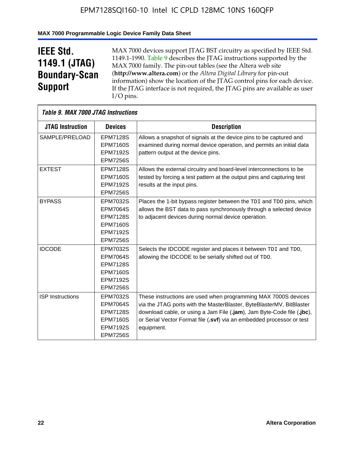### **MAX 7000 Programmable Logic Device Family Data Sheet**

## **IEEE Std. 1149.1 (JTAG) Boundary-Scan Support**

 $\mathsf{r}$ 

MAX 7000 devices support JTAG BST circuitry as specified by IEEE Std. 1149.1-1990. Table 9 describes the JTAG instructions supported by the MAX 7000 family. The pin-out tables (see the Altera web site (**http://www.altera.com**) or the *Altera Digital Library* for pin-out information) show the location of the JTAG control pins for each device. If the JTAG interface is not required, the JTAG pins are available as user I/O pins.

|                         | Table 9. MAX 7000 JTAG Instructions                                                                            |                                                                                                                                                                                                                                                                                                         |  |  |  |  |  |
|-------------------------|----------------------------------------------------------------------------------------------------------------|---------------------------------------------------------------------------------------------------------------------------------------------------------------------------------------------------------------------------------------------------------------------------------------------------------|--|--|--|--|--|
| <b>JTAG Instruction</b> | <b>Devices</b>                                                                                                 | <b>Description</b>                                                                                                                                                                                                                                                                                      |  |  |  |  |  |
| SAMPLE/PRELOAD          | <b>EPM7128S</b><br><b>EPM7160S</b><br><b>EPM7192S</b><br><b>EPM7256S</b>                                       | Allows a snapshot of signals at the device pins to be captured and<br>examined during normal device operation, and permits an initial data<br>pattern output at the device pins.                                                                                                                        |  |  |  |  |  |
| <b>EXTEST</b>           | <b>EPM7128S</b><br><b>EPM7160S</b><br><b>EPM7192S</b><br><b>EPM7256S</b>                                       | Allows the external circuitry and board-level interconnections to be<br>tested by forcing a test pattern at the output pins and capturing test<br>results at the input pins.                                                                                                                            |  |  |  |  |  |
| <b>BYPASS</b>           | EPM7032S<br><b>EPM7064S</b><br><b>EPM7128S</b><br><b>EPM7160S</b><br><b>EPM7192S</b><br><b>EPM7256S</b>        | Places the 1-bit bypass register between the TDI and TDO pins, which<br>allows the BST data to pass synchronously through a selected device<br>to adjacent devices during normal device operation.                                                                                                      |  |  |  |  |  |
| <b>IDCODE</b>           | EPM7032S<br><b>EPM7064S</b><br><b>EPM7128S</b><br><b>EPM7160S</b><br><b>EPM7192S</b><br><b>EPM7256S</b>        | Selects the IDCODE register and places it between TDI and TDO,<br>allowing the IDCODE to be serially shifted out of TDO.                                                                                                                                                                                |  |  |  |  |  |
| <b>ISP Instructions</b> | <b>EPM7032S</b><br><b>EPM7064S</b><br><b>EPM7128S</b><br><b>EPM7160S</b><br><b>EPM7192S</b><br><b>EPM7256S</b> | These instructions are used when programming MAX 7000S devices<br>via the JTAG ports with the MasterBlaster, ByteBlasterMV, BitBlaster<br>download cable, or using a Jam File (.jam), Jam Byte-Code file (.jbc),<br>or Serial Vector Format file (.svf) via an embedded processor or test<br>equipment. |  |  |  |  |  |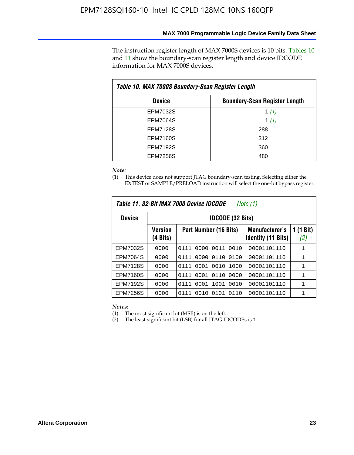The instruction register length of MAX 7000S devices is 10 bits. Tables 10 and 11 show the boundary-scan register length and device IDCODE information for MAX 7000S devices.

| Table 10. MAX 7000S Boundary-Scan Register Length |                                      |  |  |  |  |  |
|---------------------------------------------------|--------------------------------------|--|--|--|--|--|
| <b>Device</b>                                     | <b>Boundary-Scan Register Length</b> |  |  |  |  |  |
| <b>EPM7032S</b>                                   | 1 $(1)$                              |  |  |  |  |  |
| <b>EPM7064S</b>                                   | 1 $(1)$                              |  |  |  |  |  |
| <b>EPM7128S</b>                                   | 288                                  |  |  |  |  |  |
| <b>EPM7160S</b>                                   | 312                                  |  |  |  |  |  |
| <b>EPM7192S</b>                                   | 360                                  |  |  |  |  |  |
| <b>EPM7256S</b>                                   | 480                                  |  |  |  |  |  |

*Note:*

(1) This device does not support JTAG boundary-scan testing. Selecting either the EXTEST or SAMPLE/PRELOAD instruction will select the one-bit bypass register.

| Table 11, 32-Bit MAX 7000 Device IDCODE<br>Note (1) |                            |                              |                                                    |                  |  |  |
|-----------------------------------------------------|----------------------------|------------------------------|----------------------------------------------------|------------------|--|--|
| <b>Device</b>                                       |                            | <b>IDCODE (32 Bits)</b>      |                                                    |                  |  |  |
|                                                     | <b>Version</b><br>(4 Bits) | Part Number (16 Bits)        | <b>Manufacturer's</b><br><b>Identity (11 Bits)</b> | 1 (1 Bit)<br>(2) |  |  |
| EPM7032S                                            | 0000                       | 0011<br>0010<br>0111<br>0000 | 00001101110                                        | 1                |  |  |
| <b>EPM7064S</b>                                     | 0000                       | 0110<br>0100<br>0111<br>0000 | 00001101110                                        | $\mathbf{1}$     |  |  |
| <b>EPM7128S</b>                                     | 0000                       | 0001 0010 1000<br>0111       | 00001101110                                        | $\mathbf{1}$     |  |  |
| <b>EPM7160S</b>                                     | 0000                       | 0001<br>0110<br>0000<br>0111 | 00001101110                                        | $\mathbf{1}$     |  |  |
| <b>EPM7192S</b>                                     | 0000                       | 0111<br>1001<br>0010<br>0001 | 00001101110                                        | 1                |  |  |
| EPM7256S                                            | 0000                       | 0111<br>0010<br>0101<br>0110 | 00001101110                                        | 1                |  |  |

*Notes:*

(1) The most significant bit (MSB) is on the left.

(2) The least significant bit (LSB) for all JTAG IDCODEs is 1.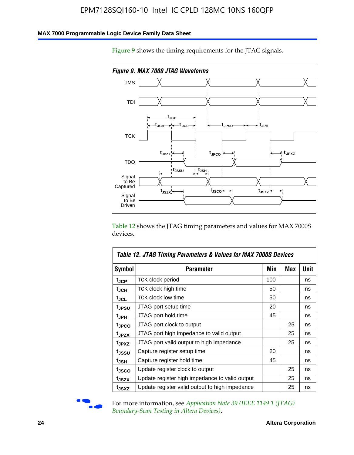### **MAX 7000 Programmable Logic Device Family Data Sheet**

Figure 9 shows the timing requirements for the JTAG signals.



Table 12 shows the JTAG timing parameters and values for MAX 7000S devices.

|                   | Table 12. JTAG Timing Parameters & Values for MAX 7000S Devices |     |            |      |
|-------------------|-----------------------------------------------------------------|-----|------------|------|
| <b>Symbol</b>     | Parameter                                                       | Min | <b>Max</b> | Unit |
| t <sub>JCP</sub>  | TCK clock period                                                | 100 |            | ns   |
| t <sub>JCH</sub>  | TCK clock high time                                             | 50  |            | ns   |
| t <sub>JCL</sub>  | <b>TCK clock low time</b>                                       | 50  |            | ns   |
| t <sub>JPSU</sub> | JTAG port setup time                                            | 20  |            | ns   |
| t <sub>JPH</sub>  | JTAG port hold time                                             | 45  |            | ns   |
| t <sub>JPCO</sub> | JTAG port clock to output                                       |     | 25         | ns   |
| t <sub>JPZX</sub> | JTAG port high impedance to valid output                        |     | 25         | ns   |
| t <sub>JPXZ</sub> | JTAG port valid output to high impedance                        |     | 25         | ns   |
| t <sub>JSSU</sub> | Capture register setup time                                     | 20  |            | ns   |
| t <sub>JSH</sub>  | Capture register hold time                                      | 45  |            | ns   |
| t <sub>JSCO</sub> | Update register clock to output                                 |     | 25         | ns   |
| t <sub>JSZX</sub> | Update register high impedance to valid output                  |     | 25         | ns   |
| t <sub>JSXZ</sub> | Update register valid output to high impedance                  |     | 25         | ns   |



For more information, see *Application Note 39 (IEEE 1149.1 (JTAG) Boundary-Scan Testing in Altera Devices)*.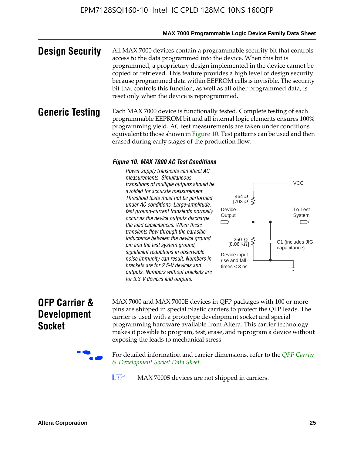#### **MAX 7000 Programmable Logic Device Family Data Sheet**

**Design Security** All MAX 7000 devices contain a programmable security bit that controls access to the data programmed into the device. When this bit is programmed, a proprietary design implemented in the device cannot be copied or retrieved. This feature provides a high level of design security because programmed data within EEPROM cells is invisible. The security bit that controls this function, as well as all other programmed data, is reset only when the device is reprogrammed.

### **Generic Testing** Each MAX 7000 device is functionally tested. Complete testing of each programmable EEPROM bit and all internal logic elements ensures 100% programming yield. AC test measurements are taken under conditions equivalent to those shown in Figure 10. Test patterns can be used and then erased during early stages of the production flow.

#### *Figure 10. MAX 7000 AC Test Conditions*

*Power supply transients can affect AC measurements. Simultaneous transitions of multiple outputs should be avoided for accurate measurement. Threshold tests must not be performed under AC conditions. Large-amplitude, fast ground-current transients normally occur as the device outputs discharge the load capacitances. When these transients flow through the parasitic inductance between the device ground pin and the test system ground, significant reductions in observable noise immunity can result. Numbers in brackets are for 2.5-V devices and outputs. Numbers without brackets are for 3.3-V devices and outputs.*



### **QFP Carrier & Development Socket**

MAX 7000 and MAX 7000E devices in QFP packages with 10[0 or more](http://www.altera.com/literature/ds/dsqfp.pdf)  [pins are shipped in special plas](http://www.altera.com/literature/ds/dsqfp.pdf)tic carriers to protect the QFP leads. The carrier is used with a prototype development socket and special programming hardware available from Altera. This carrier technology makes it possible to program, test, erase, and reprogram a device without exposing the leads to mechanical stress.

For detailed information and carrier dimensions, refer to the *QFP Carrier & Development Socket Data Sheet*.

MAX 7000S devices are not shipped in carriers.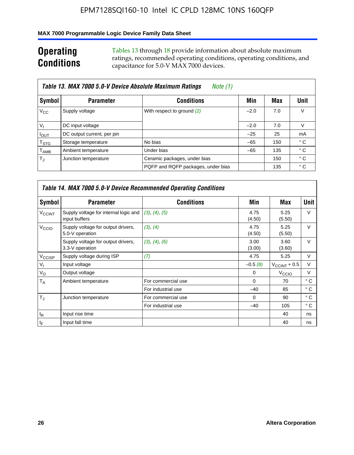### **MAX 7000 Programmable Logic Device Family Data Sheet**

### **Operating Conditions**

Tables 13 through 18 provide information about absolute maximum ratings, recommended operating conditions, operating conditions, and capacitance for 5.0-V MAX 7000 devices.

|                             | Table 13. MAX 7000 5.0-V Device Absolute Maximum Ratings | Note (1)                           |        |     |      |
|-----------------------------|----------------------------------------------------------|------------------------------------|--------|-----|------|
| Symbol                      | <b>Parameter</b>                                         | <b>Conditions</b>                  | Min    | Max | Unit |
| $V_{\rm CC}$                | Supply voltage                                           | With respect to ground (2)         | $-2.0$ | 7.0 | V    |
| $V_{1}$                     | DC input voltage                                         |                                    | $-2.0$ | 7.0 | V    |
| $I_{\text{OUT}}$            | DC output current, per pin                               |                                    | $-25$  | 25  | mA   |
| $\mathsf{T}_{\text{STG}}$   | Storage temperature                                      | No bias                            | $-65$  | 150 | ° C  |
| $\mathsf{T}_{\mathsf{AMB}}$ | Ambient temperature                                      | Under bias                         | $-65$  | 135 | ° C  |
| $T_{\rm J}$                 | Junction temperature                                     | Ceramic packages, under bias       |        | 150 | ° C  |
|                             |                                                          | PQFP and RQFP packages, under bias |        | 135 | ° C  |

|                          |                                                        | Table 14. MAX 7000 5.0-V Device Recommended Operating Conditions |                |                          |              |
|--------------------------|--------------------------------------------------------|------------------------------------------------------------------|----------------|--------------------------|--------------|
| Symbol                   | <b>Parameter</b>                                       | <b>Conditions</b>                                                | Min            | Max                      | Unit         |
| <b>V<sub>CCINT</sub></b> | Supply voltage for internal logic and<br>input buffers | (3), (4), (5)                                                    | 4.75<br>(4.50) | 5.25<br>(5.50)           | $\vee$       |
| V <sub>CCIO</sub>        | Supply voltage for output drivers,<br>5.0-V operation  | (3), (4)                                                         | 4.75<br>(4.50) | 5.25<br>(5.50)           | $\vee$       |
|                          | Supply voltage for output drivers,<br>3.3-V operation  | (3), (4), (6)                                                    | 3.00<br>(3.00) | 3.60<br>(3.60)           | $\vee$       |
| V <sub>CCISP</sub>       | Supply voltage during ISP                              | (7)                                                              | 4.75           | 5.25                     | V            |
| $V_{1}$                  | Input voltage                                          |                                                                  | $-0.5(8)$      | $V_{\text{CCINT}} + 0.5$ | $\vee$       |
| $V_{\rm O}$              | Output voltage                                         |                                                                  | 0              | V <sub>CCIO</sub>        | V            |
| T <sub>A</sub>           | Ambient temperature                                    | For commercial use                                               | $\Omega$       | 70                       | $^{\circ}$ C |
|                          |                                                        | For industrial use                                               | $-40$          | 85                       | °C           |
| $T_{\rm d}$              | Junction temperature                                   | For commercial use                                               | $\Omega$       | 90                       | ° C          |
|                          |                                                        | For industrial use                                               | $-40$          | 105                      | $^{\circ}$ C |
| $t_{R}$                  | Input rise time                                        |                                                                  |                | 40                       | ns           |
| $t_F$                    | Input fall time                                        |                                                                  |                | 40                       | ns           |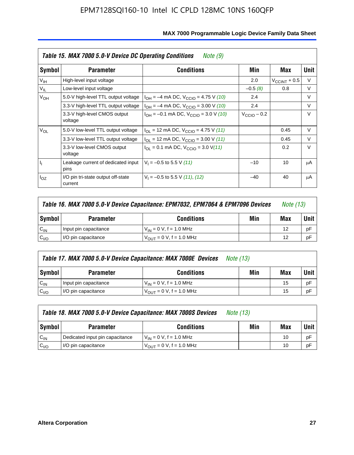|                 | Table 15. MAX 7000 5.0-V Device DC Operating Conditions<br>Note (9) |                                                                                                         |  |                       |        |  |  |  |
|-----------------|---------------------------------------------------------------------|---------------------------------------------------------------------------------------------------------|--|-----------------------|--------|--|--|--|
| Symbol          | <b>Parameter</b>                                                    | <b>Conditions</b><br>Min<br>2.0<br>$-0.5(8)$<br>2.4<br>2.4<br>$V_{\text{CClO}}$ – 0.2<br>$-10$<br>$-40$ |  | Max                   | Unit   |  |  |  |
| V <sub>IH</sub> | High-level input voltage                                            |                                                                                                         |  | $V_{\rm CCINT}$ + 0.5 | V      |  |  |  |
| $V_{IL}$        | Low-level input voltage                                             |                                                                                                         |  | 0.8                   | V      |  |  |  |
| $V_{OH}$        | 5.0-V high-level TTL output voltage                                 | $I_{OH} = -4$ mA DC, $V_{CClO} = 4.75$ V (10)                                                           |  |                       | V      |  |  |  |
|                 | 3.3-V high-level TTL output voltage                                 | $I_{OH} = -4$ mA DC, $V_{CClO} = 3.00$ V (10)                                                           |  |                       | V      |  |  |  |
|                 | 3.3-V high-level CMOS output<br>voltage                             | $I_{OH} = -0.1$ mA DC, $V_{CClO} = 3.0$ V (10)                                                          |  |                       | $\vee$ |  |  |  |
| $V_{OL}$        | 5.0-V low-level TTL output voltage                                  | $I_{\text{OI}}$ = 12 mA DC, $V_{\text{CCIO}}$ = 4.75 V (11)                                             |  | 0.45                  | V      |  |  |  |
|                 | 3.3-V low-level TTL output voltage                                  | $I_{OL}$ = 12 mA DC, $V_{CClO}$ = 3.00 V (11)                                                           |  | 0.45                  | $\vee$ |  |  |  |
|                 | 3.3-V low-level CMOS output<br>voltage                              | $I_{\text{OI}} = 0.1 \text{ mA DC}, V_{\text{CCIO}} = 3.0 \text{ V} (11)$                               |  | 0.2                   | $\vee$ |  |  |  |
| I <sub>I</sub>  | Leakage current of dedicated input<br>pins                          | $V_1 = -0.5$ to 5.5 V (11)                                                                              |  | 10                    | μA     |  |  |  |
| $I_{OZ}$        | I/O pin tri-state output off-state<br>current                       | $V_1 = -0.5$ to 5.5 V (11), (12)                                                                        |  | 40                    | μA     |  |  |  |

|                  | Table 16. MAX 7000 5.0-V Device Capacitance: EPM7032, EPM7064 & EPM7096 Devices<br><i>Note (13)</i> |                                      |     |     |      |
|------------------|-----------------------------------------------------------------------------------------------------|--------------------------------------|-----|-----|------|
| Symbol           | <b>Parameter</b>                                                                                    | <b>Conditions</b>                    | Min | Max | Unit |
| $C_{IN}$         | Input pin capacitance                                                                               | $V_{IN} = 0 V$ , f = 1.0 MHz         |     | 12  | рF   |
| C <sub>I/O</sub> | I/O pin capacitance                                                                                 | $V_{\text{OUT}} = 0 V$ , f = 1.0 MHz |     | 12  | рF   |

|                  | Table 17. MAX 7000 5.0-V Device Capacitance: MAX 7000E Devices | <i>Note (13)</i>               |     |     |        |
|------------------|----------------------------------------------------------------|--------------------------------|-----|-----|--------|
| Symbol           | <b>Parameter</b>                                               | <b>Conditions</b>              | Min | Max | Unit I |
| $C_{IN}$         | Input pin capacitance                                          | $V_{1N} = 0 V$ , f = 1.0 MHz   |     | 15  | pF     |
| C <sub>I/O</sub> | I/O pin capacitance                                            | $V_{OIII} = 0 V$ , f = 1.0 MHz |     | 15  | pF     |

|                  | Table 18. MAX 7000 5.0-V Device Capacitance: MAX 7000S Devices | <i>Note (13)</i>                    |     |     |        |
|------------------|----------------------------------------------------------------|-------------------------------------|-----|-----|--------|
| Symbol           | <b>Parameter</b>                                               | <b>Conditions</b>                   | Min | Max | Unit I |
| $C_{IN}$         | Dedicated input pin capacitance                                | $V_{IN} = 0 V$ , f = 1.0 MHz        |     | 10  | pF     |
| C <sub>I/O</sub> | I/O pin capacitance                                            | $V_{\text{OUT}} = 0 V, f = 1.0 MHz$ |     | 10  | pF     |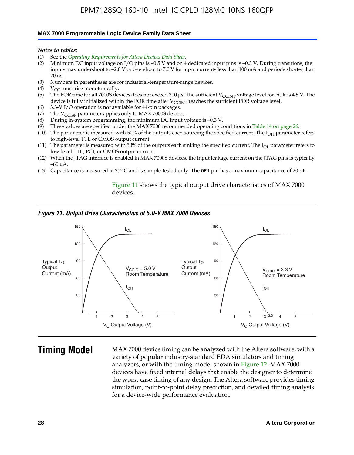#### **MAX 7000 Programmable Logic Device Family Data Sheet**

*Notes to tables:*

- (1) See the *Operating Requirements for Altera Devices Data Sheet*.
- (2) Minimum DC input voltage on I/O pins is –0.5 V and on 4 dedicated input pins is –0.3 V. During transitions, the inputs may undershoot to –2.0 V or overshoot to 7.0 V for input currents less than 100 mA and periods shorter than  $20$  ns.
- (3) Numbers in parentheses are for industrial-temperature-range devices.<br>(4)  $V_{CC}$  must rise monotonically.
- $V_{CC}$  must rise monotonically.
- (5) The POR time for all 7000S devices does not exceed 300 µs. The sufficient V<sub>CCINT</sub> voltage level for POR is 4.5 V. The device is fully initialized within the POR time after  $V_{\text{CCINT}}$  reaches the sufficient POR voltage level.
- (6) 3.3-V I/O operation is not available for 44-pin packages.
- (7) The  $V_{\text{CCISP}}$  parameter applies only to MAX 7000S devices.
- (8) During in-system programming, the minimum DC input voltage is –0.3 V.
- (9) These values are specified under the MAX 7000 recommended operating conditions in Table 14 on page 26.
- (10) The parameter is measured with 50% of the outputs each sourcing the specified current. The  $I_{OH}$  parameter refers to high-level TTL or CMOS output current.
- (11) The parameter is measured with 50% of the outputs each sinking the specified current. The  $I_{OL}$  parameter refers to low-level TTL, PCI, or CMOS output current.
- (12) When the JTAG interface is enabled in MAX 7000S devices, the input leakage current on the JTAG pins is typically –60 μA.
- (13) Capacitance is measured at 25° C and is sample-tested only. The OE1 pin has a maximum capacitance of 20 pF.

Figure 11 shows the typical output drive characteristics of MAX 7000 devices.

#### *Figure 11. Output Drive Characteristics of 5.0-V MAX 7000 Devices*



**Timing Model** MAX 7000 device timing can be analyzed with the Altera software, with a variety of popular industry-standard EDA simulators and timing analyzers, or with the timing model shown in Figure 12. MAX 7000 devices have fixed internal delays that enable the designer to determine the worst-case timing of any design. The Altera software provides timing simulation, point-to-point delay prediction, and detailed timing analysis for a device-wide performance evaluation.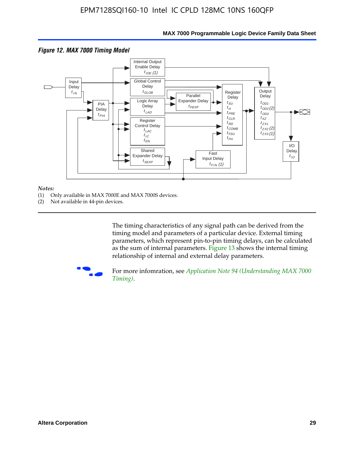

### **MAX 7000 Programmable Logic Device Family Data Sheet**

#### *Notes:*

- (1) Only available in MAX 7000E and MAX 7000S devices.
- (2) Not available in 44-pin devices.

[The tim](http://www.altera.com/literature/an/an094.pdf)ing characteristics [of any signal path can be derived from the](http://www.altera.com/literature/an/an094.pdf)  timing model and parameters of a particular device. External timing parameters, which represent pin-to-pin timing delays, can be calculated as the sum of internal parameters. Figure 13 shows the internal timing relationship of internal and external delay parameters.



For more infomration, see *Application Note 94 (Understanding MAX 7000 Timing)*.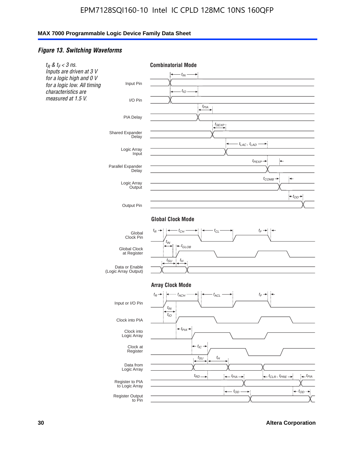### *Figure 13. Switching Waveforms*



**30 Altera Corporation**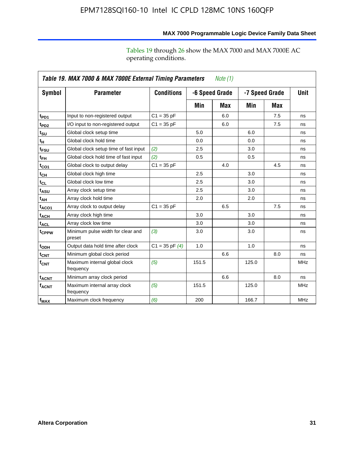|                         | Table 19. MAX 7000 & MAX 7000E External Timing Parameters<br>Note (1) |                    |       |                                  |       |             |            |  |
|-------------------------|-----------------------------------------------------------------------|--------------------|-------|----------------------------------|-------|-------------|------------|--|
| Symbol                  | <b>Parameter</b>                                                      | <b>Conditions</b>  |       | -6 Speed Grade<br>-7 Speed Grade |       | <b>Unit</b> |            |  |
|                         |                                                                       |                    | Min   | Max                              | Min   | Max         |            |  |
| t <sub>PD1</sub>        | Input to non-registered output                                        | $C1 = 35 pF$       |       | 6.0                              |       | 7.5         | ns         |  |
| $t_{PD2}$               | I/O input to non-registered output                                    | $C1 = 35 pF$       |       | 6.0                              |       | 7.5         | ns         |  |
| $t_{\text{SU}}$         | Global clock setup time                                               |                    | 5.0   |                                  | 6.0   |             | ns         |  |
| $t_H$                   | Global clock hold time                                                |                    | 0.0   |                                  | 0.0   |             | ns         |  |
| t <sub>FSU</sub>        | Global clock setup time of fast input                                 | (2)                | 2.5   |                                  | 3.0   |             | ns         |  |
| $t_{FH}$                | Global clock hold time of fast input                                  | (2)                | 0.5   |                                  | 0.5   |             | ns         |  |
| $t_{CO1}$               | Global clock to output delay                                          | $C1 = 35 pF$       |       | 4.0                              |       | 4.5         | ns         |  |
| $t_{\text{CH}}$         | Global clock high time                                                |                    | 2.5   |                                  | 3.0   |             | ns         |  |
| $t_{CL}$                | Global clock low time                                                 |                    | 2.5   |                                  | 3.0   |             | ns         |  |
| t <sub>ASU</sub>        | Array clock setup time                                                |                    | 2.5   |                                  | 3.0   |             | ns         |  |
| t <sub>АН</sub>         | Array clock hold time                                                 |                    | 2.0   |                                  | 2.0   |             | ns         |  |
| $t_{ACO1}$              | Array clock to output delay                                           | $C1 = 35 pF$       |       | 6.5                              |       | 7.5         | ns         |  |
| t <sub>ACH</sub>        | Array clock high time                                                 |                    | 3.0   |                                  | 3.0   |             | ns         |  |
| $t_{\sf ACL}$           | Array clock low time                                                  |                    | 3.0   |                                  | 3.0   |             | ns         |  |
| t <sub>CPPW</sub>       | Minimum pulse width for clear and<br>preset                           | (3)                | 3.0   |                                  | 3.0   |             | ns         |  |
| t <sub>ODH</sub>        | Output data hold time after clock                                     | $C1 = 35$ pF $(4)$ | 1.0   |                                  | 1.0   |             | ns         |  |
| $t_{\mathsf{CNT}}$      | Minimum global clock period                                           |                    |       | 6.6                              |       | 8.0         | ns         |  |
| $f_{\text{CNT}}$        | Maximum internal global clock<br>frequency                            | (5)                | 151.5 |                                  | 125.0 |             | <b>MHz</b> |  |
| <b>t<sub>ACNT</sub></b> | Minimum array clock period                                            |                    |       | 6.6                              |       | 8.0         | ns         |  |
| <b>f<sub>ACNT</sub></b> | Maximum internal array clock<br>frequency                             | (5)                | 151.5 |                                  | 125.0 |             | <b>MHz</b> |  |
| $f_{MAX}$               | Maximum clock frequency                                               | (6)                | 200   |                                  | 166.7 |             | <b>MHz</b> |  |

### **MAX 7000 Programmable Logic Device Family Data Sheet**

Tables 19 through 26 show the MAX 7000 and MAX 7000E AC operating conditions.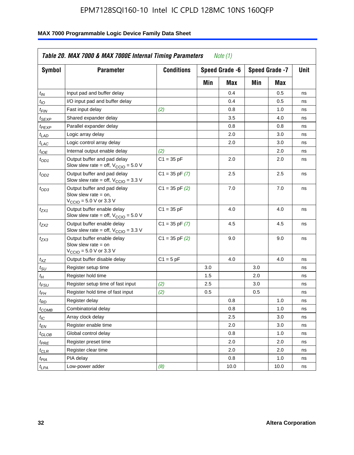| Symbol                      | <b>Parameter</b>                                                                                             | <b>Conditions</b>  |     | Speed Grade -6 |     | Speed Grade -7 | Unit |
|-----------------------------|--------------------------------------------------------------------------------------------------------------|--------------------|-----|----------------|-----|----------------|------|
|                             |                                                                                                              |                    | Min | Max            | Min | Max            |      |
| $t_{IN}$                    | Input pad and buffer delay                                                                                   |                    |     | 0.4            |     | 0.5            | ns   |
| $t_{IO}$                    | I/O input pad and buffer delay                                                                               |                    |     | 0.4            |     | 0.5            | ns   |
| $t_{\textit{FIN}}$          | Fast input delay                                                                                             | (2)                |     | 0.8            |     | 1.0            | ns   |
| <sup>t</sup> SEXP           | Shared expander delay                                                                                        |                    |     | 3.5            |     | 4.0            | ns   |
| t <sub>PEXP</sub>           | Parallel expander delay                                                                                      |                    |     | 0.8            |     | 0.8            | ns   |
| t <sub>LAD</sub>            | Logic array delay                                                                                            |                    |     | 2.0            |     | 3.0            | ns   |
| $t_{LAC}$                   | Logic control array delay                                                                                    |                    |     | 2.0            |     | 3.0            | ns   |
| $t_{IOE}$                   | Internal output enable delay                                                                                 | (2)                |     |                |     | 2.0            | ns   |
| $t_{OD1}$                   | Output buffer and pad delay<br>Slow slew rate = off, $V_{\text{CCIO}} = 5.0 V$                               | $C1 = 35$ pF       |     | 2.0            |     | 2.0            | ns   |
| $t_{OD2}$                   | Output buffer and pad delay<br>Slow slew rate = off, $V_{\text{CCIO}} = 3.3$ V                               | $C1 = 35$ pF $(7)$ |     | 2.5            |     | 2.5            | ns   |
| $t_{OD3}$                   | Output buffer and pad delay<br>Slow slew rate $=$ on,<br>$V_{\text{CCIO}} = 5.0 \text{ V or } 3.3 \text{ V}$ | $C1 = 35$ pF $(2)$ |     | 7.0            |     | 7.0            | ns   |
| $t_{ZX1}$                   | Output buffer enable delay<br>Slow slew rate = off, $V_{\text{CCIO}} = 5.0 V$                                | $C1 = 35 pF$       |     | 4.0            |     | 4.0            | ns   |
| $t_{ZX2}$                   | Output buffer enable delay<br>Slow slew rate = off, $V_{\text{CCIO}} = 3.3$ V                                | $C1 = 35$ pF $(7)$ |     | 4.5            |     | 4.5            | ns   |
| tzx3                        | Output buffer enable delay<br>Slow slew rate $=$ on<br>$V_{\text{CCIO}} = 5.0 \text{ V}$ or 3.3 V            | $C1 = 35$ pF $(2)$ |     | 9.0            |     | 9.0            | ns   |
| $t_{\mathsf{XZ}}$           | Output buffer disable delay                                                                                  | $C1 = 5pF$         |     | 4.0            |     | 4.0            | ns   |
| $t_{\scriptstyle\text{SU}}$ | Register setup time                                                                                          |                    | 3.0 |                | 3.0 |                | ns   |
| t <sub>Η</sub>              | Register hold time                                                                                           |                    | 1.5 |                | 2.0 |                | ns   |
| $t_{\mathsf{FSU}}$          | Register setup time of fast input                                                                            | (2)                | 2.5 |                | 3.0 |                | ns   |
| $t_{FH}$                    | Register hold time of fast input                                                                             | (2)                | 0.5 |                | 0.5 |                | ns   |
| t <sub>RD</sub>             | Register delay                                                                                               |                    |     | 0.8            |     | 1.0            | ns   |
| $t_{COMB}$                  | Combinatorial delay                                                                                          |                    |     | 0.8            |     | 1.0            | ns   |
| $t_{\mathcal{IC}}$          | Array clock delay                                                                                            |                    |     | 2.5            |     | 3.0            | ns   |
| $t_{EN}$                    | Register enable time                                                                                         |                    |     | 2.0            |     | 3.0            | ns   |
| $t_{GLOB}$                  | Global control delay                                                                                         |                    |     | 0.8            |     | 1.0            | ns   |
| $t_{PRE}$                   | Register preset time                                                                                         |                    |     | 2.0            |     | 2.0            | ns   |
| $t_{\sf CLR}$               | Register clear time                                                                                          |                    |     | 2.0            |     | 2.0            | ns   |
| t <sub>PIA</sub>            | PIA delay                                                                                                    |                    |     | 0.8            |     | 1.0            | ns   |
| $t_{LPA}$                   | Low-power adder                                                                                              | (8)                |     | 10.0           |     | 10.0           | ns   |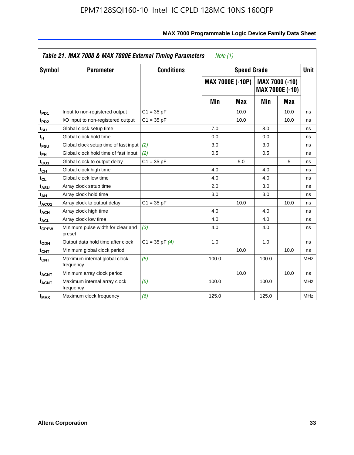|                         | Table 21. MAX 7000 & MAX 7000E External Timing Parameters |                    | Note (1) |                    |       |                                          |             |
|-------------------------|-----------------------------------------------------------|--------------------|----------|--------------------|-------|------------------------------------------|-------------|
| Symbol                  | <b>Parameter</b>                                          | <b>Conditions</b>  |          | <b>Speed Grade</b> |       |                                          | <b>Unit</b> |
|                         |                                                           |                    |          | MAX 7000E (-10P)   |       | MAX 7000 (-10)<br><b>MAX 7000E (-10)</b> |             |
|                         |                                                           |                    | Min      | Max                | Min   | Max                                      |             |
| t <sub>PD1</sub>        | Input to non-registered output                            | $C1 = 35 pF$       |          | 10.0               |       | 10.0                                     | ns          |
| t <sub>PD2</sub>        | I/O input to non-registered output                        | $C1 = 35 pF$       |          | 10.0               |       | 10.0                                     | ns          |
| t <sub>SU</sub>         | Global clock setup time                                   |                    | 7.0      |                    | 8.0   |                                          | ns          |
| tμ                      | Global clock hold time                                    |                    | 0.0      |                    | 0.0   |                                          | ns          |
| t <sub>FSU</sub>        | Global clock setup time of fast input                     | (2)                | 3.0      |                    | 3.0   |                                          | ns          |
| t <sub>FH</sub>         | Global clock hold time of fast input                      | (2)                | 0.5      |                    | 0.5   |                                          | ns          |
| t <sub>CO1</sub>        | Global clock to output delay                              | $C1 = 35 pF$       |          | 5.0                |       | 5                                        | ns          |
| $t_{\mathsf{CH}}$       | Global clock high time                                    |                    | 4.0      |                    | 4.0   |                                          | ns          |
| $t_{CL}$                | Global clock low time                                     |                    | 4.0      |                    | 4.0   |                                          | ns          |
| t <sub>ASU</sub>        | Array clock setup time                                    |                    | 2.0      |                    | 3.0   |                                          | ns          |
| $t_{AH}$                | Array clock hold time                                     |                    | 3.0      |                    | 3.0   |                                          | ns          |
| t <sub>ACO1</sub>       | Array clock to output delay                               | $C1 = 35 pF$       |          | 10.0               |       | 10.0                                     | ns          |
| <b>t<sub>ACH</sub></b>  | Array clock high time                                     |                    | 4.0      |                    | 4.0   |                                          | ns          |
| $t_{\sf ACL}$           | Array clock low time                                      |                    | 4.0      |                    | 4.0   |                                          | ns          |
| t <sub>CPPW</sub>       | Minimum pulse width for clear and<br>preset               | (3)                | 4.0      |                    | 4.0   |                                          | ns          |
| t <sub>ODH</sub>        | Output data hold time after clock                         | $C1 = 35$ pF $(4)$ | 1.0      |                    | 1.0   |                                          | ns          |
| $t_{\mathsf{CNT}}$      | Minimum global clock period                               |                    |          | 10.0               |       | 10.0                                     | ns          |
| $f_{\mathsf{CNT}}$      | Maximum internal global clock<br>frequency                | (5)                | 100.0    |                    | 100.0 |                                          | <b>MHz</b>  |
| <b>t<sub>ACNT</sub></b> | Minimum array clock period                                |                    |          | 10.0               |       | 10.0                                     | ns          |
| $f_{ACNT}$              | Maximum internal array clock<br>frequency                 | (5)                | 100.0    |                    | 100.0 |                                          | <b>MHz</b>  |
| f <sub>MAX</sub>        | Maximum clock frequency                                   | (6)                | 125.0    |                    | 125.0 |                                          | <b>MHz</b>  |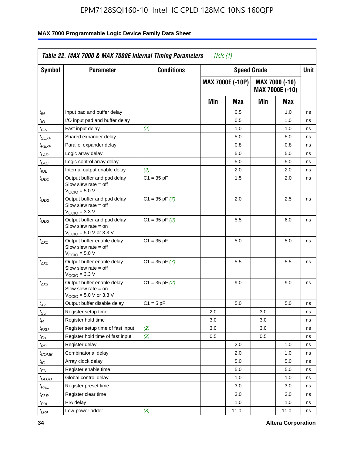| Symbol                      | <b>Parameter</b>                                                                                            | <b>Conditions</b>  |     | <b>Speed Grade</b>      |     |                                   | Unit |
|-----------------------------|-------------------------------------------------------------------------------------------------------------|--------------------|-----|-------------------------|-----|-----------------------------------|------|
|                             |                                                                                                             |                    |     | <b>MAX 7000E (-10P)</b> |     | MAX 7000 (-10)<br>MAX 7000E (-10) |      |
|                             |                                                                                                             |                    | Min | Max                     | Min | Max                               |      |
| $t_{IN}$                    | Input pad and buffer delay                                                                                  |                    |     | 0.5                     |     | 1.0                               | ns   |
| $t_{IO}$                    | I/O input pad and buffer delay                                                                              |                    |     | 0.5                     |     | 1.0                               | ns   |
| t <sub>FIN</sub>            | Fast input delay                                                                                            | (2)                |     | 1.0                     |     | 1.0                               | ns   |
| $t_{SEXP}$                  | Shared expander delay                                                                                       |                    |     | 5.0                     |     | 5.0                               | ns   |
| $t_{PEXP}$                  | Parallel expander delay                                                                                     |                    |     | 0.8                     |     | 0.8                               | ns   |
| t <sub>LAD</sub>            | Logic array delay                                                                                           |                    |     | 5.0                     |     | 5.0                               | ns   |
| $t_{LAC}$                   | Logic control array delay                                                                                   |                    |     | 5.0                     |     | 5.0                               | ns   |
| $t_{IOE}$                   | Internal output enable delay                                                                                | (2)                |     | 2.0                     |     | 2.0                               | ns   |
| $t_{OD1}$                   | Output buffer and pad delay<br>Slow slew rate $=$ off<br>V <sub>CCIO</sub> = 5.0 V                          | $C1 = 35 pF$       |     | 1.5                     |     | 2.0                               | ns   |
| $t_{OD2}$                   | Output buffer and pad delay<br>Slow slew rate $=$ off<br>$V_{\text{CCIO}} = 3.3 \text{ V}$                  | $C1 = 35$ pF $(7)$ |     | 2.0                     |     | 2.5                               | ns   |
| $t_{OD3}$                   | Output buffer and pad delay<br>Slow slew rate $=$ on<br>$V_{\text{CCIO}} = 5.0 \text{ V or } 3.3 \text{ V}$ | $C1 = 35$ pF $(2)$ |     | 5.5                     |     | 6.0                               | ns   |
| t <sub>ZX1</sub>            | Output buffer enable delay<br>Slow slew rate $=$ off<br>$VCCIO = 5.0 V$                                     | $C1 = 35 pF$       |     | 5.0                     |     | 5.0                               | ns   |
| t <sub>ZX2</sub>            | Output buffer enable delay<br>Slow slew rate $=$ off<br>$VCCIO = 3.3 V$                                     | $C1 = 35$ pF $(7)$ |     | 5.5                     |     | 5.5                               | ns   |
| t <sub>ZX3</sub>            | Output buffer enable delay<br>Slow slew rate $=$ on<br>$V_{\text{CCIO}} = 5.0 \text{ V or } 3.3 \text{ V}$  | $C1 = 35$ pF $(2)$ |     | 9.0                     |     | 9.0                               | ns   |
| $t_{XZ}$                    | Output buffer disable delay                                                                                 | $C1 = 5 pF$        |     | 5.0                     |     | 5.0                               | ns   |
| $t_{\scriptstyle\text{SU}}$ | Register setup time                                                                                         |                    | 2.0 |                         | 3.0 |                                   | ns   |
| $t_H$                       | Register hold time                                                                                          |                    | 3.0 |                         | 3.0 |                                   | ns   |
| $t_{\it FSU}$               | Register setup time of fast input                                                                           | (2)                | 3.0 |                         | 3.0 |                                   | ns   |
| $t_{FH}$                    | Register hold time of fast input                                                                            | (2)                | 0.5 |                         | 0.5 |                                   | ns   |
| t <sub>RD</sub>             | Register delay                                                                                              |                    |     | 2.0                     |     | 1.0                               | ns   |
| $t_{COMB}$                  | Combinatorial delay                                                                                         |                    |     | 2.0                     |     | 1.0                               | ns   |
| ЧC                          | Array clock delay                                                                                           |                    |     | 5.0                     |     | 5.0                               | ns   |
| $t_{EN}$                    | Register enable time                                                                                        |                    |     | 5.0                     |     | 5.0                               | ns   |
| $t_{GLOB}$                  | Global control delay                                                                                        |                    |     | 1.0                     |     | 1.0                               | ns   |
| $t_{PRE}$                   | Register preset time                                                                                        |                    |     | 3.0                     |     | 3.0                               | ns   |
| $t_{CLR}$                   | Register clear time                                                                                         |                    |     | 3.0                     |     | 3.0                               | ns   |
| t <sub>PIA</sub>            | PIA delay                                                                                                   |                    |     | 1.0                     |     | 1.0                               | ns   |
| $t_{LPA}$                   | Low-power adder                                                                                             | (8)                |     | 11.0                    |     | 11.0                              | ns   |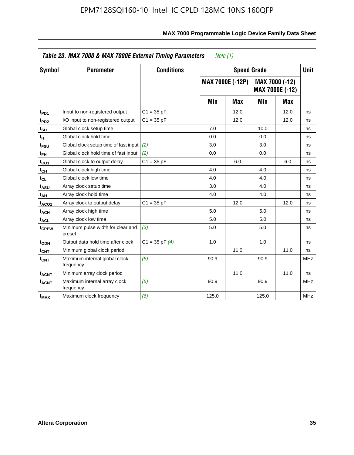|                             | Table 23. MAX 7000 & MAX 7000E External Timing Parameters |                    | Note (1) |                  |                    |                                          |             |
|-----------------------------|-----------------------------------------------------------|--------------------|----------|------------------|--------------------|------------------------------------------|-------------|
| Symbol                      | <b>Parameter</b>                                          | <b>Conditions</b>  |          |                  | <b>Speed Grade</b> |                                          | <b>Unit</b> |
|                             |                                                           |                    |          | MAX 7000E (-12P) |                    | MAX 7000 (-12)<br><b>MAX 7000E (-12)</b> |             |
|                             |                                                           |                    | Min      | <b>Max</b>       | Min                | <b>Max</b>                               |             |
| t <sub>PD1</sub>            | Input to non-registered output                            | $C1 = 35 pF$       |          | 12.0             |                    | 12.0                                     | ns          |
| t <sub>PD2</sub>            | I/O input to non-registered output                        | $C1 = 35 pF$       |          | 12.0             |                    | 12.0                                     | ns          |
| t <sub>su</sub>             | Global clock setup time                                   |                    | 7.0      |                  | 10.0               |                                          | ns          |
| tμ                          | Global clock hold time                                    |                    | 0.0      |                  | 0.0                |                                          | ns          |
| t <sub>FSU</sub>            | Global clock setup time of fast input                     | (2)                | 3.0      |                  | 3.0                |                                          | ns          |
| t <sub>FH</sub>             | Global clock hold time of fast input                      | (2)                | 0.0      |                  | 0.0                |                                          | ns          |
| t <sub>CO1</sub>            | Global clock to output delay                              | $C1 = 35 pF$       |          | 6.0              |                    | 6.0                                      | ns          |
| $t_{\mathsf{CH}}$           | Global clock high time                                    |                    | 4.0      |                  | 4.0                |                                          | ns          |
| $t_{CL}$                    | Global clock low time                                     |                    | 4.0      |                  | 4.0                |                                          | ns          |
| t <sub>ASU</sub>            | Array clock setup time                                    |                    | 3.0      |                  | 4.0                |                                          | ns          |
| t <sub>АН</sub>             | Array clock hold time                                     |                    | 4.0      |                  | 4.0                |                                          | ns          |
| t <sub>ACO1</sub>           | Array clock to output delay                               | $C1 = 35 pF$       |          | 12.0             |                    | 12.0                                     | ns          |
| t <sub>АСН</sub>            | Array clock high time                                     |                    | 5.0      |                  | 5.0                |                                          | ns          |
| $t_{\sf ACL}$               | Array clock low time                                      |                    | 5.0      |                  | 5.0                |                                          | ns          |
| t <sub>CPPW</sub>           | Minimum pulse width for clear and<br>preset               | (3)                | 5.0      |                  | 5.0                |                                          | ns          |
| t <sub>ODH</sub>            | Output data hold time after clock                         | $C1 = 35$ pF $(4)$ | 1.0      |                  | 1.0                |                                          | ns          |
| $t_{\mathsf{CNT}}$          | Minimum global clock period                               |                    |          | 11.0             |                    | 11.0                                     | ns          |
| $\mathsf{f}_{\mathsf{CNT}}$ | Maximum internal global clock<br>frequency                | (5)                | 90.9     |                  | 90.9               |                                          | <b>MHz</b>  |
| <b>t<sub>ACNT</sub></b>     | Minimum array clock period                                |                    |          | 11.0             |                    | 11.0                                     | ns          |
| f <sub>ACNT</sub>           | Maximum internal array clock<br>frequency                 | (5)                | 90.9     |                  | 90.9               |                                          | <b>MHz</b>  |
| $f_{MAX}$                   | Maximum clock frequency                                   | (6)                | 125.0    |                  | 125.0              |                                          | <b>MHz</b>  |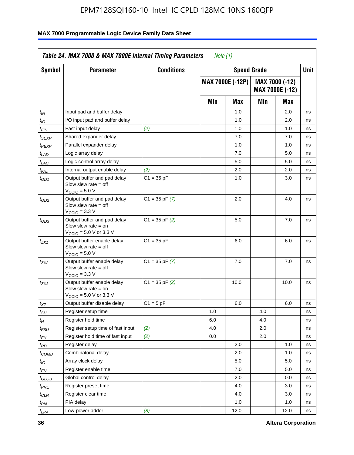| <b>Symbol</b>               | <b>Parameter</b>                                                                                            | <b>Conditions</b>  |     | <b>Speed Grade</b>      |     |                                          | <b>Unit</b> |
|-----------------------------|-------------------------------------------------------------------------------------------------------------|--------------------|-----|-------------------------|-----|------------------------------------------|-------------|
|                             |                                                                                                             |                    |     | <b>MAX 7000E (-12P)</b> |     | MAX 7000 (-12)<br><b>MAX 7000E (-12)</b> |             |
|                             |                                                                                                             |                    | Min | <b>Max</b>              | Min | Max                                      |             |
| t <sub>IN</sub>             | Input pad and buffer delay                                                                                  |                    |     | 1.0                     |     | 2.0                                      | ns          |
| $t_{IO}$                    | I/O input pad and buffer delay                                                                              |                    |     | 1.0                     |     | 2.0                                      | ns          |
| $t_{\textit{FIN}}$          | Fast input delay                                                                                            | (2)                |     | 1.0                     |     | 1.0                                      | ns          |
| t <sub>SEXP</sub>           | Shared expander delay                                                                                       |                    |     | 7.0                     |     | 7.0                                      | ns          |
| t <sub>PEXP</sub>           | Parallel expander delay                                                                                     |                    |     | 1.0                     |     | 1.0                                      | ns          |
| $t_{LAD}$                   | Logic array delay                                                                                           |                    |     | 7.0                     |     | 5.0                                      | ns          |
| t <sub>LAC</sub>            | Logic control array delay                                                                                   |                    |     | 5.0                     |     | 5.0                                      | ns          |
| $t_{\text{IOE}}$            | Internal output enable delay                                                                                | (2)                |     | 2.0                     |     | 2.0                                      | ns          |
| $t_{OD1}$                   | Output buffer and pad delay<br>Slow slew rate $=$ off<br>$V_{\text{CCIO}} = 5.0 V$                          | $C1 = 35 pF$       |     | 1.0                     |     | 3.0                                      | ns          |
| $t_{OD2}$                   | Output buffer and pad delay<br>Slow slew rate $=$ off<br>$VCCIO = 3.3 V$                                    | $C1 = 35$ pF $(7)$ |     | 2.0                     |     | 4.0                                      | ns          |
| t <sub>OD3</sub>            | Output buffer and pad delay<br>Slow slew rate $=$ on<br>$V_{\text{CCIO}} = 5.0 \text{ V or } 3.3 \text{ V}$ | $C1 = 35$ pF $(2)$ |     | 5.0                     |     | 7.0                                      | ns          |
| $t_{ZX1}$                   | Output buffer enable delay<br>Slow slew rate $=$ off<br>$V_{\text{CCIO}} = 5.0 V$                           | $C1 = 35 pF$       |     | 6.0                     |     | 6.0                                      | ns          |
| tzx2                        | Output buffer enable delay<br>Slow slew rate $=$ off<br>$VCCIO = 3.3 V$                                     | $C1 = 35$ pF $(7)$ |     | 7.0                     |     | 7.0                                      | ns          |
| $t_{ZX3}$                   | Output buffer enable delay<br>Slow slew rate $=$ on<br>$V_{\text{CCIO}} = 5.0 \text{ V or } 3.3 \text{ V}$  | $C1 = 35$ pF $(2)$ |     | 10.0                    |     | 10.0                                     | ns          |
| $t_{XZ}$                    | Output buffer disable delay                                                                                 | $C1 = 5$ pF        |     | 6.0                     |     | 6.0                                      | ns          |
| $t_{\scriptstyle\text{SU}}$ | Register setup time                                                                                         |                    | 1.0 |                         | 4.0 |                                          | ns          |
| $t_H$                       | Register hold time                                                                                          |                    | 6.0 |                         | 4.0 |                                          | ns          |
| t <sub>FSU</sub>            | Register setup time of fast input                                                                           | (2)                | 4.0 |                         | 2.0 |                                          | ns          |
| t <sub>FH</sub>             | Register hold time of fast input                                                                            | (2)                | 0.0 |                         | 2.0 |                                          | ns          |
| $t_{RD}$                    | Register delay                                                                                              |                    |     | 2.0                     |     | 1.0                                      | ns          |
| $t_{COMB}$                  | Combinatorial delay                                                                                         |                    |     | 2.0                     |     | 1.0                                      | ns          |
| ЧC                          | Array clock delay                                                                                           |                    |     | $5.0\,$                 |     | 5.0                                      | ns          |
| $t_{EN}$                    | Register enable time                                                                                        |                    |     | 7.0                     |     | 5.0                                      | ns          |
| $t_{GLOB}$                  | Global control delay                                                                                        |                    |     | 2.0                     |     | 0.0                                      | ns          |
| t <sub>PRE</sub>            | Register preset time                                                                                        |                    |     | 4.0                     |     | 3.0                                      | ns          |
| $t_{CLR}$                   | Register clear time                                                                                         |                    |     | 4.0                     |     | 3.0                                      | ns          |
| $t_{PIA}$                   | PIA delay                                                                                                   |                    |     | 1.0                     |     | 1.0                                      | ns          |
| t <sub>LPA</sub>            | Low-power adder                                                                                             | (8)                |     | 12.0                    |     | 12.0                                     | ns          |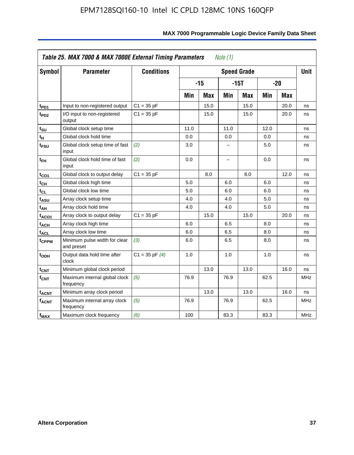| <b>Symbol</b>           | <b>Parameter</b>                            | <b>Conditions</b>  |      |            |         | <b>Speed Grade</b> |      |            | <b>Unit</b> |
|-------------------------|---------------------------------------------|--------------------|------|------------|---------|--------------------|------|------------|-------------|
|                         |                                             |                    |      | $-15$      |         | $-15T$             |      | $-20$      |             |
|                         |                                             |                    | Min  | <b>Max</b> | Min     | <b>Max</b>         | Min  | <b>Max</b> |             |
| $t_{PD1}$               | Input to non-registered output              | $C1 = 35 pF$       |      | 15.0       |         | 15.0               |      | 20.0       | ns          |
| t <sub>PD2</sub>        | I/O input to non-registered<br>output       | $C1 = 35 pF$       |      | 15.0       |         | 15.0               |      | 20.0       | ns          |
| tsu                     | Global clock setup time                     |                    | 11.0 |            | 11.0    |                    | 12.0 |            | ns          |
| $t_H$                   | Global clock hold time                      |                    | 0.0  |            | $0.0\,$ |                    | 0.0  |            | ns          |
| t <sub>FSU</sub>        | Global clock setup time of fast<br>input    | (2)                | 3.0  |            | -       |                    | 5.0  |            | ns          |
| $t_{FH}$                | Global clock hold time of fast<br>input     | (2)                | 0.0  |            | -       |                    | 0.0  |            | ns          |
| t <sub>CO1</sub>        | Global clock to output delay                | $C1 = 35 pF$       |      | 8.0        |         | 8.0                |      | 12.0       | ns          |
| $t_{\mathsf{CH}}$       | Global clock high time                      |                    | 5.0  |            | 6.0     |                    | 6.0  |            | ns          |
| $t_{CL}$                | Global clock low time                       |                    | 5.0  |            | 6.0     |                    | 6.0  |            | ns          |
| $t_{ASU}$               | Array clock setup time                      |                    | 4.0  |            | 4.0     |                    | 5.0  |            | ns          |
| t <sub>АН</sub>         | Array clock hold time                       |                    | 4.0  |            | 4.0     |                    | 5.0  |            | ns          |
| t <sub>ACO1</sub>       | Array clock to output delay                 | $C1 = 35 pF$       |      | 15.0       |         | 15.0               |      | 20.0       | ns          |
| $t_{\sf ACH}$           | Array clock high time                       |                    | 6.0  |            | 6.5     |                    | 8.0  |            | ns          |
| t <sub>ACL</sub>        | Array clock low time                        |                    | 6.0  |            | 6.5     |                    | 8.0  |            | ns          |
| t <sub>CPPW</sub>       | Minimum pulse width for clear<br>and preset | (3)                | 6.0  |            | 6.5     |                    | 8.0  |            | ns          |
| t <sub>ODH</sub>        | Output data hold time after<br>clock        | $C1 = 35$ pF $(4)$ | 1.0  |            | 1.0     |                    | 1.0  |            | ns          |
| $t_{\mathsf{CNT}}$      | Minimum global clock period                 |                    |      | 13.0       |         | 13.0               |      | 16.0       | ns          |
| $f_{\mathsf{CNT}}$      | Maximum internal global clock<br>frequency  | (5)                | 76.9 |            | 76.9    |                    | 62.5 |            | <b>MHz</b>  |
| <b>t<sub>ACNT</sub></b> | Minimum array clock period                  |                    |      | 13.0       |         | 13.0               |      | 16.0       | ns          |
| <b>fACNT</b>            | Maximum internal array clock<br>frequency   | (5)                | 76.9 |            | 76.9    |                    | 62.5 |            | <b>MHz</b>  |
| $f_{MAX}$               | Maximum clock frequency                     | (6)                | 100  |            | 83.3    |                    | 83.3 |            | MHz         |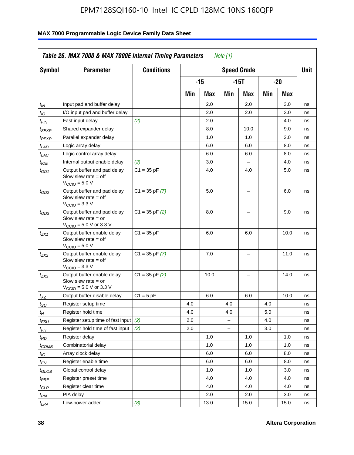| <b>Symbol</b>                 | <b>Parameter</b>                                                                                            | <b>Conditions</b>  |     |      |                          | <b>Speed Grade</b>       |     |      | <b>Unit</b> |
|-------------------------------|-------------------------------------------------------------------------------------------------------------|--------------------|-----|------|--------------------------|--------------------------|-----|------|-------------|
|                               |                                                                                                             |                    |     | -15  |                          | $-15T$                   |     | -20  |             |
|                               |                                                                                                             |                    | Min | Max  | Min                      | Max                      | Min | Max  |             |
| $t_{IN}$                      | Input pad and buffer delay                                                                                  |                    |     | 2.0  |                          | 2.0                      |     | 3.0  | ns          |
| $t_{IO}$                      | I/O input pad and buffer delay                                                                              |                    |     | 2.0  |                          | 2.0                      |     | 3.0  | ns          |
| $t_{\sf FIN}$                 | Fast input delay                                                                                            | (2)                |     | 2.0  |                          | $\equiv$                 |     | 4.0  | ns          |
| $t_{SEXP}$                    | Shared expander delay                                                                                       |                    |     | 8.0  |                          | 10.0                     |     | 9.0  | ns          |
| t <sub>PEXP</sub>             | Parallel expander delay                                                                                     |                    |     | 1.0  |                          | 1.0                      |     | 2.0  | ns          |
| t <sub>LAD</sub>              | Logic array delay                                                                                           |                    |     | 6.0  |                          | 6.0                      |     | 8.0  | ns          |
| $t_{LAC}$                     | Logic control array delay                                                                                   |                    |     | 6.0  |                          | 6.0                      |     | 8.0  | ns          |
| $t_{IOE}$                     | Internal output enable delay                                                                                | (2)                |     | 3.0  |                          | $\overline{\phantom{0}}$ |     | 4.0  | ns          |
| $t_{OD1}$                     | Output buffer and pad delay<br>Slow slew rate $=$ off<br>$V_{\text{CCIO}} = 5.0 V$                          | $C1 = 35 pF$       |     | 4.0  |                          | 4.0                      |     | 5.0  | ns          |
| $t_{OD2}$                     | Output buffer and pad delay<br>Slow slew rate $=$ off<br>$V_{\text{CCIO}} = 3.3 \text{ V}$                  | $C1 = 35$ pF $(7)$ |     | 5.0  |                          | $\overline{\phantom{0}}$ |     | 6.0  | ns          |
| $t_{OD3}$                     | Output buffer and pad delay<br>Slow slew rate $=$ on<br>$V_{\text{CCIO}} = 5.0 \text{ V or } 3.3 \text{ V}$ | $C1 = 35$ pF $(2)$ |     | 8.0  |                          |                          |     | 9.0  | ns          |
| $t_{ZX1}$                     | Output buffer enable delay<br>Slow slew rate $=$ off<br>$VCCIO = 5.0 V$                                     | $C1 = 35 pF$       |     | 6.0  |                          | 6.0                      |     | 10.0 | ns          |
| $t_{ZX2}$                     | Output buffer enable delay<br>Slow slew rate $=$ off<br>$V_{\text{CCIO}} = 3.3 \text{ V}$                   | $C1 = 35$ pF $(7)$ |     | 7.0  |                          | $\overline{\phantom{0}}$ |     | 11.0 | ns          |
| t <sub>ZX3</sub>              | Output buffer enable delay<br>Slow slew rate $=$ on<br>$V_{\text{CCIO}} = 5.0 \text{ V or } 3.3 \text{ V}$  | $C1 = 35$ pF $(2)$ |     | 10.0 |                          |                          |     | 14.0 | ns          |
| $t_{\mathsf{XZ}}$             | Output buffer disable delay                                                                                 | $C1 = 5 pF$        |     | 6.0  |                          | 6.0                      |     | 10.0 | ns          |
| $t_{\scriptstyle\text{SU}}$   | Register setup time                                                                                         |                    | 4.0 |      | 4.0                      |                          | 4.0 |      | ns          |
| tμ                            | Register hold time                                                                                          |                    | 4.0 |      | 4.0                      |                          | 5.0 |      | ns          |
| t <sub>FSU</sub>              | Register setup time of fast input                                                                           | (2)                | 2.0 |      | $\overline{\phantom{0}}$ |                          | 4.0 |      | ns          |
| t <sub>FН</sub>               | Register hold time of fast input                                                                            | (2)                | 2.0 |      | L.                       |                          | 3.0 |      | ns          |
| $t_{RD}$                      | Register delay                                                                                              |                    |     | 1.0  |                          | 1.0                      |     | 1.0  | ns          |
| $t_{\mathsf{COMB}}$           | Combinatorial delay                                                                                         |                    |     | 1.0  |                          | 1.0                      |     | 1.0  | ns          |
| $t_{IC}$                      | Array clock delay                                                                                           |                    |     | 6.0  |                          | 6.0                      |     | 8.0  | ns          |
| $t_{EN}$                      | Register enable time                                                                                        |                    |     | 6.0  |                          | 6.0                      |     | 8.0  | ns          |
| $t_{\scriptstyle\text{GLOB}}$ | Global control delay                                                                                        |                    |     | 1.0  |                          | 1.0                      |     | 3.0  | ns          |
| $t_{PRE}$                     | Register preset time                                                                                        |                    |     | 4.0  |                          | 4.0                      |     | 4.0  | ns          |
| $t_{\sf CLR}$                 | Register clear time                                                                                         |                    |     | 4.0  |                          | 4.0                      |     | 4.0  | ns          |
| $t_{PIA}$                     | PIA delay                                                                                                   |                    |     | 2.0  |                          | 2.0                      |     | 3.0  | ns          |
| $t_{LPA}$                     | Low-power adder                                                                                             | (8)                |     | 13.0 |                          | 15.0                     |     | 15.0 | ns          |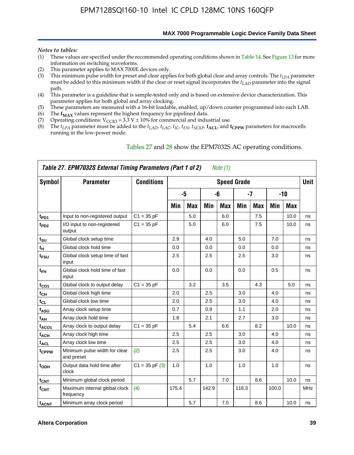#### **MAX 7000 Programmable Logic Device Family Data Sheet**

#### *Notes to tables:*

- (1) These values are specified under the recommended operating conditions shown in Table 14. See Figure 13 for more information on switching waveforms.
- (2) This parameter applies to MAX 7000E devices only.
- (3) This minimum pulse width for preset and clear applies for both global clear and array controls. The *tLPA* parameter must be added to this minimum width if the clear or reset signal incorporates the *tLAD* parameter into the signal path.
- (4) This parameter is a guideline that is sample-tested only and is based on extensive device characterization. This parameter applies for both global and array clocking.
- (5) These parameters are measured with a 16-bit loadable, enabled, up/down counter programmed into each LAB.
- (6) The  $f_{MAX}$  values represent the highest frequency for pipelined data.
- (7) Operating conditions:  $V_{\text{CCIO}} = 3.3 \text{ V} \pm 10\%$  for commercial and industrial use.
- (8) The  $t_{LPA}$  parameter must be added to the  $t_{LAD}$ ,  $t_{LAC}$ ,  $t_{IC}$ ,  $t_{EN}$ ,  $t_{SEXP}$ ,  $t_{ACL}$ , and  $t_{CPPW}$  parameters for macrocells running in the low-power mode.

| Symbol                  | <b>Parameter</b>                            | <b>Conditions</b>  |       |            |       |            | <b>Speed Grade</b> |            |       |       | Unit       |
|-------------------------|---------------------------------------------|--------------------|-------|------------|-------|------------|--------------------|------------|-------|-------|------------|
|                         |                                             |                    |       | $-5$       |       | -6         |                    | $-7$       |       | $-10$ |            |
|                         |                                             |                    | Min   | <b>Max</b> | Min   | <b>Max</b> | Min                | <b>Max</b> | Min   | Max   |            |
| t <sub>PD1</sub>        | Input to non-registered output              | $C1 = 35 pF$       |       | 5.0        |       | 6.0        |                    | 7.5        |       | 10.0  | ns         |
| $t_{PD2}$               | I/O input to non-registered<br>output       | $C1 = 35 pF$       |       | 5.0        |       | 6.0        |                    | 7.5        |       | 10.0  | ns         |
| $t_{\text{SU}}$         | Global clock setup time                     |                    | 2.9   |            | 4.0   |            | 5.0                |            | 7.0   |       | ns         |
| $t_H$                   | Global clock hold time                      |                    | 0.0   |            | 0.0   |            | 0.0                |            | 0.0   |       | ns         |
| t <sub>FSU</sub>        | Global clock setup time of fast<br>input    |                    | 2.5   |            | 2.5   |            | 2.5                |            | 3.0   |       | ns         |
| $t_{FH}$                | Global clock hold time of fast<br>input     |                    | 0.0   |            | 0.0   |            | 0.0                |            | 0.5   |       | ns         |
| $t_{CO1}$               | Global clock to output delay                | $C1 = 35 pF$       |       | 3.2        |       | 3.5        |                    | 4.3        |       | 5.0   | ns         |
| $t_{CH}$                | Global clock high time                      |                    | 2.0   |            | 2.5   |            | 3.0                |            | 4.0   |       | ns         |
| $t_{CL}$                | Global clock low time                       |                    | 2.0   |            | 2.5   |            | 3.0                |            | 4.0   |       | ns         |
| t <sub>ASU</sub>        | Array clock setup time                      |                    | 0.7   |            | 0.9   |            | 1.1                |            | 2.0   |       | ns         |
| t <sub>АН</sub>         | Array clock hold time                       |                    | 1.8   |            | 2.1   |            | 2.7                |            | 3.0   |       | ns         |
| t <sub>ACO1</sub>       | Array clock to output delay                 | $C1 = 35 pF$       |       | 5.4        |       | 6.6        |                    | 8.2        |       | 10.0  | ns         |
| <b>t<sub>ACH</sub></b>  | Array clock high time                       |                    | 2.5   |            | 2.5   |            | 3.0                |            | 4.0   |       | ns         |
| t <sub>ACL</sub>        | Array clock low time                        |                    | 2.5   |            | 2.5   |            | 3.0                |            | 4.0   |       | ns         |
| tcppw                   | Minimum pulse width for clear<br>and preset | (2)                | 2.5   |            | 2.5   |            | 3.0                |            | 4.0   |       | ns         |
| t <sub>ODH</sub>        | Output data hold time after<br>clock        | $C1 = 35$ pF $(3)$ | 1.0   |            | 1.0   |            | 1.0                |            | 1.0   |       | ns         |
| $t_{\text{CNT}}$        | Minimum global clock period                 |                    |       | 5.7        |       | 7.0        |                    | 8.6        |       | 10.0  | ns         |
| $f_{\text{CNT}}$        | Maximum internal global clock<br>frequency  | (4)                | 175.4 |            | 142.9 |            | 116.3              |            | 100.0 |       | <b>MHz</b> |
| <b>t<sub>ACNT</sub></b> | Minimum array clock period                  |                    |       | 5.7        |       | 7.0        |                    | 8.6        |       | 10.0  | ns         |

### Tables 27 and 28 show the EPM7032S AC operating conditions.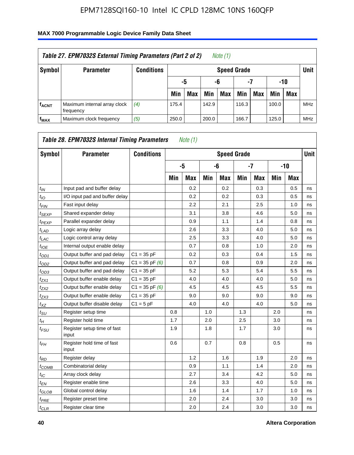| Table 27. EPM7032S External Timing Parameters (Part 2 of 2)<br>Note (1) |                                           |                   |       |                       |       |            |                    |     |       |            |            |  |  |
|-------------------------------------------------------------------------|-------------------------------------------|-------------------|-------|-----------------------|-------|------------|--------------------|-----|-------|------------|------------|--|--|
| Symbol                                                                  | <b>Parameter</b>                          | <b>Conditions</b> |       |                       |       |            | <b>Speed Grade</b> |     |       |            | Unit       |  |  |
|                                                                         |                                           |                   |       | -7<br>-10<br>-6<br>-5 |       |            |                    |     |       |            |            |  |  |
|                                                                         |                                           |                   | Min   | <b>Max</b>            | Min   | <b>Max</b> | Min                | Max | Min   | <b>Max</b> |            |  |  |
| <b>fACNT</b>                                                            | Maximum internal array clock<br>frequency | (4)               | 175.4 |                       | 142.9 |            | 116.3              |     | 100.0 |            | <b>MHz</b> |  |  |
| f <sub>MAX</sub>                                                        | Maximum clock frequency                   | (5)               | 250.0 |                       | 200.0 |            | 166.7              |     | 125.0 |            | <b>MHz</b> |  |  |

| Symbol                        | <b>Parameter</b>                     | <b>Conditions</b>  |     |            |     | <b>Speed Grade</b> |     |            |     |            | <b>Unit</b> |
|-------------------------------|--------------------------------------|--------------------|-----|------------|-----|--------------------|-----|------------|-----|------------|-------------|
|                               |                                      |                    |     | -5         |     | -6                 |     | $-7$       |     | $-10$      |             |
|                               |                                      |                    | Min | <b>Max</b> | Min | <b>Max</b>         | Min | <b>Max</b> | Min | <b>Max</b> |             |
| $t_{IN}$                      | Input pad and buffer delay           |                    |     | 0.2        |     | 0.2                |     | 0.3        |     | 0.5        | ns          |
| $t_{IO}$                      | I/O input pad and buffer delay       |                    |     | 0.2        |     | 0.2                |     | 0.3        |     | 0.5        | ns          |
| $t_{\textit{FIN}}$            | Fast input delay                     |                    |     | 2.2        |     | 2.1                |     | 2.5        |     | 1.0        | ns          |
| $t_{SEXP}$                    | Shared expander delay                |                    |     | 3.1        |     | 3.8                |     | 4.6        |     | 5.0        | ns          |
| $t_{PEXP}$                    | Parallel expander delay              |                    |     | 0.9        |     | 1.1                |     | 1.4        |     | 0.8        | ns          |
| $t_{LAD}$                     | Logic array delay                    |                    |     | 2.6        |     | 3.3                |     | 4.0        |     | 5.0        | ns          |
| $t_{LAC}$                     | Logic control array delay            |                    |     | 2.5        |     | 3.3                |     | 4.0        |     | 5.0        | ns          |
| $t_{IOE}$                     | Internal output enable delay         |                    |     | 0.7        |     | 0.8                |     | 1.0        |     | 2.0        | ns          |
| $t_{OD1}$                     | Output buffer and pad delay          | $C1 = 35 pF$       |     | 0.2        |     | 0.3                |     | 0.4        |     | 1.5        | ns          |
| $t_{OD2}$                     | Output buffer and pad delay          | $C1 = 35$ pF $(6)$ |     | 0.7        |     | 0.8                |     | 0.9        |     | 2.0        | ns          |
| $t_{OD3}$                     | Output buffer and pad delay          | $C1 = 35 pF$       |     | 5.2        |     | 5.3                |     | 5.4        |     | 5.5        | ns          |
| $t_{ZX1}$                     | Output buffer enable delay           | $C1 = 35 pF$       |     | 4.0        |     | 4.0                |     | 4.0        |     | 5.0        | ns          |
| t <sub>ZX2</sub>              | Output buffer enable delay           | $C1 = 35$ pF $(6)$ |     | 4.5        |     | 4.5                |     | 4.5        |     | 5.5        | ns          |
| $t_{ZX3}$                     | Output buffer enable delay           | $C1 = 35 pF$       |     | 9.0        |     | 9.0                |     | 9.0        |     | 9.0        | ns          |
| $t_{XZ}$                      | Output buffer disable delay          | $C1 = 5pF$         |     | 4.0        |     | 4.0                |     | 4.0        |     | 5.0        | ns          |
| $t_{\rm SU}$                  | Register setup time                  |                    | 0.8 |            | 1.0 |                    | 1.3 |            | 2.0 |            | ns          |
| $t_{H}$                       | Register hold time                   |                    | 1.7 |            | 2.0 |                    | 2.5 |            | 3.0 |            | ns          |
| $t_{\mathit{FSU}}$            | Register setup time of fast<br>input |                    | 1.9 |            | 1.8 |                    | 1.7 |            | 3.0 |            | ns          |
| $t_{FH}$                      | Register hold time of fast<br>input  |                    | 0.6 |            | 0.7 |                    | 0.8 |            | 0.5 |            | ns          |
| $t_{RD}$                      | Register delay                       |                    |     | 1.2        |     | 1.6                |     | 1.9        |     | 2.0        | ns          |
| $t_{COMB}$                    | Combinatorial delay                  |                    |     | 0.9        |     | 1.1                |     | 1.4        |     | 2.0        | ns          |
| $t_{IC}$                      | Array clock delay                    |                    |     | 2.7        |     | 3.4                |     | 4.2        |     | 5.0        | ns          |
| $t_{EN}$                      | Register enable time                 |                    |     | 2.6        |     | 3.3                |     | 4.0        |     | 5.0        | ns          |
| $t_{\scriptstyle\text{GLOB}}$ | Global control delay                 |                    |     | 1.6        |     | 1.4                |     | 1.7        |     | 1.0        | ns          |
| $t_{PRE}$                     | Register preset time                 |                    |     | 2.0        |     | 2.4                |     | 3.0        |     | 3.0        | ns          |
| $t_{CLR}$                     | Register clear time                  |                    |     | 2.0        |     | 2.4                |     | 3.0        |     | 3.0        | ns          |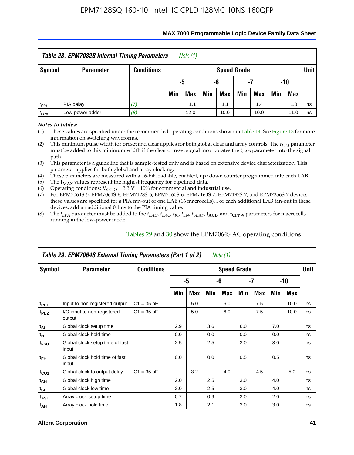| Table 28. EPM7032S Internal Timing Parameters<br>Note (1)                 |                  |                   |     |                       |     |                    |     |            |     |            |             |  |
|---------------------------------------------------------------------------|------------------|-------------------|-----|-----------------------|-----|--------------------|-----|------------|-----|------------|-------------|--|
| Symbol                                                                    | <b>Parameter</b> | <b>Conditions</b> |     |                       |     | <b>Speed Grade</b> |     |            |     |            | <b>Unit</b> |  |
|                                                                           |                  |                   |     | -10<br>-5<br>-6<br>-7 |     |                    |     |            |     |            |             |  |
|                                                                           |                  |                   | Min | <b>Max</b>            | Min | Max                | Min | <b>Max</b> | Min | <b>Max</b> |             |  |
| $t_{PIA}$                                                                 | PIA delay        |                   |     | 1.1                   |     | 1.1                |     | 1.4        |     | 1.0        | ns          |  |
| $t_{LPA}$<br>Low-power adder<br>(8)<br>12.0<br>10.0<br>10.0<br>11.0<br>ns |                  |                   |     |                       |     |                    |     |            |     |            |             |  |

#### **MAX 7000 Programmable Logic Device Family Data Sheet**

*Notes to tables:*

(1) These values are specified under the recommended operating conditions shown in Table 14. See Figure 13 for more information on switching waveforms.

(2) This minimum pulse width for preset and clear applies for both global clear and array controls. The  $t_{LPA}$  parameter must be added to this minimum width if the clear or reset signal incorporates the *tLAD* parameter into the signal path.

(3) This parameter is a guideline that is sample-tested only and is based on extensive device characterization. This parameter applies for both global and array clocking.

(4) These parameters are measured with a 16-bit loadable, enabled, up/down counter programmed into each LAB.

(5) The  $f_{MAX}$  values represent the highest frequency for pipelined data.

(6) Operating conditions:  $V_{\text{CCIO}} = 3.3 \text{ V} \pm 10\%$  for commercial and industrial use.

(7) For EPM7064S-5, EPM7064S-6, EPM7128S-6, EPM7160S-6, EPM7160S-7, EPM7192S-7, and EPM7256S-7 devices, these values are specified for a PIA fan-out of one LAB (16 macrocells). For each additional LAB fan-out in these devices, add an additional 0.1 ns to the PIA timing value.

(8) The  $t_{LPA}$  parameter must be added to the  $t_{LAD}$ ,  $t_{LAC}$ ,  $t_{IC}$ ,  $t_{EN}$ ,  $t_{SEXP}$ ,  $t_{ACL}$ , and  $t_{CPPW}$  parameters for macrocells running in the low-power mode.

|                  | Table 29. EPM7064S External Timing Parameters (Part 1 of 2) |                   |     |     |     | Note (1)           |     |     |     |      |      |
|------------------|-------------------------------------------------------------|-------------------|-----|-----|-----|--------------------|-----|-----|-----|------|------|
| Symbol           | <b>Parameter</b>                                            | <b>Conditions</b> |     |     |     | <b>Speed Grade</b> |     |     |     |      | Unit |
|                  |                                                             |                   |     | -5  |     | -6                 |     | -7  |     | -10  |      |
|                  |                                                             |                   | Min | Max | Min | Max                | Min | Max | Min | Max  |      |
| t <sub>PD1</sub> | Input to non-registered output                              | $C1 = 35 pF$      |     | 5.0 |     | 6.0                |     | 7.5 |     | 10.0 | ns   |
| t <sub>PD2</sub> | I/O input to non-registered<br>output                       | $C1 = 35 pF$      |     | 5.0 |     | 6.0                |     | 7.5 |     | 10.0 | ns   |
| $t_{\text{SU}}$  | Global clock setup time                                     |                   | 2.9 |     | 3.6 |                    | 6.0 |     | 7.0 |      | ns   |
| $t_H$            | Global clock hold time                                      |                   | 0.0 |     | 0.0 |                    | 0.0 |     | 0.0 |      | ns   |
| t <sub>FSU</sub> | Global clock setup time of fast<br>input                    |                   | 2.5 |     | 2.5 |                    | 3.0 |     | 3.0 |      | ns   |
| $t_{FH}$         | Global clock hold time of fast<br>input                     |                   | 0.0 |     | 0.0 |                    | 0.5 |     | 0.5 |      | ns   |
| $t_{CO1}$        | Global clock to output delay                                | $C1 = 35 pF$      |     | 3.2 |     | 4.0                |     | 4.5 |     | 5.0  | ns   |
| $t_{CH}$         | Global clock high time                                      |                   | 2.0 |     | 2.5 |                    | 3.0 |     | 4.0 |      | ns   |
| $t_{CL}$         | Global clock low time                                       |                   | 2.0 |     | 2.5 |                    | 3.0 |     | 4.0 |      | ns   |
| t <sub>ASU</sub> | Array clock setup time                                      |                   | 0.7 |     | 0.9 |                    | 3.0 |     | 2.0 |      | ns   |
| $t_{AH}$         | Array clock hold time                                       |                   | 1.8 |     | 2.1 |                    | 2.0 |     | 3.0 |      | ns   |

Tables 29 and 30 show the EPM7064S AC operating conditions.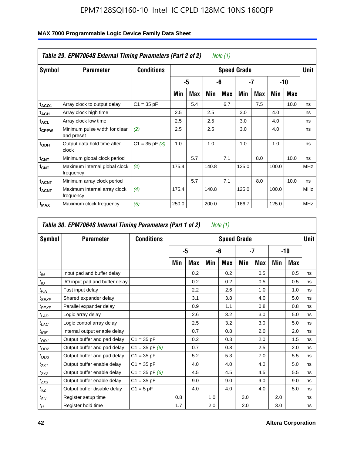|                              | Table 29. EPM7064S External Timing Parameters (Part 2 of 2) |                    |       |     |       | Note $(1)$ |                    |            |       |      |             |
|------------------------------|-------------------------------------------------------------|--------------------|-------|-----|-------|------------|--------------------|------------|-------|------|-------------|
| Symbol                       | <b>Parameter</b>                                            | <b>Conditions</b>  |       |     |       |            | <b>Speed Grade</b> |            |       |      | <b>Unit</b> |
|                              |                                                             |                    |       | -5  |       | -6         |                    | -7         |       | -10  |             |
|                              |                                                             |                    | Min   | Max | Min   | <b>Max</b> | Min                | <b>Max</b> | Min   | Max  |             |
| t <sub>ACO1</sub>            | Array clock to output delay                                 | $C1 = 35 pF$       |       | 5.4 |       | 6.7        |                    | 7.5        |       | 10.0 | ns          |
| t <sub>АСН</sub>             | Array clock high time                                       |                    | 2.5   |     | 2.5   |            | 3.0                |            | 4.0   |      | ns          |
| $t_{\sf ACL}$                | Array clock low time                                        |                    | 2.5   |     | 2.5   |            | 3.0                |            | 4.0   |      | ns          |
| t <sub>CPPW</sub>            | Minimum pulse width for clear<br>and preset                 | (2)                | 2.5   |     | 2.5   |            | 3.0                |            | 4.0   |      | ns          |
| t <sub>ODH</sub>             | Output data hold time after<br>clock                        | $C1 = 35$ pF $(3)$ | 1.0   |     | 1.0   |            | 1.0                |            | 1.0   |      | ns          |
| $t_{CNT}$                    | Minimum global clock period                                 |                    |       | 5.7 |       | 7.1        |                    | 8.0        |       | 10.0 | ns          |
| $f_{\text{CNT}}$             | Maximum internal global clock<br>frequency                  | (4)                | 175.4 |     | 140.8 |            | 125.0              |            | 100.0 |      | <b>MHz</b>  |
| $\mathsf{t}_{\mathsf{ACNT}}$ | Minimum array clock period                                  |                    |       | 5.7 |       | 7.1        |                    | 8.0        |       | 10.0 | ns          |
| <b>f<sub>ACNT</sub></b>      | Maximum internal array clock<br>frequency                   | (4)                | 175.4 |     | 140.8 |            | 125.0              |            | 100.0 |      | <b>MHz</b>  |
| f <sub>MAX</sub>             | Maximum clock frequency                                     | (5)                | 250.0 |     | 200.0 |            | 166.7              |            | 125.0 |      | MHz         |

|                  | Table 30. EPM7064S Internal Timing Parameters (Part 1 of 2) |                    |     |            |     | Note (1)           |     |            |     |            |             |
|------------------|-------------------------------------------------------------|--------------------|-----|------------|-----|--------------------|-----|------------|-----|------------|-------------|
| Symbol           | <b>Parameter</b>                                            | <b>Conditions</b>  |     |            |     | <b>Speed Grade</b> |     |            |     |            | <b>Unit</b> |
|                  |                                                             |                    |     | -5         |     | -6                 |     | -7         |     | $-10$      |             |
|                  |                                                             |                    | Min | <b>Max</b> | Min | Max                | Min | <b>Max</b> | Min | <b>Max</b> |             |
| $t_{IN}$         | Input pad and buffer delay                                  |                    |     | 0.2        |     | 0.2                |     | 0.5        |     | 0.5        | ns          |
| $t_{IO}$         | I/O input pad and buffer delay                              |                    |     | 0.2        |     | 0.2                |     | 0.5        |     | 0.5        | ns          |
| t <sub>FIN</sub> | Fast input delay                                            |                    |     | 2.2        |     | 2.6                |     | 1.0        |     | 1.0        | ns          |
| $t_{SEXP}$       | Shared expander delay                                       |                    |     | 3.1        |     | 3.8                |     | 4.0        |     | 5.0        | ns          |
| $t_{PEXP}$       | Parallel expander delay                                     |                    |     | 0.9        |     | 1.1                |     | 0.8        |     | 0.8        | ns          |
| $t_{LAD}$        | Logic array delay                                           |                    |     | 2.6        |     | 3.2                |     | 3.0        |     | 5.0        | ns          |
| $t_{LAC}$        | Logic control array delay                                   |                    |     | 2.5        |     | 3.2                |     | 3.0        |     | 5.0        | ns          |
| $t_{IOE}$        | Internal output enable delay                                |                    |     | 0.7        |     | 0.8                |     | 2.0        |     | 2.0        | ns          |
| $t_{OD1}$        | Output buffer and pad delay                                 | $C1 = 35 pF$       |     | 0.2        |     | 0.3                |     | 2.0        |     | 1.5        | ns          |
| $t_{OD2}$        | Output buffer and pad delay                                 | $C1 = 35$ pF $(6)$ |     | 0.7        |     | 0.8                |     | 2.5        |     | 2.0        | ns          |
| $t_{OD3}$        | Output buffer and pad delay                                 | $C1 = 35 pF$       |     | 5.2        |     | 5.3                |     | 7.0        |     | 5.5        | ns          |
| $t_{ZX1}$        | Output buffer enable delay                                  | $C1 = 35 pF$       |     | 4.0        |     | 4.0                |     | 4.0        |     | 5.0        | ns          |
| $t_{ZX2}$        | Output buffer enable delay                                  | $C1 = 35$ pF $(6)$ |     | 4.5        |     | 4.5                |     | 4.5        |     | 5.5        | ns          |
| $t_{ZX3}$        | Output buffer enable delay                                  | $C1 = 35 pF$       |     | 9.0        |     | 9.0                |     | 9.0        |     | 9.0        | ns          |
| $t_{XZ}$         | Output buffer disable delay                                 | $C1 = 5pF$         |     | 4.0        |     | 4.0                |     | 4.0        |     | 5.0        | ns          |
| $t_{\text{SU}}$  | Register setup time                                         |                    | 0.8 |            | 1.0 |                    | 3.0 |            | 2.0 |            | ns          |
| $t_H$            | Register hold time                                          |                    | 1.7 |            | 2.0 |                    | 2.0 |            | 3.0 |            | ns          |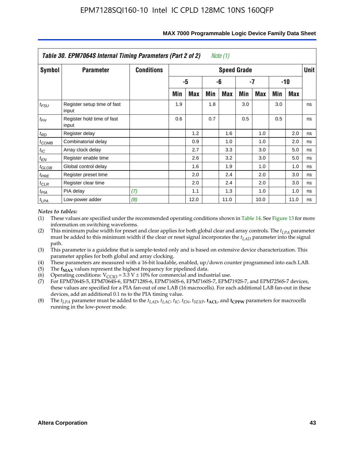|                   | Table 30. EPM7064S Internal Timing Parameters (Part 2 of 2) |                   | Note (1) |      |     |                    |     |            |     |       |             |
|-------------------|-------------------------------------------------------------|-------------------|----------|------|-----|--------------------|-----|------------|-----|-------|-------------|
| <b>Symbol</b>     | <b>Parameter</b>                                            | <b>Conditions</b> |          |      |     | <b>Speed Grade</b> |     |            |     |       | <b>Unit</b> |
|                   |                                                             |                   |          | -5   |     | -6                 |     | -7         |     | $-10$ |             |
|                   |                                                             |                   | Min      | Max  | Min | Max                | Min | <b>Max</b> | Min | Max   |             |
| $t_{FSU}$         | Register setup time of fast<br>input                        |                   | 1.9      |      | 1.8 |                    | 3.0 |            | 3.0 |       | ns          |
| $t_{FH}$          | Register hold time of fast<br>input                         |                   | 0.6      |      | 0.7 |                    | 0.5 |            | 0.5 |       | ns          |
| $t_{RD}$          | Register delay                                              |                   |          | 1.2  |     | 1.6                |     | 1.0        |     | 2.0   | ns          |
| $t_{COMB}$        | Combinatorial delay                                         |                   |          | 0.9  |     | 1.0                |     | 1.0        |     | 2.0   | ns          |
| $t_{IC}$          | Array clock delay                                           |                   |          | 2.7  |     | 3.3                |     | 3.0        |     | 5.0   | ns          |
| $t_{EN}$          | Register enable time                                        |                   |          | 2.6  |     | 3.2                |     | 3.0        |     | 5.0   | ns          |
| $t_{\text{GLOB}}$ | Global control delay                                        |                   |          | 1.6  |     | 1.9                |     | 1.0        |     | 1.0   | ns          |
| $t_{PRE}$         | Register preset time                                        |                   |          | 2.0  |     | 2.4                |     | 2.0        |     | 3.0   | ns          |
| $t_{CLR}$         | Register clear time                                         |                   |          | 2.0  |     | 2.4                |     | 2.0        |     | 3.0   | ns          |
| $t_{PIA}$         | PIA delay                                                   | (7)               |          | 1.1  |     | 1.3                |     | 1.0        |     | 1.0   | ns          |
| $t_{LPA}$         | Low-power adder                                             | (8)               |          | 12.0 |     | 11.0               |     | 10.0       |     | 11.0  | ns          |

#### **MAX 7000 Programmable Logic Device Family Data Sheet**

#### *Notes to tables:*

- (1) These values are specified under the recommended operating conditions shown in Table 14. See Figure 13 for more information on switching waveforms.
- (2) This minimum pulse width for preset and clear applies for both global clear and array controls. The  $t_{LPA}$  parameter must be added to this minimum width if the clear or reset signal incorporates the *t<sub>LAD</sub>* parameter into the signal path.
- (3) This parameter is a guideline that is sample-tested only and is based on extensive device characterization. This parameter applies for both global and array clocking.
- (4) These parameters are measured with a 16-bit loadable, enabled, up/down counter programmed into each LAB.
- (5) The  $f_{MAX}$  values represent the highest frequency for pipelined data.
- (6) Operating conditions:  $V_{\text{CGO}} = 3.3 \text{ V} \pm 10\%$  for commercial and industrial use.
- (7) For EPM7064S-5, EPM7064S-6, EPM7128S-6, EPM7160S-6, EPM7160S-7, EPM7192S-7, and EPM7256S-7 devices, these values are specified for a PIA fan-out of one LAB (16 macrocells). For each additional LAB fan-out in these devices, add an additional 0.1 ns to the PIA timing value.
- (8) The  $t_{LPA}$  parameter must be added to the  $t_{LAD}$ ,  $t_{LAC}$ ,  $t_{IC}$ ,  $t_{EN}$ ,  $t_{SEXP}$ ,  $t_{ACL}$ , and  $t_{CPPW}$  parameters for macrocells running in the low-power mode.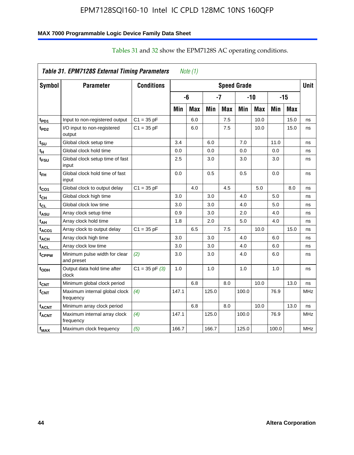### **MAX 7000 Programmable Logic Device Family Data Sheet**

|                   | Table 31. EPM7128S External Timing Parameters |                   |       | Note $(1)$ |       |            |                    |            |       |            |             |
|-------------------|-----------------------------------------------|-------------------|-------|------------|-------|------------|--------------------|------------|-------|------------|-------------|
| Symbol            | <b>Parameter</b>                              | <b>Conditions</b> |       |            |       |            | <b>Speed Grade</b> |            |       |            | <b>Unit</b> |
|                   |                                               |                   |       | -6         |       | -7         |                    | $-10$      |       | $-15$      |             |
|                   |                                               |                   | Min   | <b>Max</b> | Min   | <b>Max</b> | Min                | <b>Max</b> | Min   | <b>Max</b> |             |
| t <sub>PD1</sub>  | Input to non-registered output                | $C1 = 35 pF$      |       | 6.0        |       | 7.5        |                    | 10.0       |       | 15.0       | ns          |
| t <sub>PD2</sub>  | I/O input to non-registered<br>output         | $C1 = 35 pF$      |       | 6.0        |       | 7.5        |                    | 10.0       |       | 15.0       | ns          |
| tsu               | Global clock setup time                       |                   | 3.4   |            | 6.0   |            | 7.0                |            | 11.0  |            | ns          |
| t <sub>H</sub>    | Global clock hold time                        |                   | 0.0   |            | 0.0   |            | 0.0                |            | 0.0   |            | ns          |
| t <sub>FSU</sub>  | Global clock setup time of fast<br>input      |                   | 2.5   |            | 3.0   |            | 3.0                |            | 3.0   |            | ns          |
| t <sub>FH</sub>   | Global clock hold time of fast<br>input       |                   | 0.0   |            | 0.5   |            | 0.5                |            | 0.0   |            | ns          |
| t <sub>CO1</sub>  | Global clock to output delay                  | $C1 = 35 pF$      |       | 4.0        |       | 4.5        |                    | 5.0        |       | 8.0        | ns          |
| $t_{CH}$          | Global clock high time                        |                   | 3.0   |            | 3.0   |            | 4.0                |            | 5.0   |            | ns          |
| tcL               | Global clock low time                         |                   | 3.0   |            | 3.0   |            | 4.0                |            | 5.0   |            | ns          |
| t <sub>ASU</sub>  | Array clock setup time                        |                   | 0.9   |            | 3.0   |            | 2.0                |            | 4.0   |            | ns          |
| t <sub>АН</sub>   | Array clock hold time                         |                   | 1.8   |            | 2.0   |            | 5.0                |            | 4.0   |            | ns          |
| t <sub>ACO1</sub> | Array clock to output delay                   | $C1 = 35 pF$      |       | 6.5        |       | 7.5        |                    | 10.0       |       | 15.0       | ns          |
| t <sub>АСН</sub>  | Array clock high time                         |                   | 3.0   |            | 3.0   |            | 4.0                |            | 6.0   |            | ns          |
| $t_{\sf ACL}$     | Array clock low time                          |                   | 3.0   |            | 3.0   |            | 4.0                |            | 6.0   |            | ns          |
| tcppw             | Minimum pulse width for clear<br>and preset   | (2)               | 3.0   |            | 3.0   |            | 4.0                |            | 6.0   |            | ns          |
| t <sub>орн</sub>  | Output data hold time after<br>clock          | $C1 = 35 pF(3)$   | 1.0   |            | 1.0   |            | 1.0                |            | 1.0   |            | ns          |
| $t_{\text{CNT}}$  | Minimum global clock period                   |                   |       | 6.8        |       | 8.0        |                    | 10.0       |       | 13.0       | ns          |
| $f_{\text{CNT}}$  | Maximum internal global clock<br>frequency    | (4)               | 147.1 |            | 125.0 |            | 100.0              |            | 76.9  |            | <b>MHz</b>  |
| t <sub>acnt</sub> | Minimum array clock period                    |                   |       | 6.8        |       | 8.0        |                    | 10.0       |       | 13.0       | ns          |
| <sup>f</sup> acnt | Maximum internal array clock<br>frequency     | (4)               | 147.1 |            | 125.0 |            | 100.0              |            | 76.9  |            | <b>MHz</b>  |
| f <sub>MAX</sub>  | Maximum clock frequency                       | (5)               | 166.7 |            | 166.7 |            | 125.0              |            | 100.0 |            | <b>MHz</b>  |

### Tables 31 and 32 show the EPM7128S AC operating conditions.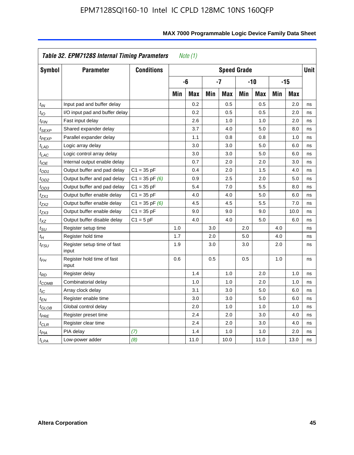|                            | Table 32. EPM7128S Internal Timing Parameters |                    |     | Note $(1)$ |     |                    |     |            |     |            |             |
|----------------------------|-----------------------------------------------|--------------------|-----|------------|-----|--------------------|-----|------------|-----|------------|-------------|
| Symbol                     | <b>Parameter</b>                              | <b>Conditions</b>  |     |            |     | <b>Speed Grade</b> |     |            |     |            | <b>Unit</b> |
|                            |                                               |                    |     | -6         |     | $-7$               |     | $-10$      |     | $-15$      |             |
|                            |                                               |                    | Min | <b>Max</b> | Min | <b>Max</b>         | Min | <b>Max</b> | Min | <b>Max</b> |             |
| $t_{IN}$                   | Input pad and buffer delay                    |                    |     | 0.2        |     | 0.5                |     | 0.5        |     | 2.0        | ns          |
| $t_{IO}$                   | I/O input pad and buffer delay                |                    |     | 0.2        |     | 0.5                |     | 0.5        |     | 2.0        | ns          |
| $t_{\textit{FIN}}$         | Fast input delay                              |                    |     | 2.6        |     | 1.0                |     | 1.0        |     | 2.0        | ns          |
| t <sub>SEXP</sub>          | Shared expander delay                         |                    |     | 3.7        |     | 4.0                |     | 5.0        |     | 8.0        | ns          |
| t <sub>PEXP</sub>          | Parallel expander delay                       |                    |     | 1.1        |     | 0.8                |     | 0.8        |     | 1.0        | ns          |
| t <sub>LAD</sub>           | Logic array delay                             |                    |     | 3.0        |     | 3.0                |     | 5.0        |     | 6.0        | ns          |
| $t_{LAC}$                  | Logic control array delay                     |                    |     | 3.0        |     | 3.0                |     | 5.0        |     | 6.0        | ns          |
| $t_{IOE}$                  | Internal output enable delay                  |                    |     | 0.7        |     | 2.0                |     | 2.0        |     | 3.0        | ns          |
| $t_{OD1}$                  | Output buffer and pad delay                   | $C1 = 35 pF$       |     | 0.4        |     | 2.0                |     | 1.5        |     | 4.0        | ns          |
| $t_{OD2}$                  | Output buffer and pad delay                   | $C1 = 35$ pF $(6)$ |     | 0.9        |     | 2.5                |     | 2.0        |     | 5.0        | ns          |
| $t_{OD3}$                  | Output buffer and pad delay                   | $C1 = 35 pF$       |     | 5.4        |     | 7.0                |     | 5.5        |     | 8.0        | ns          |
| $t_{ZX1}$                  | Output buffer enable delay                    | $C1 = 35 pF$       |     | 4.0        |     | 4.0                |     | 5.0        |     | 6.0        | ns          |
| t <sub>ZX2</sub>           | Output buffer enable delay                    | $C1 = 35$ pF $(6)$ |     | 4.5        |     | 4.5                |     | 5.5        |     | 7.0        | ns          |
| tzx3                       | Output buffer enable delay                    | $C1 = 35 pF$       |     | 9.0        |     | 9.0                |     | 9.0        |     | 10.0       | ns          |
| $t_{\mathsf{XZ}}$          | Output buffer disable delay                   | $C1 = 5pF$         |     | 4.0        |     | 4.0                |     | 5.0        |     | 6.0        | ns          |
| $t_{\text{SU}}$            | Register setup time                           |                    | 1.0 |            | 3.0 |                    | 2.0 |            | 4.0 |            | ns          |
| $t_H$                      | Register hold time                            |                    | 1.7 |            | 2.0 |                    | 5.0 |            | 4.0 |            | ns          |
| $t_{\mathit{FSU}}$         | Register setup time of fast<br>input          |                    | 1.9 |            | 3.0 |                    | 3.0 |            | 2.0 |            | ns          |
| $t_{FH}$                   | Register hold time of fast<br>input           |                    | 0.6 |            | 0.5 |                    | 0.5 |            | 1.0 |            | ns          |
| $t_{RD}$                   | Register delay                                |                    |     | 1.4        |     | 1.0                |     | 2.0        |     | 1.0        | ns          |
| $t_{\sf COMB}$             | Combinatorial delay                           |                    |     | 1.0        |     | 1.0                |     | 2.0        |     | 1.0        | ns          |
| $t_{\text{IC}}$            | Array clock delay                             |                    |     | 3.1        |     | 3.0                |     | 5.0        |     | 6.0        | ns          |
| t <sub>EN</sub>            | Register enable time                          |                    |     | 3.0        |     | 3.0                |     | 5.0        |     | 6.0        | ns          |
| $t_{\scriptstyle\rm GLOB}$ | Global control delay                          |                    |     | 2.0        |     | 1.0                |     | 1.0        |     | 1.0        | ns          |
| $t_{PRE}$                  | Register preset time                          |                    |     | 2.4        |     | 2.0                |     | 3.0        |     | 4.0        | ns          |
| $t_{CLR}$                  | Register clear time                           |                    |     | 2.4        |     | 2.0                |     | 3.0        |     | 4.0        | ns          |
| t <sub>PIA</sub>           | PIA delay                                     | (7)                |     | 1.4        |     | 1.0                |     | 1.0        |     | 2.0        | ns          |
| $t_{LPA}$                  | Low-power adder                               | (8)                |     | 11.0       |     | 10.0               |     | 11.0       |     | 13.0       | ns          |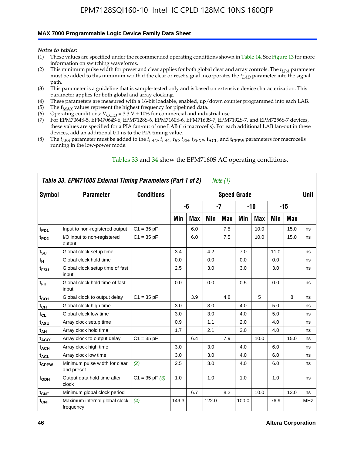#### **MAX 7000 Programmable Logic Device Family Data Sheet**

*Notes to tables:*

- (1) These values are specified under the recommended operating conditions shown in Table 14. See Figure 13 for more information on switching waveforms.
- (2) This minimum pulse width for preset and clear applies for both global clear and array controls. The  $t_{LPA}$  parameter must be added to this minimum width if the clear or reset signal incorporates the *tLAD* parameter into the signal path.
- (3) This parameter is a guideline that is sample-tested only and is based on extensive device characterization. This parameter applies for both global and array clocking.
- (4) These parameters are measured with a 16-bit loadable, enabled, up/down counter programmed into each LAB.
- (5) The  $f_{MAX}$  values represent the highest frequency for pipelined data.
- (6) Operating conditions:  $V_{\text{CCIO}} = 3.3 \text{ V} \pm 10\%$  for commercial and industrial use.
- (7) For EPM7064S-5, EPM7064S-6, EPM7128S-6, EPM7160S-6, EPM7160S-7, EPM7192S-7, and EPM7256S-7 devices, these values are specified for a PIA fan-out of one LAB (16 macrocells). For each additional LAB fan-out in these devices, add an additional 0.1 ns to the PIA timing value.
- (8) The  $t_{LPA}$  parameter must be added to the  $t_{LAD}$ ,  $t_{LAC}$ ,  $t_{IC}$ ,  $t_{EN}$ ,  $t_{SEXP}$ ,  $t_{ACL}$ , and  $t_{CPPW}$  parameters for macrocells running in the low-power mode.

|                    | Table 33. EPM7160S External Timing Parameters (Part 1 of 2) |                    |       |            |       | Note (1)   |                    |            |      |            |            |
|--------------------|-------------------------------------------------------------|--------------------|-------|------------|-------|------------|--------------------|------------|------|------------|------------|
| <b>Symbol</b>      | <b>Parameter</b>                                            | <b>Conditions</b>  |       |            |       |            | <b>Speed Grade</b> |            |      |            | Unit       |
|                    |                                                             |                    |       | -6         |       | -7         | $-10$              |            |      | $-15$      |            |
|                    |                                                             |                    | Min   | <b>Max</b> | Min   | <b>Max</b> | Min                | <b>Max</b> | Min  | <b>Max</b> |            |
| t <sub>PD1</sub>   | Input to non-registered output                              | $C1 = 35 pF$       |       | 6.0        |       | 7.5        |                    | 10.0       |      | 15.0       | ns         |
| $t_{PD2}$          | I/O input to non-registered<br>output                       | $C1 = 35 pF$       |       | 6.0        |       | 7.5        |                    | 10.0       |      | 15.0       | ns         |
| $t_{\text{SU}}$    | Global clock setup time                                     |                    | 3.4   |            | 4.2   |            | 7.0                |            | 11.0 |            | ns         |
| t <sub>Η</sub>     | Global clock hold time                                      |                    | 0.0   |            | 0.0   |            | 0.0                |            | 0.0  |            | ns         |
| t <sub>FSU</sub>   | Global clock setup time of fast<br>input                    |                    | 2.5   |            | 3.0   |            | 3.0                |            | 3.0  |            | ns         |
| $t_{FH}$           | Global clock hold time of fast<br>input                     |                    | 0.0   |            | 0.0   |            | 0.5                |            | 0.0  |            | ns         |
| $t_{CO1}$          | Global clock to output delay                                | $C1 = 35 pF$       |       | 3.9        |       | 4.8        |                    | 5          |      | 8          | ns         |
| $t_{\mathsf{CH}}$  | Global clock high time                                      |                    | 3.0   |            | 3.0   |            | 4.0                |            | 5.0  |            | ns         |
| $t_{CL}$           | Global clock low time                                       |                    | 3.0   |            | 3.0   |            | 4.0                |            | 5.0  |            | ns         |
| t <sub>ASU</sub>   | Array clock setup time                                      |                    | 0.9   |            | 1.1   |            | 2.0                |            | 4.0  |            | ns         |
| t <sub>АН</sub>    | Array clock hold time                                       |                    | 1.7   |            | 2.1   |            | 3.0                |            | 4.0  |            | ns         |
| t <sub>ACO1</sub>  | Array clock to output delay                                 | $C1 = 35 pF$       |       | 6.4        |       | 7.9        |                    | 10.0       |      | 15.0       | ns         |
| <sup>t</sup> ACH   | Array clock high time                                       |                    | 3.0   |            | 3.0   |            | 4.0                |            | 6.0  |            | ns         |
| t <sub>ACL</sub>   | Array clock low time                                        |                    | 3.0   |            | 3.0   |            | 4.0                |            | 6.0  |            | ns         |
| t <sub>CPPW</sub>  | Minimum pulse width for clear<br>and preset                 | (2)                | 2.5   |            | 3.0   |            | 4.0                |            | 6.0  |            | ns         |
| t <sub>ODH</sub>   | Output data hold time after<br>clock                        | $C1 = 35$ pF $(3)$ | 1.0   |            | 1.0   |            | 1.0                |            | 1.0  |            | ns         |
| $t_{CNT}$          | Minimum global clock period                                 |                    |       | 6.7        |       | 8.2        |                    | 10.0       |      | 13.0       | ns         |
| $f_{\mathsf{CNT}}$ | Maximum internal global clock<br>frequency                  | (4)                | 149.3 |            | 122.0 |            | 100.0              |            | 76.9 |            | <b>MHz</b> |

### Tables 33 and 34 show the EPM7160S AC operating conditions.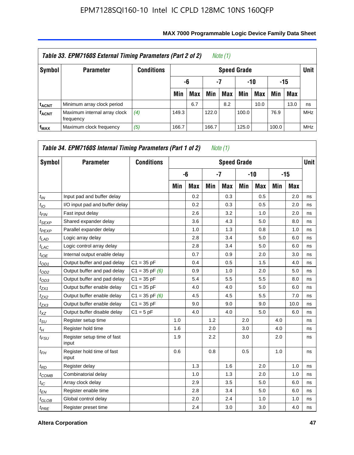|                         | Table 33. EPM7160S External Timing Parameters (Part 2 of 2) |                   |       |                        |       | Note (1)           |       |      |       |            |            |  |  |
|-------------------------|-------------------------------------------------------------|-------------------|-------|------------------------|-------|--------------------|-------|------|-------|------------|------------|--|--|
| Symbol                  | <b>Parameter</b>                                            | <b>Conditions</b> |       |                        |       | <b>Speed Grade</b> |       |      |       |            | Unit       |  |  |
|                         |                                                             |                   |       | -7<br>-15<br>-10<br>-6 |       |                    |       |      |       |            |            |  |  |
|                         |                                                             |                   | Min   | <b>Max</b>             | Min   | Max                | Min   | Max  | Min   | <b>Max</b> |            |  |  |
| <sup>t</sup> acnt       | Minimum array clock period                                  |                   |       | 6.7                    |       | 8.2                |       | 10.0 |       | 13.0       | ns         |  |  |
| <b>f<sub>ACNT</sub></b> | Maximum internal array clock<br>frequency                   | (4)               | 149.3 |                        | 122.0 |                    | 100.0 |      | 76.9  |            | <b>MHz</b> |  |  |
| f <sub>MAX</sub>        | Maximum clock frequency                                     | (5)               | 166.7 |                        | 166.7 |                    | 125.0 |      | 100.0 |            | <b>MHz</b> |  |  |

| Symbol            | <b>Parameter</b>                     | <b>Conditions</b>  |     |            |     | <b>Speed Grade</b> |     |            |     |            | <b>Unit</b> |
|-------------------|--------------------------------------|--------------------|-----|------------|-----|--------------------|-----|------------|-----|------------|-------------|
|                   |                                      |                    |     | -6         |     | $-7$               |     | $-10$      |     | $-15$      |             |
|                   |                                      |                    | Min | <b>Max</b> | Min | Max                | Min | <b>Max</b> | Min | <b>Max</b> |             |
| $t_{IN}$          | Input pad and buffer delay           |                    |     | 0.2        |     | 0.3                |     | 0.5        |     | 2.0        | ns          |
| $t_{IO}$          | I/O input pad and buffer delay       |                    |     | 0.2        |     | 0.3                |     | 0.5        |     | 2.0        | ns          |
| $t_{FIN}$         | Fast input delay                     |                    |     | 2.6        |     | 3.2                |     | 1.0        |     | 2.0        | ns          |
| $t_{SEXP}$        | Shared expander delay                |                    |     | 3.6        |     | 4.3                |     | 5.0        |     | 8.0        | ns          |
| <sup>t</sup> PEXP | Parallel expander delay              |                    |     | 1.0        |     | 1.3                |     | 0.8        |     | 1.0        | ns          |
| $t_{LAD}$         | Logic array delay                    |                    |     | 2.8        |     | 3.4                |     | 5.0        |     | 6.0        | ns          |
| $t_{LAC}$         | Logic control array delay            |                    |     | 2.8        |     | 3.4                |     | 5.0        |     | 6.0        | ns          |
| $t_{IOE}$         | Internal output enable delay         |                    |     | 0.7        |     | 0.9                |     | 2.0        |     | 3.0        | ns          |
| $t_{OD1}$         | Output buffer and pad delay          | $C1 = 35 pF$       |     | 0.4        |     | 0.5                |     | 1.5        |     | 4.0        | ns          |
| $t_{OD2}$         | Output buffer and pad delay          | $C1 = 35$ pF $(6)$ |     | 0.9        |     | 1.0                |     | 2.0        |     | 5.0        | ns          |
| $t_{OD3}$         | Output buffer and pad delay          | $C1 = 35 pF$       |     | 5.4        |     | 5.5                |     | 5.5        |     | 8.0        | ns          |
| $t_{ZX1}$         | Output buffer enable delay           | $C1 = 35 pF$       |     | 4.0        |     | 4.0                |     | 5.0        |     | 6.0        | ns          |
| $t_{ZX2}$         | Output buffer enable delay           | $C1 = 35$ pF $(6)$ |     | 4.5        |     | 4.5                |     | 5.5        |     | 7.0        | ns          |
| $t_{ZX3}$         | Output buffer enable delay           | $C1 = 35 pF$       |     | 9.0        |     | 9.0                |     | 9.0        |     | 10.0       | ns          |
| $t_{XZ}$          | Output buffer disable delay          | $C1 = 5pF$         |     | 4.0        |     | 4.0                |     | 5.0        |     | 6.0        | ns          |
| $t_{\rm SU}$      | Register setup time                  |                    | 1.0 |            | 1.2 |                    | 2.0 |            | 4.0 |            | ns          |
| $t_H$             | Register hold time                   |                    | 1.6 |            | 2.0 |                    | 3.0 |            | 4.0 |            | ns          |
| $t_{FSU}$         | Register setup time of fast<br>input |                    | 1.9 |            | 2.2 |                    | 3.0 |            | 2.0 |            | ns          |
| $t_{FH}$          | Register hold time of fast<br>input  |                    | 0.6 |            | 0.8 |                    | 0.5 |            | 1.0 |            | ns          |
| $t_{RD}$          | Register delay                       |                    |     | 1.3        |     | 1.6                |     | 2.0        |     | 1.0        | ns          |
| $t_{COMB}$        | Combinatorial delay                  |                    |     | 1.0        |     | 1.3                |     | 2.0        |     | 1.0        | ns          |
| $t_{\text{IC}}$   | Array clock delay                    |                    |     | 2.9        |     | 3.5                |     | 5.0        |     | 6.0        | ns          |
| $t_{EN}$          | Register enable time                 |                    |     | 2.8        |     | 3.4                |     | 5.0        |     | 6.0        | ns          |
| $t_{GLOB}$        | Global control delay                 |                    |     | 2.0        |     | 2.4                |     | 1.0        |     | 1.0        | ns          |
| $t_{PRE}$         | Register preset time                 |                    |     | 2.4        |     | 3.0                |     | 3.0        |     | 4.0        | ns          |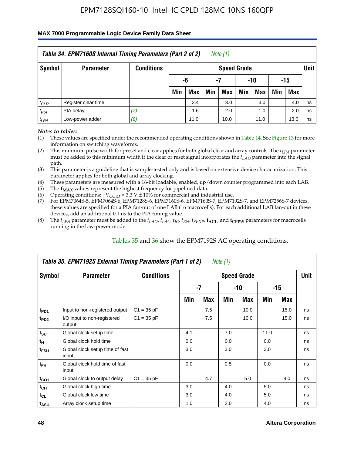#### **MAX 7000 Programmable Logic Device Family Data Sheet**

|           | Table 34. EPM7160S Internal Timing Parameters (Part 2 of 2) |                   |                        |      |     | Note (1)           |     |      |     |      |             |  |
|-----------|-------------------------------------------------------------|-------------------|------------------------|------|-----|--------------------|-----|------|-----|------|-------------|--|
| Symbol    | <b>Parameter</b>                                            | <b>Conditions</b> |                        |      |     | <b>Speed Grade</b> |     |      |     |      | <b>Unit</b> |  |
|           |                                                             |                   | -15<br>-6<br>-10<br>-7 |      |     |                    |     |      |     |      |             |  |
|           |                                                             |                   | Min                    | Max  | Min | <b>Max</b>         | Min | Max  | Min | Max  |             |  |
| $t_{CLR}$ | Register clear time                                         |                   |                        | 2.4  |     | 3.0                |     | 3.0  |     | 4.0  | ns          |  |
| $t_{PIA}$ | PIA delay                                                   | (7)               |                        | 1.6  |     | 2.0                |     | 1.0  |     | 2.0  | ns          |  |
| $t_{LPA}$ | Low-power adder                                             | (8)               |                        | 11.0 |     | 10.0               |     | 11.0 |     | 13.0 | ns          |  |

*Notes to tables:*

- (1) These values are specified under the recommended operating conditions shown in Table 14. See Figure 13 for more information on switching waveforms.
- (2) This minimum pulse width for preset and clear applies for both global clear and array controls. The  $t_{LPA}$  parameter must be added to this minimum width if the clear or reset signal incorporates the *t<sub>LAD</sub>* parameter into the signal path.
- (3) This parameter is a guideline that is sample-tested only and is based on extensive device characterization. This parameter applies for both global and array clocking.
- (4) These parameters are measured with a 16-bit loadable, enabled, up/down counter programmed into each LAB.
- (5) The  $f_{MAX}$  values represent the highest frequency for pipelined data.
- (6) Operating conditions:  $V_{\text{CCIO}} = 3.3 V \pm 10\%$  for commercial and industrial use.
- (7) For EPM7064S-5, EPM7064S-6, EPM7128S-6, EPM7160S-6, EPM7160S-7, EPM7192S-7, and EPM7256S-7 devices, these values are specified for a PIA fan-out of one LAB (16 macrocells). For each additional LAB fan-out in these devices, add an additional 0.1 ns to the PIA timing value.
- (8) The  $t_{LPA}$  parameter must be added to the  $t_{LAP}$ ,  $t_{LAC}$ ,  $t_{IC}$ ,  $t_{EN}$ ,  $t_{SEXP}$ ,  $t_{ACL}$ , and  $t_{CPPW}$  parameters for macrocells running in the low-power mode.

|                             | Table 35. EPM7192S External Timing Parameters (Part 1 of 2) |                   |     |     | Note $(1)$ |                    |      |       |             |
|-----------------------------|-------------------------------------------------------------|-------------------|-----|-----|------------|--------------------|------|-------|-------------|
| Symbol                      | <b>Parameter</b>                                            | <b>Conditions</b> |     |     |            | <b>Speed Grade</b> |      |       | <b>Unit</b> |
|                             |                                                             |                   |     | -7  |            | -10                |      | $-15$ |             |
|                             |                                                             |                   | Min | Max | Min        | Max                | Min  | Max   |             |
| t <sub>PD1</sub>            | Input to non-registered output                              | $C1 = 35 pF$      |     | 7.5 |            | 10.0               |      | 15.0  | ns          |
| $t_{PD2}$                   | I/O input to non-registered<br>output                       | $C1 = 35 pF$      |     | 7.5 |            | 10.0               |      | 15.0  | ns          |
| $t_{\scriptstyle\text{SU}}$ | Global clock setup time                                     |                   | 4.1 |     | 7.0        |                    | 11.0 |       | ns          |
| $t_H$                       | Global clock hold time                                      |                   | 0.0 |     | 0.0        |                    | 0.0  |       | ns          |
| t <sub>FSU</sub>            | Global clock setup time of fast<br>input                    |                   | 3.0 |     | 3.0        |                    | 3.0  |       | ns          |
| $t_{FH}$                    | Global clock hold time of fast<br>input                     |                   | 0.0 |     | 0.5        |                    | 0.0  |       | ns          |
| $t_{CO1}$                   | Global clock to output delay                                | $C1 = 35 pF$      |     | 4.7 |            | 5.0                |      | 8.0   | ns          |
| $t_{CH}$                    | Global clock high time                                      |                   | 3.0 |     | 4.0        |                    | 5.0  |       | ns          |
| $t_{CL}$                    | Global clock low time                                       |                   | 3.0 |     | 4.0        |                    | 5.0  |       | ns          |
| t <sub>ASU</sub>            | Array clock setup time                                      |                   | 1.0 |     | 2.0        |                    | 4.0  |       | ns          |

### Tables 35 and 36 show the EPM7192S AC operating conditions.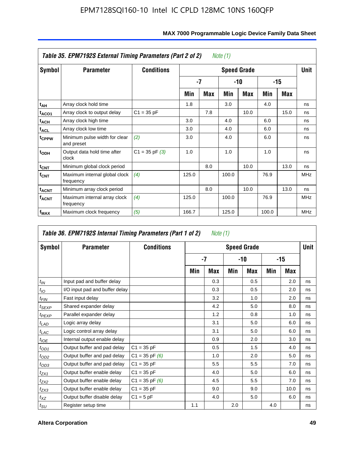|                         | Table 35. EPM7192S External Timing Parameters (Part 2 of 2) |                    |       |            | Note (1) |                    |       |      |            |
|-------------------------|-------------------------------------------------------------|--------------------|-------|------------|----------|--------------------|-------|------|------------|
| Symbol                  | <b>Parameter</b>                                            | <b>Conditions</b>  |       |            |          | <b>Speed Grade</b> |       |      | Unit       |
|                         |                                                             |                    |       | -7         |          | -10                |       | -15  |            |
|                         |                                                             |                    | Min   | <b>Max</b> | Min      | <b>Max</b>         | Min   | Max  |            |
| t <sub>АН</sub>         | Array clock hold time                                       |                    | 1.8   |            | 3.0      |                    | 4.0   |      | ns         |
| t <sub>ACO1</sub>       | Array clock to output delay                                 | $C1 = 35 pF$       |       | 7.8        |          | 10.0               |       | 15.0 | ns         |
| $t_{\sf ACH}$           | Array clock high time                                       |                    | 3.0   |            | 4.0      |                    | 6.0   |      | ns         |
| $t_{\sf ACL}$           | Array clock low time                                        |                    | 3.0   |            | 4.0      |                    | 6.0   |      | ns         |
| t <sub>CPPW</sub>       | Minimum pulse width for clear<br>and preset                 | (2)                | 3.0   |            | 4.0      |                    | 6.0   |      | ns         |
| $t_{ODH}$               | Output data hold time after<br>clock                        | $C1 = 35$ pF $(3)$ | 1.0   |            | 1.0      |                    | 1.0   |      | ns         |
| $t_{\mathsf{CNT}}$      | Minimum global clock period                                 |                    |       | 8.0        |          | 10.0               |       | 13.0 | ns         |
| $f_{\text{CNT}}$        | Maximum internal global clock<br>frequency                  | (4)                | 125.0 |            | 100.0    |                    | 76.9  |      | <b>MHz</b> |
| $t_{ACNT}$              | Minimum array clock period                                  |                    |       | 8.0        |          | 10.0               |       | 13.0 | ns         |
| <b>f<sub>ACNT</sub></b> | Maximum internal array clock<br>frequency                   | (4)                | 125.0 |            | 100.0    |                    | 76.9  |      | <b>MHz</b> |
| f <sub>MAX</sub>        | Maximum clock frequency                                     | (5)                | 166.7 |            | 125.0    |                    | 100.0 |      | <b>MHz</b> |

|                               | Table 36. EPM7192S Internal Timing Parameters (Part 1 of 2) |                    |     | Note (1) |     |                    |     |       |      |
|-------------------------------|-------------------------------------------------------------|--------------------|-----|----------|-----|--------------------|-----|-------|------|
| Symbol                        | <b>Parameter</b>                                            | <b>Conditions</b>  |     |          |     | <b>Speed Grade</b> |     |       | Unit |
|                               |                                                             |                    |     | $-7$     |     | -10                |     | $-15$ |      |
|                               |                                                             |                    | Min | Max      | Min | Max                | Min | Max   |      |
| $t_{IN}$                      | Input pad and buffer delay                                  |                    |     | 0.3      |     | 0.5                |     | 2.0   | ns   |
| $t_{IO}$                      | I/O input pad and buffer delay                              |                    |     | 0.3      |     | 0.5                |     | 2.0   | ns   |
| $t_{\textit{FIN}}$            | Fast input delay                                            |                    |     | 3.2      |     | 1.0                |     | 2.0   | ns   |
| $t_{SEXP}$                    | Shared expander delay                                       |                    |     | 4.2      |     | 5.0                |     | 8.0   | ns   |
| $t_{PEXP}$                    | Parallel expander delay                                     |                    |     | 1.2      |     | 0.8                |     | 1.0   | ns   |
| $t_{LAD}$                     | Logic array delay                                           |                    |     | 3.1      |     | 5.0                |     | 6.0   | ns   |
| $t_{LAC}$                     | Logic control array delay                                   |                    |     | 3.1      |     | 5.0                |     | 6.0   | ns   |
| $t_{\text{IOE}}$              | Internal output enable delay                                |                    |     | 0.9      |     | 2.0                |     | 3.0   | ns   |
| $t_{OD1}$                     | Output buffer and pad delay                                 | $C1 = 35 pF$       |     | 0.5      |     | 1.5                |     | 4.0   | ns   |
| $t_{OD2}$                     | Output buffer and pad delay                                 | $C1 = 35$ pF $(6)$ |     | 1.0      |     | 2.0                |     | 5.0   | ns   |
| $t_{OD3}$                     | Output buffer and pad delay                                 | $C1 = 35 pF$       |     | 5.5      |     | 5.5                |     | 7.0   | ns   |
| t <sub>ZX1</sub>              | Output buffer enable delay                                  | $C1 = 35 pF$       |     | 4.0      |     | 5.0                |     | 6.0   | ns   |
| $t_{ZX2}$                     | Output buffer enable delay                                  | $C1 = 35$ pF $(6)$ |     | 4.5      |     | 5.5                |     | 7.0   | ns   |
| $t_{ZX3}$                     | Output buffer enable delay                                  | $C1 = 35 pF$       |     | 9.0      |     | 9.0                |     | 10.0  | ns   |
| $t_{XZ}$                      | Output buffer disable delay                                 | $C1 = 5pF$         |     | 4.0      |     | 5.0                |     | 6.0   | ns   |
| $t_{\scriptstyle\textrm{SU}}$ | Register setup time                                         |                    | 1.1 |          | 2.0 |                    | 4.0 |       | ns   |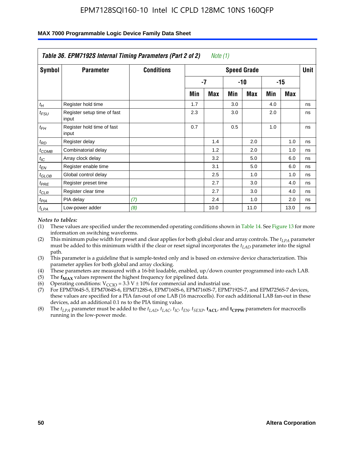|                    | Table 36. EPM7192S Internal Timing Parameters (Part 2 of 2) |                   |     | Note $(1)$ |     |                    |     |            |      |
|--------------------|-------------------------------------------------------------|-------------------|-----|------------|-----|--------------------|-----|------------|------|
| Symbol             | <b>Parameter</b>                                            | <b>Conditions</b> |     |            |     | <b>Speed Grade</b> |     |            | Unit |
|                    |                                                             |                   |     | $-7$       |     | -10                |     | $-15$      |      |
|                    |                                                             |                   | Min | <b>Max</b> | Min | <b>Max</b>         | Min | <b>Max</b> |      |
| $t_H$              | Register hold time                                          |                   | 1.7 |            | 3.0 |                    | 4.0 |            | ns   |
| $t_{\mathit{FSU}}$ | Register setup time of fast<br>input                        |                   | 2.3 |            | 3.0 |                    | 2.0 |            | ns   |
| $t_{FH}$           | Register hold time of fast<br>input                         |                   | 0.7 |            | 0.5 |                    | 1.0 |            | ns   |
| $t_{RD}$           | Register delay                                              |                   |     | 1.4        |     | 2.0                |     | 1.0        | ns   |
| $t_{COMB}$         | Combinatorial delay                                         |                   |     | 1.2        |     | 2.0                |     | 1.0        | ns   |
| $t_{IC}$           | Array clock delay                                           |                   |     | 3.2        |     | 5.0                |     | 6.0        | ns   |
| $t_{EN}$           | Register enable time                                        |                   |     | 3.1        |     | 5.0                |     | 6.0        | ns   |
| $t_{GLOB}$         | Global control delay                                        |                   |     | 2.5        |     | 1.0                |     | 1.0        | ns   |
| $t_{PRE}$          | Register preset time                                        |                   |     | 2.7        |     | 3.0                |     | 4.0        | ns   |
| $t_{CLR}$          | Register clear time                                         |                   |     | 2.7        |     | 3.0                |     | 4.0        | ns   |
| t <sub>PIA</sub>   | PIA delay                                                   | (7)               |     | 2.4        |     | 1.0                |     | 2.0        | ns   |
| $t_{LPA}$          | Low-power adder                                             | (8)               |     | 10.0       |     | 11.0               |     | 13.0       | ns   |

#### **MAX 7000 Programmable Logic Device Family Data Sheet**

#### *Notes to tables:*

- (1) These values are specified under the recommended operating conditions shown in Table 14. See Figure 13 for more information on switching waveforms.
- (2) This minimum pulse width for preset and clear applies for both global clear and array controls. The *tLPA* parameter must be added to this minimum width if the clear or reset signal incorporates the *t<sub>LAD</sub>* parameter into the signal path.
- (3) This parameter is a guideline that is sample-tested only and is based on extensive device characterization. This parameter applies for both global and array clocking.
- (4) These parameters are measured with a 16-bit loadable, enabled, up/down counter programmed into each LAB.
- (5) The  $f_{MAX}$  values represent the highest frequency for pipelined data.
- (6) Operating conditions:  $V_{\text{CCIO}} = 3.3 \text{ V} \pm 10\%$  for commercial and industrial use.
- (7) For EPM7064S-5, EPM7064S-6, EPM7128S-6, EPM7160S-6, EPM7160S-7, EPM7192S-7, and EPM7256S-7 devices, these values are specified for a PIA fan-out of one LAB (16 macrocells). For each additional LAB fan-out in these devices, add an additional 0.1 ns to the PIA timing value.
- (8) The  $t_{LPA}$  parameter must be added to the  $t_{LAD}$ ,  $t_{LAC}$ ,  $t_{IC}$ ,  $t_{EN}$ ,  $t_{SIX}$ ,  $t_{ACL}$ , and  $t_{CPW}$  parameters for macrocells running in the low-power mode.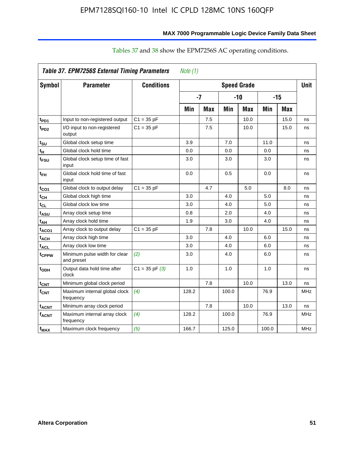|                   | Table 37. EPM7256S External Timing Parameters |                    | Note $(1)$ |            |       |                    |       |            |            |
|-------------------|-----------------------------------------------|--------------------|------------|------------|-------|--------------------|-------|------------|------------|
| Symbol            | <b>Parameter</b>                              | <b>Conditions</b>  |            |            |       | <b>Speed Grade</b> |       |            | Unit       |
|                   |                                               |                    |            | $-7$       |       | $-10$              |       | -15        |            |
|                   |                                               |                    | Min        | <b>Max</b> | Min   | <b>Max</b>         | Min   | <b>Max</b> |            |
| t <sub>PD1</sub>  | Input to non-registered output                | $C1 = 35 pF$       |            | 7.5        |       | 10.0               |       | 15.0       | ns         |
| t <sub>PD2</sub>  | I/O input to non-registered<br>output         | $C1 = 35 pF$       |            | 7.5        |       | 10.0               |       | 15.0       | ns         |
| t <sub>su</sub>   | Global clock setup time                       |                    | 3.9        |            | 7.0   |                    | 11.0  |            | ns         |
| $t_H$             | Global clock hold time                        |                    | 0.0        |            | 0.0   |                    | 0.0   |            | ns         |
| t <sub>FSU</sub>  | Global clock setup time of fast<br>input      |                    | 3.0        |            | 3.0   |                    | 3.0   |            | ns         |
| $t_{FH}$          | Global clock hold time of fast<br>input       |                    | 0.0        |            | 0.5   |                    | 0.0   |            | ns         |
| t <sub>CO1</sub>  | Global clock to output delay                  | $C1 = 35 pF$       |            | 4.7        |       | 5.0                |       | 8.0        | ns         |
| $t_{\mathsf{CH}}$ | Global clock high time                        |                    | 3.0        |            | 4.0   |                    | 5.0   |            | ns         |
| $t_{CL}$          | Global clock low time                         |                    | 3.0        |            | 4.0   |                    | 5.0   |            | ns         |
| t <sub>ASU</sub>  | Array clock setup time                        |                    | 0.8        |            | 2.0   |                    | 4.0   |            | ns         |
| t <sub>АН</sub>   | Array clock hold time                         |                    | 1.9        |            | 3.0   |                    | 4.0   |            | ns         |
| t <sub>ACO1</sub> | Array clock to output delay                   | $C1 = 35 pF$       |            | 7.8        |       | 10.0               |       | 15.0       | ns         |
| $t_{ACH}$         | Array clock high time                         |                    | 3.0        |            | 4.0   |                    | 6.0   |            | ns         |
| $t_{\sf ACL}$     | Array clock low time                          |                    | 3.0        |            | 4.0   |                    | 6.0   |            | ns         |
| t <sub>CPPW</sub> | Minimum pulse width for clear<br>and preset   | (2)                | 3.0        |            | 4.0   |                    | 6.0   |            | ns         |
| t <sub>ODH</sub>  | Output data hold time after<br>clock          | $C1 = 35$ pF $(3)$ | 1.0        |            | 1.0   |                    | 1.0   |            | ns         |
| $t_{\text{CNT}}$  | Minimum global clock period                   |                    |            | 7.8        |       | 10.0               |       | 13.0       | ns         |
| $f_{CNT}$         | Maximum internal global clock<br>frequency    | (4)                | 128.2      |            | 100.0 |                    | 76.9  |            | <b>MHz</b> |
| t <sub>ACNT</sub> | Minimum array clock period                    |                    |            | 7.8        |       | 10.0               |       | 13.0       | ns         |
| $f_{ACNT}$        | Maximum internal array clock<br>frequency     | (4)                | 128.2      |            | 100.0 |                    | 76.9  |            | MHz        |
| $f_{MAX}$         | Maximum clock frequency                       | (5)                | 166.7      |            | 125.0 |                    | 100.0 |            | <b>MHz</b> |

### Tables 37 and 38 show the EPM7256S AC operating conditions.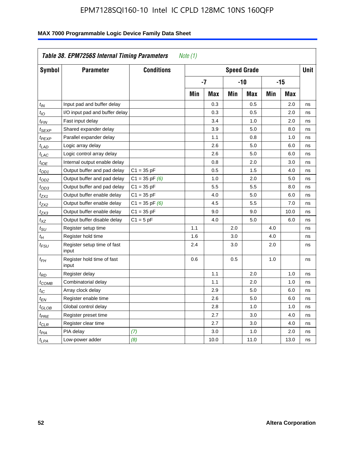| Symbol                      | <b>Parameter</b>                     | <b>Conditions</b>  |     |            |     | <b>Speed Grade</b> |            |            | <b>Unit</b> |
|-----------------------------|--------------------------------------|--------------------|-----|------------|-----|--------------------|------------|------------|-------------|
|                             |                                      |                    |     | -7         |     | -10                |            | $-15$      |             |
|                             |                                      |                    | Min | <b>Max</b> | Min | <b>Max</b>         | <b>Min</b> | <b>Max</b> |             |
| $t_{IN}$                    | Input pad and buffer delay           |                    |     | 0.3        |     | 0.5                |            | 2.0        | ns          |
| $t_{IO}$                    | I/O input pad and buffer delay       |                    |     | 0.3        |     | 0.5                |            | 2.0        | ns          |
| $t_{\text{FIN}}$            | Fast input delay                     |                    |     | 3.4        |     | 1.0                |            | 2.0        | ns          |
| t <sub>SEXP</sub>           | Shared expander delay                |                    |     | 3.9        |     | 5.0                |            | 8.0        | ns          |
| <sup>t</sup> PEXP           | Parallel expander delay              |                    |     | 1.1        |     | 0.8                |            | 1.0        | ns          |
| t <sub>LAD</sub>            | Logic array delay                    |                    |     | 2.6        |     | 5.0                |            | 6.0        | ns          |
| $t_{LAC}$                   | Logic control array delay            |                    |     | 2.6        |     | 5.0                |            | 6.0        | ns          |
| $t_{IOE}$                   | Internal output enable delay         |                    |     | 0.8        |     | 2.0                |            | 3.0        | ns          |
| $t_{OD1}$                   | Output buffer and pad delay          | $C1 = 35 pF$       |     | 0.5        |     | 1.5                |            | 4.0        | ns          |
| $t_{OD2}$                   | Output buffer and pad delay          | $C1 = 35$ pF $(6)$ |     | 1.0        |     | 2.0                |            | 5.0        | ns          |
| $t_{OD3}$                   | Output buffer and pad delay          | $C1 = 35 pF$       |     | 5.5        |     | 5.5                |            | 8.0        | ns          |
| $t_{ZX1}$                   | Output buffer enable delay           | $C1 = 35 pF$       |     | 4.0        |     | 5.0                |            | 6.0        | ns          |
| t <sub>ZX2</sub>            | Output buffer enable delay           | $C1 = 35$ pF $(6)$ |     | 4.5        |     | 5.5                |            | 7.0        | ns          |
| t <sub>ZX3</sub>            | Output buffer enable delay           | $C1 = 35 pF$       |     | 9.0        |     | 9.0                |            | 10.0       | ns          |
| $t_{XZ}$                    | Output buffer disable delay          | $C1 = 5pF$         |     | 4.0        |     | 5.0                |            | 6.0        | ns          |
| $t_{\scriptstyle\text{SU}}$ | Register setup time                  |                    | 1.1 |            | 2.0 |                    | 4.0        |            | ns          |
| $t_H$                       | Register hold time                   |                    | 1.6 |            | 3.0 |                    | 4.0        |            | ns          |
| $t_{\it FSU}$               | Register setup time of fast<br>input |                    | 2.4 |            | 3.0 |                    | 2.0        |            | ns          |
| $t_{FH}$                    | Register hold time of fast<br>input  |                    | 0.6 |            | 0.5 |                    | 1.0        |            | ns          |
| $t_{RD}$                    | Register delay                       |                    |     | 1.1        |     | 2.0                |            | 1.0        | ns          |
| $t_{COMB}$                  | Combinatorial delay                  |                    |     | 1.1        |     | 2.0                |            | 1.0        | ns          |
| $t_{IC}$                    | Array clock delay                    |                    |     | 2.9        |     | 5.0                |            | 6.0        | ns          |
| $t_{EN}$                    | Register enable time                 |                    |     | 2.6        |     | 5.0                |            | 6.0        | ns          |
| $t_{GLOB}$                  | Global control delay                 |                    |     | 2.8        |     | 1.0                |            | 1.0        | ns          |
| $t_{PRE}$                   | Register preset time                 |                    |     | 2.7        |     | 3.0                |            | 4.0        | ns          |
| $t_{\text{CLR}}$            | Register clear time                  |                    |     | 2.7        |     | 3.0                |            | 4.0        | ns          |
| t <sub>PIA</sub>            | PIA delay                            | (7)                |     | 3.0        |     | 1.0                |            | 2.0        | ns          |
| $t_{LPA}$                   | Low-power adder                      | (8)                |     | 10.0       |     | 11.0               |            | 13.0       | ns          |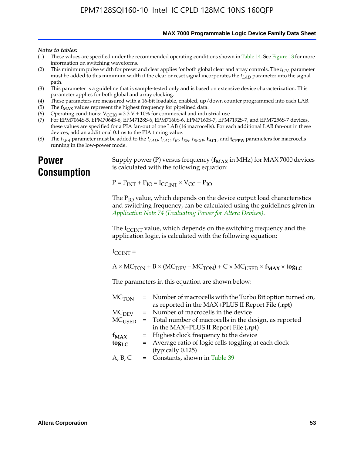**MAX 7000 Programmable Logic Device Family Data Sheet**

#### *Notes to tables:*

- (1) These values are specified under the recommended operating conditions shown in Table 14. See Figure 13 for more information on switching waveforms.
- (2) This minimum pulse width for preset and clear applies for both global clear and array controls. The  $t_{LPA}$  parameter must be added to this minimum width if the clear or reset signal incorporates the *tLAD* parameter into the signal path.
- (3) This parameter is a guideline that is sample-tested only and is based on extensive device characterization. This parameter applies for both global and array clocking.
- (4) These parameters are measured with a 16-bit loadable, enabled, up/down counter programmed into each LAB.
- (5) The  $f_{MAX}$  values represent the highest frequency for pipelined data.
- (6) Operating conditions:  $V_{\text{CCIO}} = 3.3 \text{ V} \pm 10\%$  for commercial and industrial use.
- (7) For EPM7064S-5, EPM7064S-6, EPM7128S-6, EPM7160S-6, EPM7160S-7, EPM7192S-7, and EPM7256S-7 devices, these values are specified for a PIA fan-out of one LAB (16 macrocells). For each additional LAB fan-out in these devices, add an additional 0.1 ns to the PIA timing value.
- (8) The  $t_{LPA}$  parameter must be added to the  $t_{LAD}$ ,  $t_{LAC}$ ,  $t_{IC}$ ,  $t_{EN}$ ,  $t_{SEXP}$ ,  $t_{ACL}$ , and  $t_{CPPW}$  parameters for macrocells running in the low-power mode.

### **Power Consumption**

[Supply power \(P\) versus frequency \(](http://www.altera.com/literature/an/an074.pdf) $f_{MAX}$  in MHz) for MAX 7000 devices is calculated with the following equation:

 $P = P_{INT} + P_{IO} = I_{CCLNT} \times V_{CC} + P_{IO}$ 

The  $P_{IO}$  value, which depends on the device output load characteristics and switching frequency, can be calculated using the guidelines given in *Application Note 74 (Evaluating Power for Altera Devices)*.

The  $I_{\text{CCINT}}$  value, which depends on the switching frequency and the application logic, is calculated with the following equation:

 $I_{\text{CCTNT}} =$ 

 $A \times MC_{TON} + B \times (MC_{DEFU} - MC_{TON}) + C \times MC_{LISED} \times f_{MAX} \times \text{tog}_{LC}$ 

The parameters in this equation are shown below:

| $MC$ <sub>TON</sub> | = Number of macrocells with the Turbo Bit option turned on,      |
|---------------------|------------------------------------------------------------------|
|                     | as reported in the MAX+PLUS II Report File (.rpt)                |
| MC <sub>DFV</sub>   | = Number of macrocells in the device                             |
|                     | $MCUSED$ = Total number of macrocells in the design, as reported |
|                     | in the MAX+PLUS II Report File (.rpt)                            |
| $f_{MAX}$           | = Highest clock frequency to the device                          |
| $tog_{LC}$          | = Average ratio of logic cells toggling at each clock            |
|                     | (typically 0.125)                                                |
| A, B, C             | $=$ Constants, shown in Table 39                                 |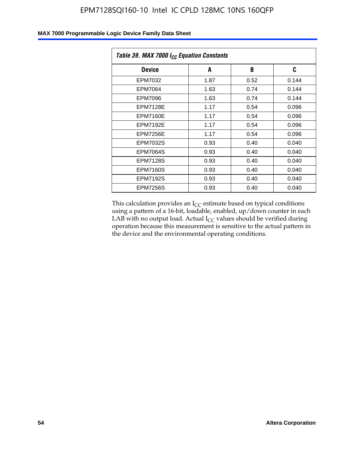| Table 39. MAX 7000 I <sub>CC</sub> Equation Constants |      |      |       |  |  |
|-------------------------------------------------------|------|------|-------|--|--|
| <b>Device</b>                                         | A    | B    | C     |  |  |
| EPM7032                                               | 1.87 | 0.52 | 0.144 |  |  |
| EPM7064                                               | 1.63 | 0.74 | 0.144 |  |  |
| EPM7096                                               | 1.63 | 0.74 | 0.144 |  |  |
| <b>EPM7128E</b>                                       | 1.17 | 0.54 | 0.096 |  |  |
| EPM7160E                                              | 1.17 | 0.54 | 0.096 |  |  |
| <b>EPM7192E</b>                                       | 1.17 | 0.54 | 0.096 |  |  |
| <b>EPM7256E</b>                                       | 1.17 | 0.54 | 0.096 |  |  |
| <b>EPM7032S</b>                                       | 0.93 | 0.40 | 0.040 |  |  |
| <b>EPM7064S</b>                                       | 0.93 | 0.40 | 0.040 |  |  |
| <b>EPM7128S</b>                                       | 0.93 | 0.40 | 0.040 |  |  |
| <b>EPM7160S</b>                                       | 0.93 | 0.40 | 0.040 |  |  |
| <b>EPM7192S</b>                                       | 0.93 | 0.40 | 0.040 |  |  |
| <b>EPM7256S</b>                                       | 0.93 | 0.40 | 0.040 |  |  |

This calculation provides an  $I_{CC}$  estimate based on typical conditions using a pattern of a 16-bit, loadable, enabled, up/down counter in each LAB with no output load. Actual  $I_{CC}$  values should be verified during operation because this measurement is sensitive to the actual pattern in the device and the environmental operating conditions.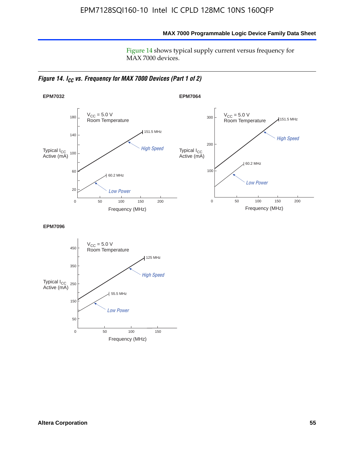**MAX 7000 Programmable Logic Device Family Data Sheet**

Figure 14 shows typical supply current versus frequency for MAX 7000 devices.

*Figure 14. I<sub>CC</sub> vs. Frequency for MAX 7000 Devices (Part 1 of 2)* 



**EPM7096**

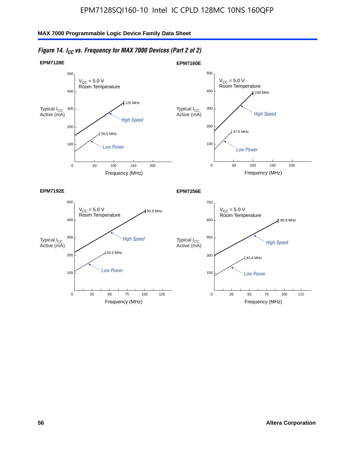

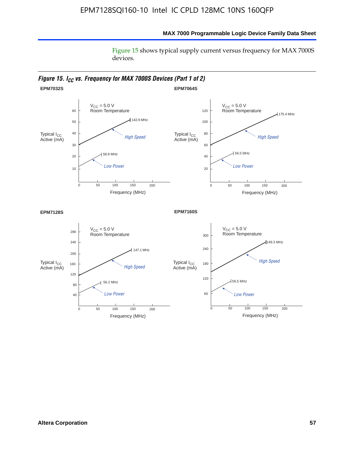Figure 15 shows typical supply current versus frequency for MAX 7000S devices.

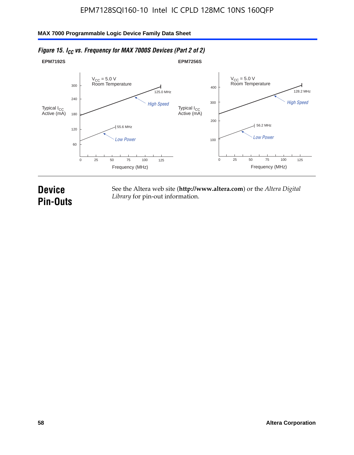#### **EPM7192S** V<sub>CC</sub> = 5.0 V<br>Room Temperature 0 Frequency (MHz) High Speed Low Power 25 100 125 125.0 MHz 55.6 MHz 60 120 180 240 300 50 75 **EPM7256S** V<sub>CC</sub> = 5.0 V<br>Room Temperature 0 Frequency (MHz) High Speed Low Power 25 100 125 128.2 MHz 56.2 MHz 100 200 300 400 50 75 Typical I<sub>CC</sub><br>Active (mA) Typical I<sub>CC</sub> Typical I<sub>CC</sub> Typical I<sub>C</sub> Typical I<sub>C</sub> Typical I<sub>C</sub> Typical I<sub>C</sub> Typical I<sub>C</sub> Typical I<sub>C</sub> Typical I<sub>C</sub> Typical I<sub>C</sub> Typical I<sub>C</sub> Typical I<sub>C</sub> Typical I<sub>C</sub> Typical I<sub>C</sub> Typical I<sub>C</sub> Typical I<sub>C</sub> Typical I<sub>C</sub> Typical I<sub>CC</sub><br>Active (mA)

### *Figure 15. I<sub>CC</sub> vs. Frequency for MAX 7000S Devices (Part 2 of 2)*

## **Device Pin-Outs**

See the Altera web site (**http://www.altera.com**) or the *Altera Digital Library* for pin-out information.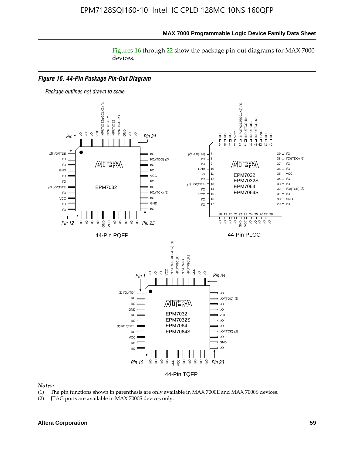Figures 16 through 22 show the package pin-out diagrams for MAX 7000 devices.



- (1) The pin functions shown in parenthesis are only available in MAX 7000E and MAX 7000S devices.
- (2) JTAG ports are available in MAX 7000S devices only.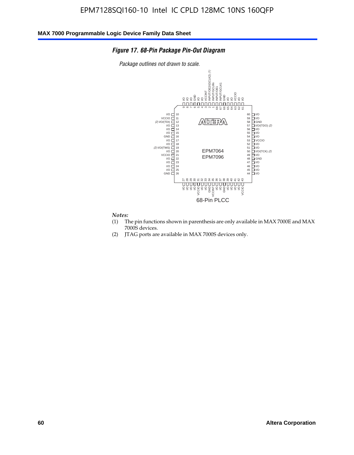#### *Figure 17. 68-Pin Package Pin-Out Diagram*

*Package outlines not drawn to scale.*



- (1) The pin functions shown in parenthesis are only available in MAX 7000E and MAX 7000S devices.
- (2) JTAG ports are available in MAX 7000S devices only.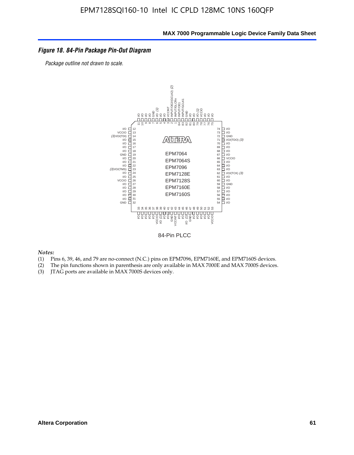### *Figure 18. 84-Pin Package Pin-Out Diagram*

*Package outline not drawn to scale.*



84-Pin PLCC

- (1) Pins 6, 39, 46, and 79 are no-connect (N.C.) pins on EPM7096, EPM7160E, and EPM7160S devices.
- (2) The pin functions shown in parenthesis are only available in MAX 7000E and MAX 7000S devices.
-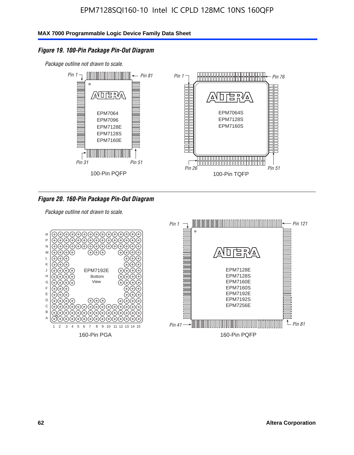### *Figure 19. 100-Pin Package Pin-Out Diagram*

*Package outline not drawn to scale.*



### *Figure 20. 160-Pin Package Pin-Out Diagram*

*Package outline not drawn to scale.*

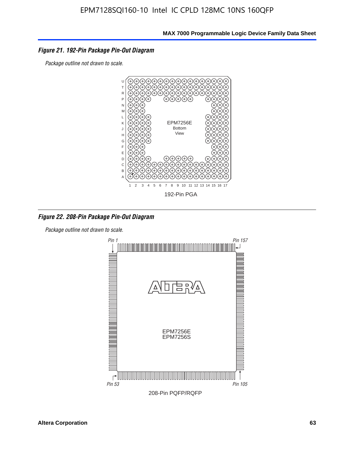### *Figure 21. 192-Pin Package Pin-Out Diagram*

*Package outline not drawn to scale.*



*Figure 22. 208-Pin Package Pin-Out Diagram*

*Package outline not drawn to scale.*

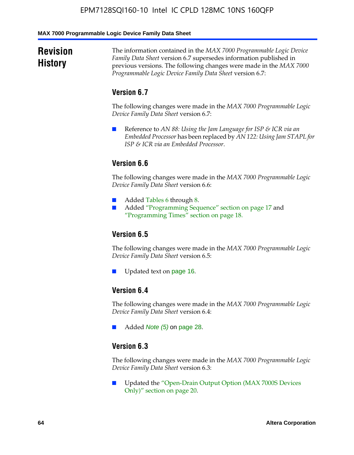#### **MAX 7000 Programmable Logic Device Family Data Sheet**

### **Revision History**

The information contained in the *MAX 7000 Programmable Logic Device Family Data Sheet* version 6.7 supersedes information published in previous versions. The following changes were made in the *MAX 7000 Programmable Logic Device Family Data Sheet* version 6.7:

### **Version 6.7**

The following changes were made in the *MAX 7000 Programmable Logic Device Family Data Sheet* version 6.7:

■ Reference to *AN 88: Using the Jam Language for ISP & ICR via an Embedded Processor* has been replaced by *AN 122: Using Jam STAPL for ISP & ICR via an Embedded Processor*.

### **Version 6.6**

The following changes were made in the *MAX 7000 Programmable Logic Device Family Data Sheet* version 6.6:

- Added Tables 6 through 8.
- Added "Programming Sequence" section on page 17 and "Programming Times" section on page 18.

### **Version 6.5**

The following changes were made in the *MAX 7000 Programmable Logic Device Family Data Sheet* version 6.5:

Updated text on page 16.

### **Version 6.4**

The following changes were made in the *MAX 7000 Programmable Logic Device Family Data Sheet* version 6.4:

■ Added *Note (5)* on page 28.

### **Version 6.3**

The following changes were made in the *MAX 7000 Programmable Logic Device Family Data Sheet* version 6.3:

■ Updated the "Open-Drain Output Option (MAX 7000S Devices Only)" section on page 20.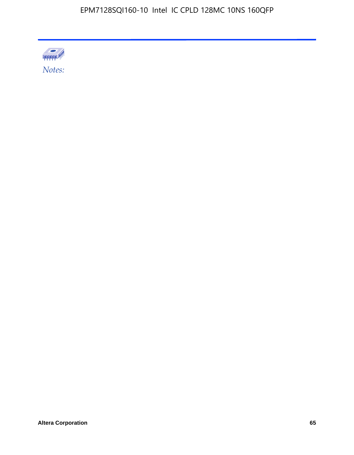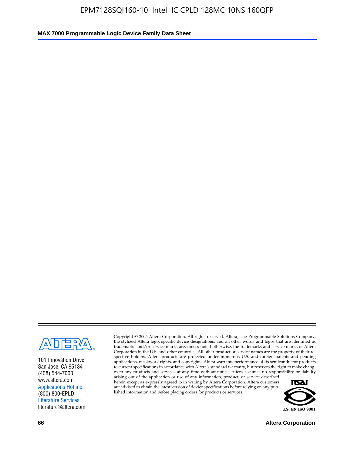

101 Innovation Drive San Jose, CA 95134 (408) 544-7000 www.altera.com Applications Hotline: (800) 800-EPLD Literature Services: literature@altera.com

Copyright © 2005 Altera Corporation. All rights reserved. Altera, The Programmable Solutions Company, the stylized Altera logo, specific device designations, and all other words and logos that are identified as trademarks and/or service marks are, unless noted otherwise, the trademarks and service marks of Altera Corporation in the U.S. and other countries. All other product or service names are the property of their respective holders. Altera products are protected under numerous U.S. and foreign patents and pending applications, maskwork rights, and copyrights. Altera warrants performance of its semiconductor products to current specifications in accordance with Altera's standard warranty, but reserves the right to make changes to any products and services at any time without notice. Altera assumes no responsibility or liability

arising out of the application or use of any information, product, or service described herein except as expressly agreed to in writing by Altera Corporation. Altera customers are advised to obtain the latest version of device specifications before relying on any published information and before placing orders for products or services.



**66 Altera Corporation**